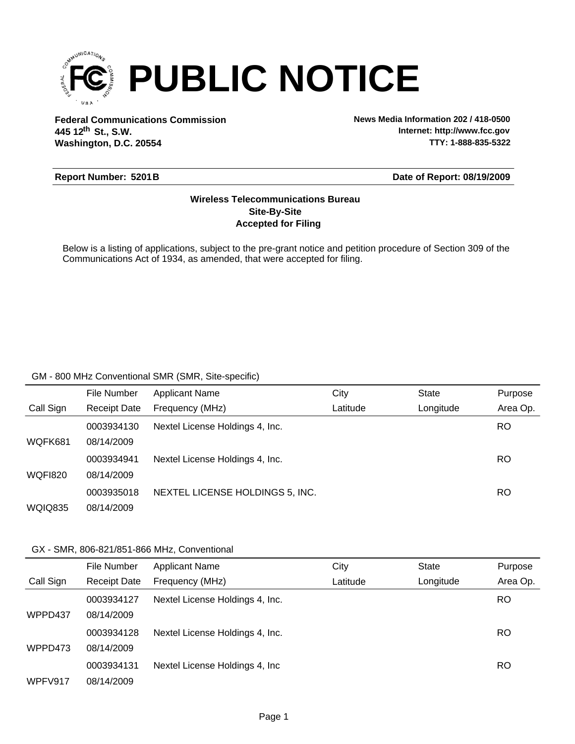

**Federal Communications Commission News Media Information 202 / 418-0500 Washington, D.C. 20554 th 445 12 St., S.W.**

**Internet: http://www.fcc.gov TTY: 1-888-835-5322**

#### **Report Number: 5201B**

#### **Date of Report: 08/19/2009**

### **Accepted for Filing Site-By-Site Wireless Telecommunications Bureau**

Below is a listing of applications, subject to the pre-grant notice and petition procedure of Section 309 of the Communications Act of 1934, as amended, that were accepted for filing.

#### GM - 800 MHz Conventional SMR (SMR, Site-specific)

|                | File Number         | <b>Applicant Name</b>           | City     | State     | Purpose   |
|----------------|---------------------|---------------------------------|----------|-----------|-----------|
| Call Sign      | <b>Receipt Date</b> | Frequency (MHz)                 | Latitude | Longitude | Area Op.  |
|                | 0003934130          | Nextel License Holdings 4, Inc. |          |           | <b>RO</b> |
| WQFK681        | 08/14/2009          |                                 |          |           |           |
|                | 0003934941          | Nextel License Holdings 4, Inc. |          |           | <b>RO</b> |
| <b>WQFI820</b> | 08/14/2009          |                                 |          |           |           |
|                | 0003935018          | NEXTEL LICENSE HOLDINGS 5, INC. |          |           | <b>RO</b> |
| <b>WQIQ835</b> | 08/14/2009          |                                 |          |           |           |

#### GX - SMR, 806-821/851-866 MHz, Conventional

|           | File Number         | <b>Applicant Name</b>           | City     | <b>State</b> | Purpose  |
|-----------|---------------------|---------------------------------|----------|--------------|----------|
| Call Sign | <b>Receipt Date</b> | Frequency (MHz)                 | Latitude | Longitude    | Area Op. |
|           | 0003934127          | Nextel License Holdings 4, Inc. |          |              | RO       |
| WPPD437   | 08/14/2009          |                                 |          |              |          |
|           | 0003934128          | Nextel License Holdings 4, Inc. |          |              | RO       |
| WPPD473   | 08/14/2009          |                                 |          |              |          |
|           | 0003934131          | Nextel License Holdings 4, Inc. |          |              | RO       |
| WPFV917   | 08/14/2009          |                                 |          |              |          |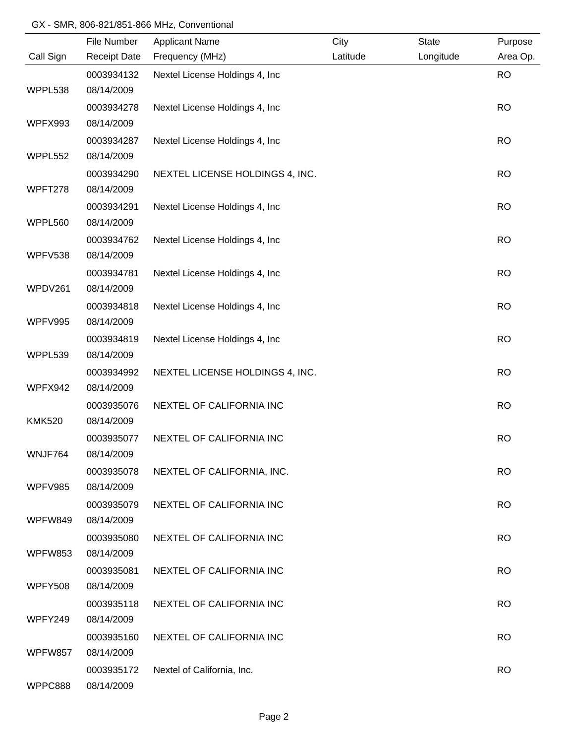## GX - SMR, 806-821/851-866 MHz, Conventional

|                | File Number         | <b>Applicant Name</b>           | City     | <b>State</b> | Purpose   |
|----------------|---------------------|---------------------------------|----------|--------------|-----------|
| Call Sign      | <b>Receipt Date</b> | Frequency (MHz)                 | Latitude | Longitude    | Area Op.  |
|                | 0003934132          | Nextel License Holdings 4, Inc  |          |              | <b>RO</b> |
| WPPL538        | 08/14/2009          |                                 |          |              |           |
|                | 0003934278          | Nextel License Holdings 4, Inc  |          |              | <b>RO</b> |
| WPFX993        | 08/14/2009          |                                 |          |              |           |
|                | 0003934287          | Nextel License Holdings 4, Inc  |          |              | <b>RO</b> |
| WPPL552        | 08/14/2009          |                                 |          |              |           |
|                | 0003934290          | NEXTEL LICENSE HOLDINGS 4, INC. |          |              | <b>RO</b> |
| WPFT278        | 08/14/2009          |                                 |          |              |           |
|                | 0003934291          | Nextel License Holdings 4, Inc  |          |              | <b>RO</b> |
| WPPL560        | 08/14/2009          |                                 |          |              |           |
|                | 0003934762          | Nextel License Holdings 4, Inc  |          |              | <b>RO</b> |
| WPFV538        | 08/14/2009          |                                 |          |              |           |
|                | 0003934781          | Nextel License Holdings 4, Inc  |          |              | <b>RO</b> |
| WPDV261        | 08/14/2009          |                                 |          |              |           |
|                | 0003934818          | Nextel License Holdings 4, Inc  |          |              | <b>RO</b> |
| WPFV995        | 08/14/2009          |                                 |          |              |           |
|                | 0003934819          | Nextel License Holdings 4, Inc  |          |              | <b>RO</b> |
| WPPL539        | 08/14/2009          |                                 |          |              |           |
|                | 0003934992          | NEXTEL LICENSE HOLDINGS 4, INC. |          |              | <b>RO</b> |
| WPFX942        | 08/14/2009          |                                 |          |              |           |
|                | 0003935076          | NEXTEL OF CALIFORNIA INC        |          |              | <b>RO</b> |
| <b>KMK520</b>  | 08/14/2009          |                                 |          |              |           |
|                | 0003935077          | NEXTEL OF CALIFORNIA INC        |          |              | <b>RO</b> |
| WNJF764        | 08/14/2009          |                                 |          |              |           |
|                | 0003935078          | NEXTEL OF CALIFORNIA, INC.      |          |              | <b>RO</b> |
| WPFV985        | 08/14/2009          |                                 |          |              |           |
|                | 0003935079          | NEXTEL OF CALIFORNIA INC        |          |              | <b>RO</b> |
| WPFW849        | 08/14/2009          |                                 |          |              |           |
|                | 0003935080          | NEXTEL OF CALIFORNIA INC        |          |              | <b>RO</b> |
| WPFW853        | 08/14/2009          |                                 |          |              |           |
|                | 0003935081          | NEXTEL OF CALIFORNIA INC        |          |              | <b>RO</b> |
| <b>WPFY508</b> | 08/14/2009          |                                 |          |              |           |
|                | 0003935118          | NEXTEL OF CALIFORNIA INC        |          |              | <b>RO</b> |
| WPFY249        | 08/14/2009          |                                 |          |              |           |
|                | 0003935160          | NEXTEL OF CALIFORNIA INC        |          |              | <b>RO</b> |
| WPFW857        | 08/14/2009          |                                 |          |              |           |
|                | 0003935172          | Nextel of California, Inc.      |          |              | <b>RO</b> |
| WPPC888        | 08/14/2009          |                                 |          |              |           |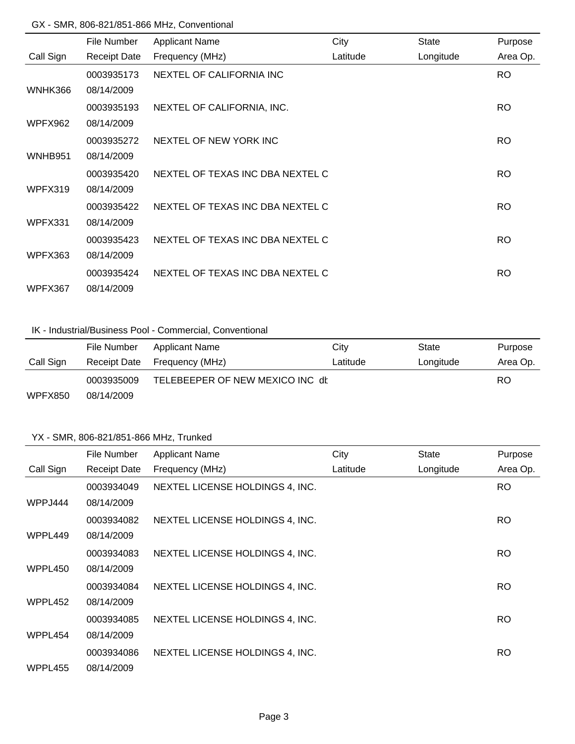#### GX - SMR, 806-821/851-866 MHz, Conventional

|           | File Number         | <b>Applicant Name</b>            | City     | State     | Purpose   |
|-----------|---------------------|----------------------------------|----------|-----------|-----------|
| Call Sign | <b>Receipt Date</b> | Frequency (MHz)                  | Latitude | Longitude | Area Op.  |
|           | 0003935173          | NEXTEL OF CALIFORNIA INC         |          |           | <b>RO</b> |
| WNHK366   | 08/14/2009          |                                  |          |           |           |
|           | 0003935193          | NEXTEL OF CALIFORNIA, INC.       |          |           | RO.       |
| WPFX962   | 08/14/2009          |                                  |          |           |           |
|           | 0003935272          | NEXTEL OF NEW YORK INC           |          |           | RO.       |
| WNHB951   | 08/14/2009          |                                  |          |           |           |
|           | 0003935420          | NEXTEL OF TEXAS INC DBA NEXTEL C |          |           | <b>RO</b> |
| WPFX319   | 08/14/2009          |                                  |          |           |           |
|           | 0003935422          | NEXTEL OF TEXAS INC DBA NEXTEL C |          |           | <b>RO</b> |
| WPFX331   | 08/14/2009          |                                  |          |           |           |
|           | 0003935423          | NEXTEL OF TEXAS INC DBA NEXTEL C |          |           | <b>RO</b> |
| WPFX363   | 08/14/2009          |                                  |          |           |           |
|           | 0003935424          | NEXTEL OF TEXAS INC DBA NEXTEL C |          |           | <b>RO</b> |
| WPFX367   | 08/14/2009          |                                  |          |           |           |

## IK - Industrial/Business Pool - Commercial, Conventional

|                | File Number  | <b>Applicant Name</b>           | City     | State     | Purpose  |
|----------------|--------------|---------------------------------|----------|-----------|----------|
| Call Sign      | Receipt Date | Frequency (MHz)                 | Latitude | Longitude | Area Op. |
|                | 0003935009   | TELEBEEPER OF NEW MEXICO INC dt |          |           | RO.      |
| <b>WPFX850</b> | 08/14/2009   |                                 |          |           |          |

|           | File Number         | <b>Applicant Name</b>           | City     | <b>State</b> | Purpose   |
|-----------|---------------------|---------------------------------|----------|--------------|-----------|
| Call Sign | <b>Receipt Date</b> | Frequency (MHz)                 | Latitude | Longitude    | Area Op.  |
|           | 0003934049          | NEXTEL LICENSE HOLDINGS 4, INC. |          |              | RO.       |
| WPPJ444   | 08/14/2009          |                                 |          |              |           |
|           | 0003934082          | NEXTEL LICENSE HOLDINGS 4, INC. |          |              | <b>RO</b> |
| WPPL449   | 08/14/2009          |                                 |          |              |           |
|           | 0003934083          | NEXTEL LICENSE HOLDINGS 4, INC. |          |              | <b>RO</b> |
| WPPL450   | 08/14/2009          |                                 |          |              |           |
|           | 0003934084          | NEXTEL LICENSE HOLDINGS 4, INC. |          |              | <b>RO</b> |
| WPPL452   | 08/14/2009          |                                 |          |              |           |
|           | 0003934085          | NEXTEL LICENSE HOLDINGS 4, INC. |          |              | <b>RO</b> |
| WPPL454   | 08/14/2009          |                                 |          |              |           |
|           | 0003934086          | NEXTEL LICENSE HOLDINGS 4, INC. |          |              | <b>RO</b> |
| WPPL455   | 08/14/2009          |                                 |          |              |           |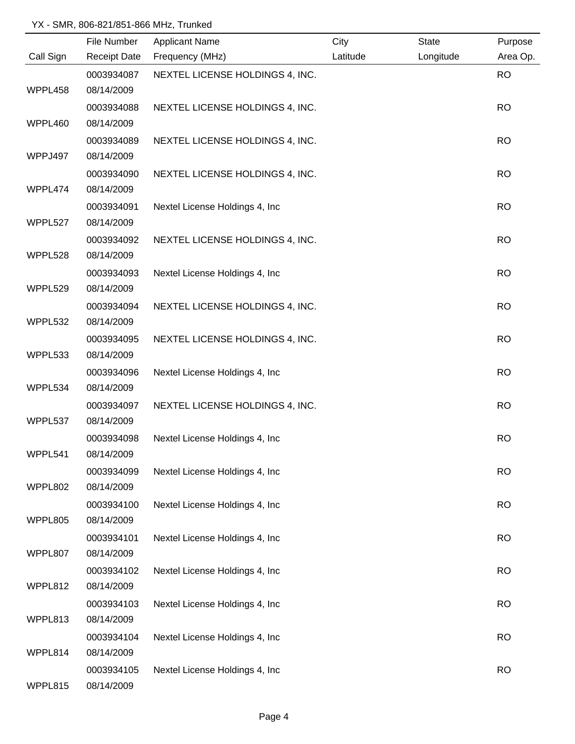|           | File Number         | <b>Applicant Name</b>           | City     | <b>State</b> | Purpose   |
|-----------|---------------------|---------------------------------|----------|--------------|-----------|
| Call Sign | <b>Receipt Date</b> | Frequency (MHz)                 | Latitude | Longitude    | Area Op.  |
|           | 0003934087          | NEXTEL LICENSE HOLDINGS 4, INC. |          |              | <b>RO</b> |
| WPPL458   | 08/14/2009          |                                 |          |              |           |
|           | 0003934088          | NEXTEL LICENSE HOLDINGS 4, INC. |          |              | <b>RO</b> |
| WPPL460   | 08/14/2009          |                                 |          |              |           |
|           | 0003934089          | NEXTEL LICENSE HOLDINGS 4, INC. |          |              | <b>RO</b> |
| WPPJ497   | 08/14/2009          |                                 |          |              |           |
|           | 0003934090          | NEXTEL LICENSE HOLDINGS 4, INC. |          |              | <b>RO</b> |
| WPPL474   | 08/14/2009          |                                 |          |              |           |
|           | 0003934091          | Nextel License Holdings 4, Inc  |          |              | <b>RO</b> |
| WPPL527   | 08/14/2009          |                                 |          |              |           |
|           | 0003934092          | NEXTEL LICENSE HOLDINGS 4, INC. |          |              | <b>RO</b> |
| WPPL528   | 08/14/2009          |                                 |          |              |           |
|           | 0003934093          | Nextel License Holdings 4, Inc  |          |              | <b>RO</b> |
| WPPL529   | 08/14/2009          |                                 |          |              |           |
|           | 0003934094          | NEXTEL LICENSE HOLDINGS 4, INC. |          |              | <b>RO</b> |
| WPPL532   | 08/14/2009          |                                 |          |              |           |
|           | 0003934095          | NEXTEL LICENSE HOLDINGS 4, INC. |          |              | <b>RO</b> |
| WPPL533   | 08/14/2009          |                                 |          |              |           |
|           | 0003934096          | Nextel License Holdings 4, Inc  |          |              | <b>RO</b> |
| WPPL534   | 08/14/2009          |                                 |          |              |           |
|           | 0003934097          | NEXTEL LICENSE HOLDINGS 4, INC. |          |              | <b>RO</b> |
| WPPL537   | 08/14/2009          |                                 |          |              |           |
|           | 0003934098          | Nextel License Holdings 4, Inc  |          |              | <b>RO</b> |
| WPPL541   | 08/14/2009          |                                 |          |              |           |
|           | 0003934099          | Nextel License Holdings 4, Inc  |          |              | <b>RO</b> |
| WPPL802   | 08/14/2009          |                                 |          |              |           |
|           | 0003934100          | Nextel License Holdings 4, Inc  |          |              | <b>RO</b> |
| WPPL805   | 08/14/2009          |                                 |          |              |           |
|           | 0003934101          | Nextel License Holdings 4, Inc  |          |              | <b>RO</b> |
| WPPL807   | 08/14/2009          |                                 |          |              |           |
|           | 0003934102          | Nextel License Holdings 4, Inc  |          |              | <b>RO</b> |
| WPPL812   | 08/14/2009          |                                 |          |              |           |
|           | 0003934103          | Nextel License Holdings 4, Inc  |          |              | <b>RO</b> |
| WPPL813   | 08/14/2009          |                                 |          |              |           |
|           | 0003934104          | Nextel License Holdings 4, Inc  |          |              | <b>RO</b> |
| WPPL814   | 08/14/2009          |                                 |          |              |           |
|           | 0003934105          | Nextel License Holdings 4, Inc  |          |              | <b>RO</b> |
| WPPL815   | 08/14/2009          |                                 |          |              |           |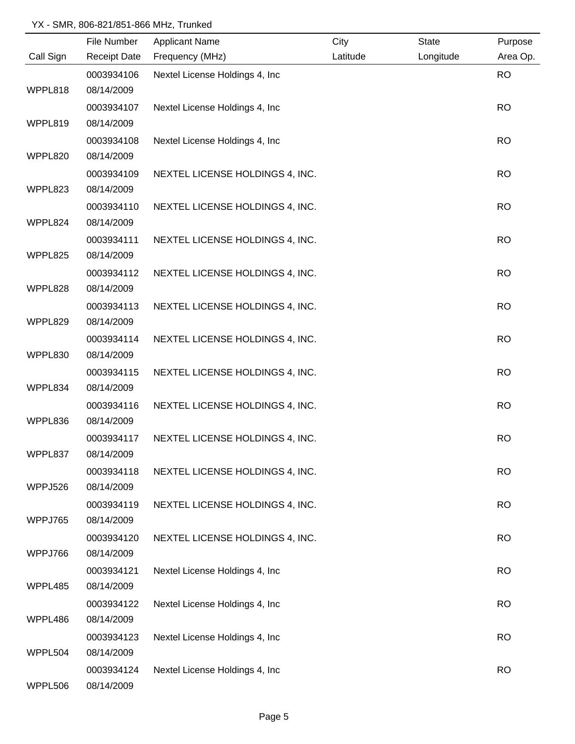|           | File Number         | <b>Applicant Name</b>           | City     | <b>State</b> | Purpose   |
|-----------|---------------------|---------------------------------|----------|--------------|-----------|
| Call Sign | <b>Receipt Date</b> | Frequency (MHz)                 | Latitude | Longitude    | Area Op.  |
|           | 0003934106          | Nextel License Holdings 4, Inc  |          |              | <b>RO</b> |
| WPPL818   | 08/14/2009          |                                 |          |              |           |
|           | 0003934107          | Nextel License Holdings 4, Inc. |          |              | <b>RO</b> |
| WPPL819   | 08/14/2009          |                                 |          |              |           |
|           | 0003934108          | Nextel License Holdings 4, Inc. |          |              | <b>RO</b> |
| WPPL820   | 08/14/2009          |                                 |          |              |           |
|           | 0003934109          | NEXTEL LICENSE HOLDINGS 4, INC. |          |              | <b>RO</b> |
| WPPL823   | 08/14/2009          |                                 |          |              |           |
|           | 0003934110          | NEXTEL LICENSE HOLDINGS 4, INC. |          |              | <b>RO</b> |
| WPPL824   | 08/14/2009          |                                 |          |              |           |
|           | 0003934111          | NEXTEL LICENSE HOLDINGS 4, INC. |          |              | <b>RO</b> |
| WPPL825   | 08/14/2009          |                                 |          |              |           |
|           | 0003934112          | NEXTEL LICENSE HOLDINGS 4, INC. |          |              | <b>RO</b> |
| WPPL828   | 08/14/2009          |                                 |          |              |           |
|           | 0003934113          | NEXTEL LICENSE HOLDINGS 4, INC. |          |              | <b>RO</b> |
| WPPL829   | 08/14/2009          |                                 |          |              |           |
|           | 0003934114          | NEXTEL LICENSE HOLDINGS 4, INC. |          |              | <b>RO</b> |
| WPPL830   | 08/14/2009          |                                 |          |              |           |
|           | 0003934115          | NEXTEL LICENSE HOLDINGS 4, INC. |          |              | <b>RO</b> |
| WPPL834   | 08/14/2009          |                                 |          |              |           |
|           | 0003934116          | NEXTEL LICENSE HOLDINGS 4, INC. |          |              | <b>RO</b> |
| WPPL836   | 08/14/2009          |                                 |          |              |           |
|           | 0003934117          | NEXTEL LICENSE HOLDINGS 4, INC. |          |              | <b>RO</b> |
| WPPL837   | 08/14/2009          |                                 |          |              |           |
|           | 0003934118          | NEXTEL LICENSE HOLDINGS 4, INC. |          |              | <b>RO</b> |
| WPPJ526   | 08/14/2009          |                                 |          |              |           |
|           | 0003934119          | NEXTEL LICENSE HOLDINGS 4, INC. |          |              | <b>RO</b> |
| WPPJ765   | 08/14/2009          |                                 |          |              |           |
|           | 0003934120          | NEXTEL LICENSE HOLDINGS 4, INC. |          |              | <b>RO</b> |
| WPPJ766   | 08/14/2009          |                                 |          |              |           |
|           | 0003934121          | Nextel License Holdings 4, Inc. |          |              | <b>RO</b> |
| WPPL485   | 08/14/2009          |                                 |          |              |           |
|           | 0003934122          | Nextel License Holdings 4, Inc  |          |              | <b>RO</b> |
| WPPL486   | 08/14/2009          |                                 |          |              |           |
|           | 0003934123          | Nextel License Holdings 4, Inc  |          |              | <b>RO</b> |
| WPPL504   | 08/14/2009          |                                 |          |              |           |
|           | 0003934124          | Nextel License Holdings 4, Inc  |          |              | <b>RO</b> |
| WPPL506   | 08/14/2009          |                                 |          |              |           |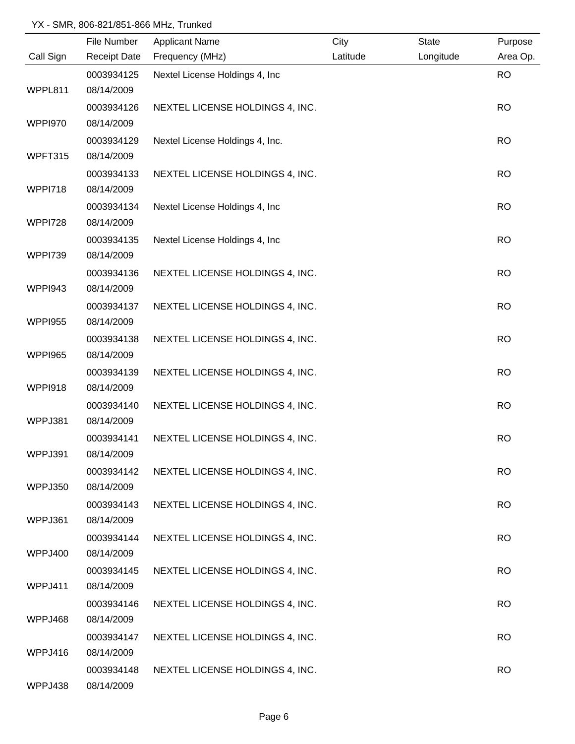|                | File Number              | <b>Applicant Name</b>           | City     | <b>State</b> | Purpose   |
|----------------|--------------------------|---------------------------------|----------|--------------|-----------|
| Call Sign      | <b>Receipt Date</b>      | Frequency (MHz)                 | Latitude | Longitude    | Area Op.  |
|                | 0003934125               | Nextel License Holdings 4, Inc  |          |              | <b>RO</b> |
| WPPL811        | 08/14/2009               |                                 |          |              |           |
|                | 0003934126               | NEXTEL LICENSE HOLDINGS 4, INC. |          |              | <b>RO</b> |
| WPPI970        | 08/14/2009               |                                 |          |              |           |
|                | 0003934129               | Nextel License Holdings 4, Inc. |          |              | <b>RO</b> |
| WPFT315        | 08/14/2009               |                                 |          |              |           |
|                | 0003934133               | NEXTEL LICENSE HOLDINGS 4, INC. |          |              | <b>RO</b> |
| WPPI718        | 08/14/2009               |                                 |          |              |           |
|                | 0003934134               | Nextel License Holdings 4, Inc  |          |              | <b>RO</b> |
| <b>WPPI728</b> | 08/14/2009               |                                 |          |              |           |
|                | 0003934135               | Nextel License Holdings 4, Inc  |          |              | <b>RO</b> |
| <b>WPPI739</b> | 08/14/2009               |                                 |          |              |           |
|                | 0003934136               | NEXTEL LICENSE HOLDINGS 4, INC. |          |              | <b>RO</b> |
| WPPI943        | 08/14/2009               |                                 |          |              |           |
|                | 0003934137               | NEXTEL LICENSE HOLDINGS 4, INC. |          |              | <b>RO</b> |
| <b>WPPI955</b> | 08/14/2009               |                                 |          |              |           |
|                | 0003934138               | NEXTEL LICENSE HOLDINGS 4, INC. |          |              | <b>RO</b> |
| <b>WPPI965</b> | 08/14/2009               |                                 |          |              |           |
|                | 0003934139               | NEXTEL LICENSE HOLDINGS 4, INC. |          |              | <b>RO</b> |
| WPPI918        | 08/14/2009               |                                 |          |              |           |
|                | 0003934140               | NEXTEL LICENSE HOLDINGS 4, INC. |          |              | <b>RO</b> |
| WPPJ381        | 08/14/2009               |                                 |          |              |           |
|                | 0003934141               | NEXTEL LICENSE HOLDINGS 4, INC. |          |              | <b>RO</b> |
| WPPJ391        | 08/14/2009               |                                 |          |              |           |
|                | 0003934142               | NEXTEL LICENSE HOLDINGS 4, INC. |          |              | <b>RO</b> |
| WPPJ350        | 08/14/2009               |                                 |          |              |           |
|                | 0003934143               | NEXTEL LICENSE HOLDINGS 4, INC. |          |              | <b>RO</b> |
| WPPJ361        | 08/14/2009               |                                 |          |              |           |
|                | 0003934144               | NEXTEL LICENSE HOLDINGS 4, INC. |          |              | <b>RO</b> |
| WPPJ400        | 08/14/2009               |                                 |          |              |           |
|                | 0003934145               | NEXTEL LICENSE HOLDINGS 4, INC. |          |              | <b>RO</b> |
| WPPJ411        | 08/14/2009               |                                 |          |              |           |
|                | 0003934146               | NEXTEL LICENSE HOLDINGS 4, INC. |          |              | <b>RO</b> |
| WPPJ468        | 08/14/2009               |                                 |          |              |           |
| WPPJ416        | 0003934147<br>08/14/2009 | NEXTEL LICENSE HOLDINGS 4, INC. |          |              | <b>RO</b> |
|                |                          |                                 |          |              | <b>RO</b> |
| WPPJ438        | 0003934148<br>08/14/2009 | NEXTEL LICENSE HOLDINGS 4, INC. |          |              |           |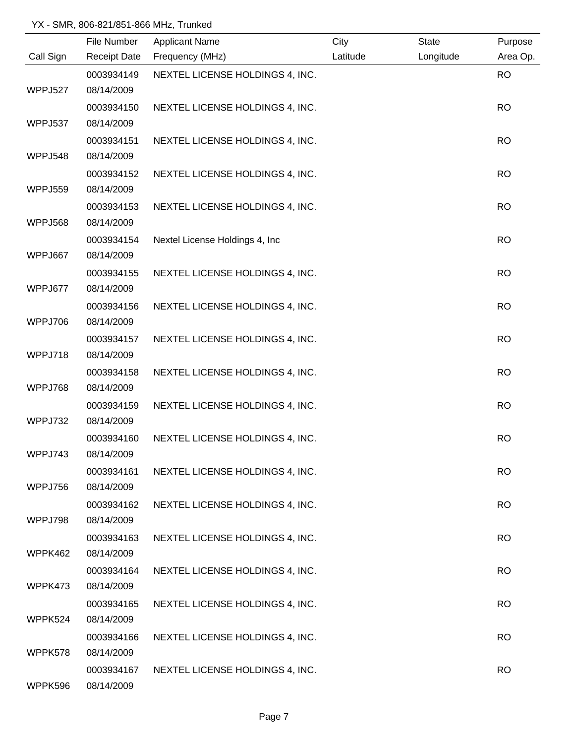|           | File Number              | <b>Applicant Name</b>           | City     | <b>State</b> | Purpose   |
|-----------|--------------------------|---------------------------------|----------|--------------|-----------|
| Call Sign | <b>Receipt Date</b>      | Frequency (MHz)                 | Latitude | Longitude    | Area Op.  |
|           | 0003934149               | NEXTEL LICENSE HOLDINGS 4, INC. |          |              | <b>RO</b> |
| WPPJ527   | 08/14/2009               |                                 |          |              |           |
|           | 0003934150               | NEXTEL LICENSE HOLDINGS 4, INC. |          |              | <b>RO</b> |
| WPPJ537   | 08/14/2009               |                                 |          |              |           |
|           | 0003934151               | NEXTEL LICENSE HOLDINGS 4, INC. |          |              | <b>RO</b> |
| WPPJ548   | 08/14/2009               |                                 |          |              |           |
|           | 0003934152               | NEXTEL LICENSE HOLDINGS 4, INC. |          |              | <b>RO</b> |
| WPPJ559   | 08/14/2009               |                                 |          |              |           |
|           | 0003934153               | NEXTEL LICENSE HOLDINGS 4, INC. |          |              | <b>RO</b> |
| WPPJ568   | 08/14/2009               |                                 |          |              |           |
|           | 0003934154               | Nextel License Holdings 4, Inc  |          |              | <b>RO</b> |
| WPPJ667   | 08/14/2009               |                                 |          |              |           |
|           | 0003934155               | NEXTEL LICENSE HOLDINGS 4, INC. |          |              | <b>RO</b> |
| WPPJ677   | 08/14/2009               |                                 |          |              |           |
| WPPJ706   | 0003934156<br>08/14/2009 | NEXTEL LICENSE HOLDINGS 4, INC. |          |              | <b>RO</b> |
|           |                          |                                 |          |              |           |
| WPPJ718   | 0003934157<br>08/14/2009 | NEXTEL LICENSE HOLDINGS 4, INC. |          |              | <b>RO</b> |
|           | 0003934158               | NEXTEL LICENSE HOLDINGS 4, INC. |          |              | <b>RO</b> |
| WPPJ768   | 08/14/2009               |                                 |          |              |           |
|           | 0003934159               | NEXTEL LICENSE HOLDINGS 4, INC. |          |              | <b>RO</b> |
| WPPJ732   | 08/14/2009               |                                 |          |              |           |
|           | 0003934160               | NEXTEL LICENSE HOLDINGS 4, INC. |          |              | <b>RO</b> |
| WPPJ743   | 08/14/2009               |                                 |          |              |           |
|           | 0003934161               | NEXTEL LICENSE HOLDINGS 4, INC. |          |              | <b>RO</b> |
| WPPJ756   | 08/14/2009               |                                 |          |              |           |
|           | 0003934162               | NEXTEL LICENSE HOLDINGS 4, INC. |          |              | <b>RO</b> |
| WPPJ798   | 08/14/2009               |                                 |          |              |           |
|           | 0003934163               | NEXTEL LICENSE HOLDINGS 4, INC. |          |              | <b>RO</b> |
| WPPK462   | 08/14/2009               |                                 |          |              |           |
|           | 0003934164               | NEXTEL LICENSE HOLDINGS 4, INC. |          |              | <b>RO</b> |
| WPPK473   | 08/14/2009               |                                 |          |              |           |
|           | 0003934165               | NEXTEL LICENSE HOLDINGS 4, INC. |          |              | <b>RO</b> |
| WPPK524   | 08/14/2009               |                                 |          |              |           |
|           | 0003934166               | NEXTEL LICENSE HOLDINGS 4, INC. |          |              | <b>RO</b> |
| WPPK578   | 08/14/2009               |                                 |          |              |           |
|           | 0003934167               | NEXTEL LICENSE HOLDINGS 4, INC. |          |              | <b>RO</b> |
| WPPK596   | 08/14/2009               |                                 |          |              |           |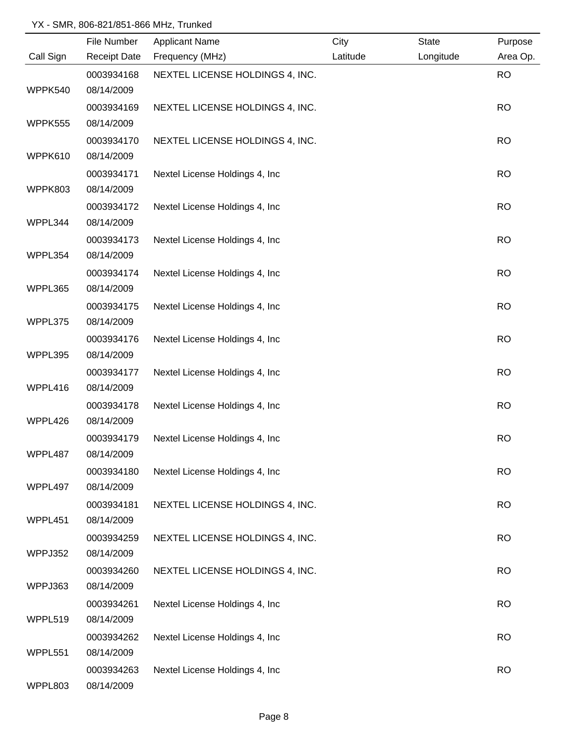|           | File Number         | <b>Applicant Name</b>           | City     | <b>State</b> | Purpose   |
|-----------|---------------------|---------------------------------|----------|--------------|-----------|
| Call Sign | <b>Receipt Date</b> | Frequency (MHz)                 | Latitude | Longitude    | Area Op.  |
|           | 0003934168          | NEXTEL LICENSE HOLDINGS 4, INC. |          |              | <b>RO</b> |
| WPPK540   | 08/14/2009          |                                 |          |              |           |
|           | 0003934169          | NEXTEL LICENSE HOLDINGS 4, INC. |          |              | <b>RO</b> |
| WPPK555   | 08/14/2009          |                                 |          |              |           |
|           | 0003934170          | NEXTEL LICENSE HOLDINGS 4, INC. |          |              | <b>RO</b> |
| WPPK610   | 08/14/2009          |                                 |          |              |           |
|           | 0003934171          | Nextel License Holdings 4, Inc. |          |              | <b>RO</b> |
| WPPK803   | 08/14/2009          |                                 |          |              |           |
|           | 0003934172          | Nextel License Holdings 4, Inc. |          |              | <b>RO</b> |
| WPPL344   | 08/14/2009          |                                 |          |              |           |
|           | 0003934173          | Nextel License Holdings 4, Inc. |          |              | <b>RO</b> |
| WPPL354   | 08/14/2009          |                                 |          |              |           |
|           | 0003934174          | Nextel License Holdings 4, Inc  |          |              | <b>RO</b> |
| WPPL365   | 08/14/2009          |                                 |          |              |           |
|           | 0003934175          | Nextel License Holdings 4, Inc  |          |              | <b>RO</b> |
| WPPL375   | 08/14/2009          |                                 |          |              |           |
|           | 0003934176          | Nextel License Holdings 4, Inc  |          |              | <b>RO</b> |
| WPPL395   | 08/14/2009          |                                 |          |              |           |
|           | 0003934177          | Nextel License Holdings 4, Inc  |          |              | <b>RO</b> |
| WPPL416   | 08/14/2009          |                                 |          |              |           |
|           | 0003934178          | Nextel License Holdings 4, Inc  |          |              | <b>RO</b> |
| WPPL426   | 08/14/2009          |                                 |          |              |           |
|           | 0003934179          | Nextel License Holdings 4, Inc. |          |              | <b>RO</b> |
| WPPL487   | 08/14/2009          |                                 |          |              |           |
|           | 0003934180          | Nextel License Holdings 4, Inc. |          |              | <b>RO</b> |
| WPPL497   | 08/14/2009          |                                 |          |              |           |
|           | 0003934181          | NEXTEL LICENSE HOLDINGS 4, INC. |          |              | <b>RO</b> |
| WPPL451   | 08/14/2009          |                                 |          |              |           |
|           | 0003934259          | NEXTEL LICENSE HOLDINGS 4, INC. |          |              | <b>RO</b> |
| WPPJ352   | 08/14/2009          |                                 |          |              |           |
|           | 0003934260          | NEXTEL LICENSE HOLDINGS 4, INC. |          |              | <b>RO</b> |
| WPPJ363   | 08/14/2009          |                                 |          |              |           |
|           | 0003934261          | Nextel License Holdings 4, Inc  |          |              | <b>RO</b> |
| WPPL519   | 08/14/2009          |                                 |          |              |           |
|           | 0003934262          | Nextel License Holdings 4, Inc  |          |              | <b>RO</b> |
| WPPL551   | 08/14/2009          |                                 |          |              |           |
|           | 0003934263          | Nextel License Holdings 4, Inc  |          |              | <b>RO</b> |
| WPPL803   | 08/14/2009          |                                 |          |              |           |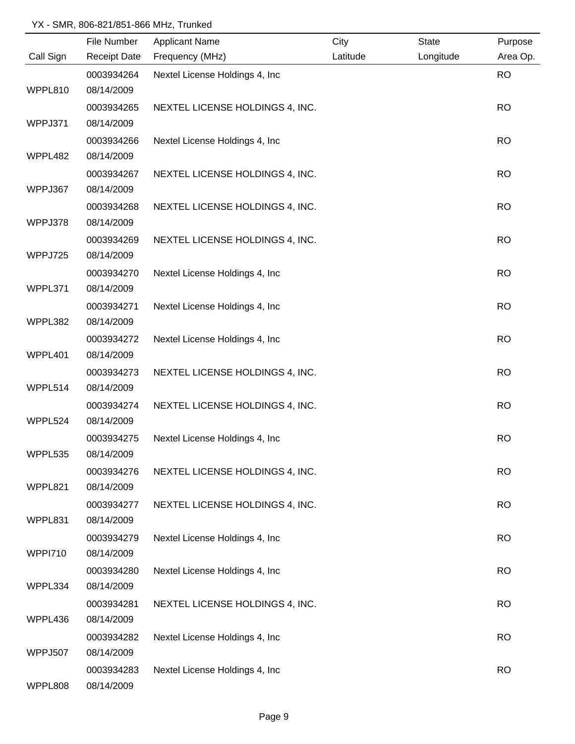| File Number              | <b>Applicant Name</b>                                                                                                                                                                                          | City                                                                                                                                                                                                                                             | <b>State</b> | Purpose   |
|--------------------------|----------------------------------------------------------------------------------------------------------------------------------------------------------------------------------------------------------------|--------------------------------------------------------------------------------------------------------------------------------------------------------------------------------------------------------------------------------------------------|--------------|-----------|
| <b>Receipt Date</b>      | Frequency (MHz)                                                                                                                                                                                                | Latitude                                                                                                                                                                                                                                         | Longitude    | Area Op.  |
| 0003934264               | Nextel License Holdings 4, Inc                                                                                                                                                                                 |                                                                                                                                                                                                                                                  |              | <b>RO</b> |
| 08/14/2009               |                                                                                                                                                                                                                |                                                                                                                                                                                                                                                  |              |           |
| 0003934265               | NEXTEL LICENSE HOLDINGS 4, INC.                                                                                                                                                                                |                                                                                                                                                                                                                                                  |              | <b>RO</b> |
| 08/14/2009               |                                                                                                                                                                                                                |                                                                                                                                                                                                                                                  |              |           |
| 0003934266               | Nextel License Holdings 4, Inc.                                                                                                                                                                                |                                                                                                                                                                                                                                                  |              | <b>RO</b> |
| 08/14/2009               |                                                                                                                                                                                                                |                                                                                                                                                                                                                                                  |              |           |
| 0003934267               | NEXTEL LICENSE HOLDINGS 4, INC.                                                                                                                                                                                |                                                                                                                                                                                                                                                  |              | <b>RO</b> |
| 08/14/2009               |                                                                                                                                                                                                                |                                                                                                                                                                                                                                                  |              |           |
| 0003934268               | NEXTEL LICENSE HOLDINGS 4, INC.                                                                                                                                                                                |                                                                                                                                                                                                                                                  |              | <b>RO</b> |
| 08/14/2009               |                                                                                                                                                                                                                |                                                                                                                                                                                                                                                  |              |           |
| 0003934269               | NEXTEL LICENSE HOLDINGS 4, INC.                                                                                                                                                                                |                                                                                                                                                                                                                                                  |              | <b>RO</b> |
| 08/14/2009               |                                                                                                                                                                                                                |                                                                                                                                                                                                                                                  |              |           |
| 0003934270               | Nextel License Holdings 4, Inc                                                                                                                                                                                 |                                                                                                                                                                                                                                                  |              | <b>RO</b> |
| 08/14/2009               |                                                                                                                                                                                                                |                                                                                                                                                                                                                                                  |              |           |
| 0003934271               | Nextel License Holdings 4, Inc                                                                                                                                                                                 |                                                                                                                                                                                                                                                  |              | <b>RO</b> |
| 08/14/2009               |                                                                                                                                                                                                                |                                                                                                                                                                                                                                                  |              |           |
| 0003934272               | Nextel License Holdings 4, Inc                                                                                                                                                                                 |                                                                                                                                                                                                                                                  |              | <b>RO</b> |
|                          |                                                                                                                                                                                                                |                                                                                                                                                                                                                                                  |              |           |
| 0003934273               | NEXTEL LICENSE HOLDINGS 4, INC.                                                                                                                                                                                |                                                                                                                                                                                                                                                  |              | <b>RO</b> |
|                          |                                                                                                                                                                                                                |                                                                                                                                                                                                                                                  |              |           |
| 0003934274               |                                                                                                                                                                                                                |                                                                                                                                                                                                                                                  |              | <b>RO</b> |
|                          |                                                                                                                                                                                                                |                                                                                                                                                                                                                                                  |              |           |
|                          |                                                                                                                                                                                                                |                                                                                                                                                                                                                                                  |              | <b>RO</b> |
|                          |                                                                                                                                                                                                                |                                                                                                                                                                                                                                                  |              |           |
|                          |                                                                                                                                                                                                                |                                                                                                                                                                                                                                                  |              | <b>RO</b> |
|                          |                                                                                                                                                                                                                |                                                                                                                                                                                                                                                  |              |           |
|                          |                                                                                                                                                                                                                |                                                                                                                                                                                                                                                  |              | <b>RO</b> |
|                          |                                                                                                                                                                                                                |                                                                                                                                                                                                                                                  |              |           |
|                          |                                                                                                                                                                                                                |                                                                                                                                                                                                                                                  |              | <b>RO</b> |
|                          |                                                                                                                                                                                                                |                                                                                                                                                                                                                                                  |              |           |
|                          |                                                                                                                                                                                                                |                                                                                                                                                                                                                                                  |              | <b>RO</b> |
|                          |                                                                                                                                                                                                                |                                                                                                                                                                                                                                                  |              |           |
|                          |                                                                                                                                                                                                                |                                                                                                                                                                                                                                                  |              | <b>RO</b> |
|                          |                                                                                                                                                                                                                |                                                                                                                                                                                                                                                  |              |           |
|                          |                                                                                                                                                                                                                |                                                                                                                                                                                                                                                  |              |           |
| 0003934282               | Nextel License Holdings 4, Inc                                                                                                                                                                                 |                                                                                                                                                                                                                                                  |              | <b>RO</b> |
| 08/14/2009<br>0003934283 | Nextel License Holdings 4, Inc                                                                                                                                                                                 |                                                                                                                                                                                                                                                  |              | <b>RO</b> |
|                          | 08/14/2009<br>08/14/2009<br>08/14/2009<br>0003934275<br>08/14/2009<br>0003934276<br>08/14/2009<br>0003934277<br>08/14/2009<br>0003934279<br>08/14/2009<br>0003934280<br>08/14/2009<br>0003934281<br>08/14/2009 | NEXTEL LICENSE HOLDINGS 4, INC.<br>Nextel License Holdings 4, Inc.<br>NEXTEL LICENSE HOLDINGS 4, INC.<br>NEXTEL LICENSE HOLDINGS 4, INC.<br>Nextel License Holdings 4, Inc<br>Nextel License Holdings 4, Inc.<br>NEXTEL LICENSE HOLDINGS 4, INC. |              |           |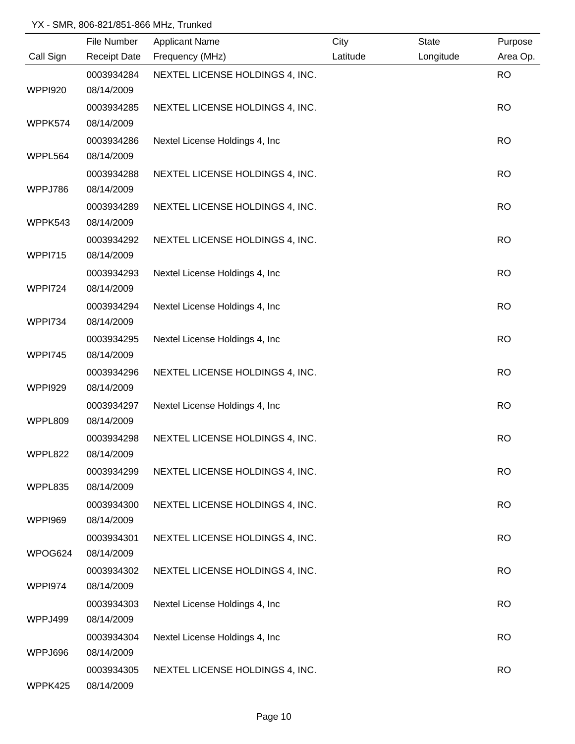|                | File Number         | <b>Applicant Name</b>           | City     | <b>State</b> | Purpose   |
|----------------|---------------------|---------------------------------|----------|--------------|-----------|
| Call Sign      | <b>Receipt Date</b> | Frequency (MHz)                 | Latitude | Longitude    | Area Op.  |
|                | 0003934284          | NEXTEL LICENSE HOLDINGS 4, INC. |          |              | <b>RO</b> |
| <b>WPPI920</b> | 08/14/2009          |                                 |          |              |           |
|                | 0003934285          | NEXTEL LICENSE HOLDINGS 4, INC. |          |              | <b>RO</b> |
| WPPK574        | 08/14/2009          |                                 |          |              |           |
|                | 0003934286          | Nextel License Holdings 4, Inc. |          |              | <b>RO</b> |
| WPPL564        | 08/14/2009          |                                 |          |              |           |
|                | 0003934288          | NEXTEL LICENSE HOLDINGS 4, INC. |          |              | <b>RO</b> |
| WPPJ786        | 08/14/2009          |                                 |          |              |           |
|                | 0003934289          | NEXTEL LICENSE HOLDINGS 4, INC. |          |              | <b>RO</b> |
| WPPK543        | 08/14/2009          |                                 |          |              |           |
|                | 0003934292          | NEXTEL LICENSE HOLDINGS 4, INC. |          |              | <b>RO</b> |
| WPPI715        | 08/14/2009          |                                 |          |              |           |
|                | 0003934293          | Nextel License Holdings 4, Inc  |          |              | <b>RO</b> |
| <b>WPPI724</b> | 08/14/2009          |                                 |          |              |           |
|                | 0003934294          | Nextel License Holdings 4, Inc  |          |              | <b>RO</b> |
| <b>WPPI734</b> | 08/14/2009          |                                 |          |              |           |
|                | 0003934295          | Nextel License Holdings 4, Inc  |          |              | <b>RO</b> |
| <b>WPPI745</b> | 08/14/2009          |                                 |          |              |           |
|                | 0003934296          | NEXTEL LICENSE HOLDINGS 4, INC. |          |              | <b>RO</b> |
| <b>WPPI929</b> | 08/14/2009          |                                 |          |              |           |
|                | 0003934297          | Nextel License Holdings 4, Inc  |          |              | <b>RO</b> |
| WPPL809        | 08/14/2009          |                                 |          |              |           |
|                | 0003934298          | NEXTEL LICENSE HOLDINGS 4, INC. |          |              | <b>RO</b> |
| WPPL822        | 08/14/2009          |                                 |          |              |           |
|                | 0003934299          | NEXTEL LICENSE HOLDINGS 4, INC. |          |              | <b>RO</b> |
| WPPL835        | 08/14/2009          |                                 |          |              |           |
|                | 0003934300          | NEXTEL LICENSE HOLDINGS 4, INC. |          |              | <b>RO</b> |
| <b>WPPI969</b> | 08/14/2009          |                                 |          |              |           |
|                | 0003934301          | NEXTEL LICENSE HOLDINGS 4, INC. |          |              | <b>RO</b> |
| WPOG624        | 08/14/2009          |                                 |          |              |           |
|                | 0003934302          | NEXTEL LICENSE HOLDINGS 4, INC. |          |              | <b>RO</b> |
| WPPI974        | 08/14/2009          |                                 |          |              |           |
|                | 0003934303          | Nextel License Holdings 4, Inc  |          |              | <b>RO</b> |
| WPPJ499        | 08/14/2009          |                                 |          |              |           |
|                | 0003934304          | Nextel License Holdings 4, Inc  |          |              | <b>RO</b> |
| WPPJ696        | 08/14/2009          |                                 |          |              |           |
|                | 0003934305          | NEXTEL LICENSE HOLDINGS 4, INC. |          |              | <b>RO</b> |
| WPPK425        | 08/14/2009          |                                 |          |              |           |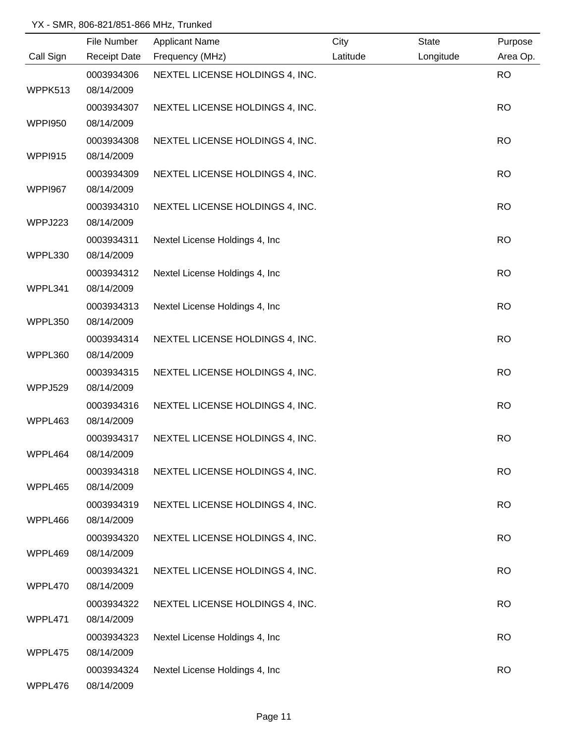|                | File Number         | <b>Applicant Name</b>           | City     | <b>State</b> | Purpose   |
|----------------|---------------------|---------------------------------|----------|--------------|-----------|
| Call Sign      | <b>Receipt Date</b> | Frequency (MHz)                 | Latitude | Longitude    | Area Op.  |
|                | 0003934306          | NEXTEL LICENSE HOLDINGS 4, INC. |          |              | <b>RO</b> |
| WPPK513        | 08/14/2009          |                                 |          |              |           |
|                | 0003934307          | NEXTEL LICENSE HOLDINGS 4, INC. |          |              | <b>RO</b> |
| <b>WPPI950</b> | 08/14/2009          |                                 |          |              |           |
|                | 0003934308          | NEXTEL LICENSE HOLDINGS 4, INC. |          |              | <b>RO</b> |
| WPPI915        | 08/14/2009          |                                 |          |              |           |
|                | 0003934309          | NEXTEL LICENSE HOLDINGS 4, INC. |          |              | <b>RO</b> |
| <b>WPPI967</b> | 08/14/2009          |                                 |          |              |           |
|                | 0003934310          | NEXTEL LICENSE HOLDINGS 4, INC. |          |              | <b>RO</b> |
| WPPJ223        | 08/14/2009          |                                 |          |              |           |
|                | 0003934311          | Nextel License Holdings 4, Inc  |          |              | <b>RO</b> |
| WPPL330        | 08/14/2009          |                                 |          |              |           |
|                | 0003934312          | Nextel License Holdings 4, Inc  |          |              | <b>RO</b> |
| WPPL341        | 08/14/2009          |                                 |          |              |           |
|                | 0003934313          | Nextel License Holdings 4, Inc  |          |              | <b>RO</b> |
| WPPL350        | 08/14/2009          |                                 |          |              |           |
|                | 0003934314          | NEXTEL LICENSE HOLDINGS 4, INC. |          |              | <b>RO</b> |
| WPPL360        | 08/14/2009          |                                 |          |              |           |
|                | 0003934315          | NEXTEL LICENSE HOLDINGS 4, INC. |          |              | <b>RO</b> |
| WPPJ529        | 08/14/2009          |                                 |          |              |           |
|                | 0003934316          | NEXTEL LICENSE HOLDINGS 4, INC. |          |              | <b>RO</b> |
| WPPL463        | 08/14/2009          |                                 |          |              |           |
|                | 0003934317          | NEXTEL LICENSE HOLDINGS 4, INC. |          |              | <b>RO</b> |
| WPPL464        | 08/14/2009          |                                 |          |              |           |
|                | 0003934318          | NEXTEL LICENSE HOLDINGS 4, INC. |          |              | <b>RO</b> |
| WPPL465        | 08/14/2009          |                                 |          |              |           |
|                | 0003934319          | NEXTEL LICENSE HOLDINGS 4, INC. |          |              | <b>RO</b> |
| WPPL466        | 08/14/2009          |                                 |          |              |           |
|                | 0003934320          | NEXTEL LICENSE HOLDINGS 4, INC. |          |              | <b>RO</b> |
| WPPL469        | 08/14/2009          |                                 |          |              |           |
|                | 0003934321          | NEXTEL LICENSE HOLDINGS 4, INC. |          |              | <b>RO</b> |
| WPPL470        | 08/14/2009          |                                 |          |              |           |
|                | 0003934322          | NEXTEL LICENSE HOLDINGS 4, INC. |          |              | <b>RO</b> |
| WPPL471        | 08/14/2009          |                                 |          |              |           |
|                | 0003934323          | Nextel License Holdings 4, Inc  |          |              | <b>RO</b> |
| WPPL475        | 08/14/2009          |                                 |          |              |           |
|                | 0003934324          | Nextel License Holdings 4, Inc  |          |              | <b>RO</b> |
| WPPL476        | 08/14/2009          |                                 |          |              |           |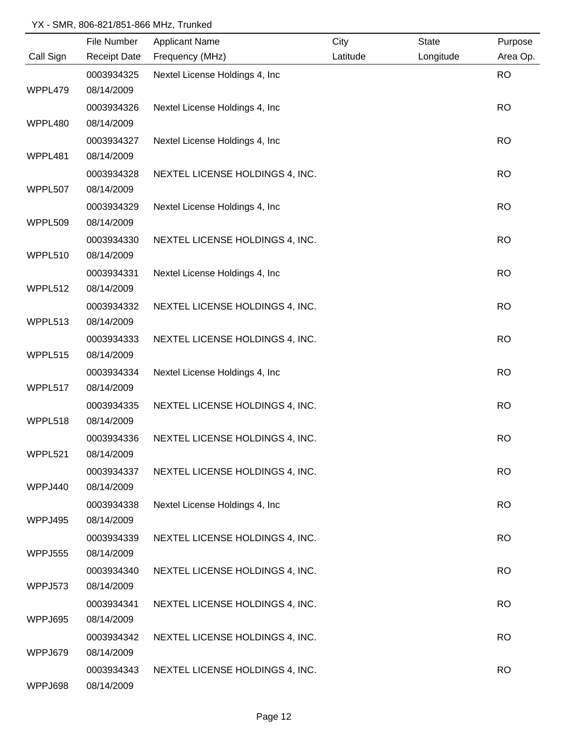|                | File Number         | <b>Applicant Name</b>           | City     | State     | Purpose   |
|----------------|---------------------|---------------------------------|----------|-----------|-----------|
| Call Sign      | <b>Receipt Date</b> | Frequency (MHz)                 | Latitude | Longitude | Area Op.  |
|                | 0003934325          | Nextel License Holdings 4, Inc  |          |           | <b>RO</b> |
| WPPL479        | 08/14/2009          |                                 |          |           |           |
|                | 0003934326          | Nextel License Holdings 4, Inc  |          |           | <b>RO</b> |
| WPPL480        | 08/14/2009          |                                 |          |           |           |
|                | 0003934327          | Nextel License Holdings 4, Inc. |          |           | <b>RO</b> |
| WPPL481        | 08/14/2009          |                                 |          |           |           |
|                | 0003934328          | NEXTEL LICENSE HOLDINGS 4, INC. |          |           | <b>RO</b> |
| WPPL507        | 08/14/2009          |                                 |          |           |           |
|                | 0003934329          | Nextel License Holdings 4, Inc  |          |           | <b>RO</b> |
| WPPL509        | 08/14/2009          |                                 |          |           |           |
|                | 0003934330          | NEXTEL LICENSE HOLDINGS 4, INC. |          |           | <b>RO</b> |
| WPPL510        | 08/14/2009          |                                 |          |           |           |
|                | 0003934331          | Nextel License Holdings 4, Inc  |          |           | <b>RO</b> |
| WPPL512        | 08/14/2009          |                                 |          |           |           |
|                | 0003934332          | NEXTEL LICENSE HOLDINGS 4, INC. |          |           | <b>RO</b> |
| WPPL513        | 08/14/2009          |                                 |          |           |           |
|                | 0003934333          | NEXTEL LICENSE HOLDINGS 4, INC. |          |           | <b>RO</b> |
| WPPL515        | 08/14/2009          |                                 |          |           |           |
|                | 0003934334          | Nextel License Holdings 4, Inc  |          |           | <b>RO</b> |
| WPPL517        | 08/14/2009          |                                 |          |           |           |
|                | 0003934335          | NEXTEL LICENSE HOLDINGS 4, INC. |          |           | <b>RO</b> |
| WPPL518        | 08/14/2009          |                                 |          |           |           |
|                | 0003934336          | NEXTEL LICENSE HOLDINGS 4, INC. |          |           | <b>RO</b> |
| WPPL521        | 08/14/2009          |                                 |          |           |           |
|                | 0003934337          | NEXTEL LICENSE HOLDINGS 4, INC. |          |           | <b>RO</b> |
| WPPJ440        | 08/14/2009          |                                 |          |           |           |
|                | 0003934338          | Nextel License Holdings 4, Inc  |          |           | <b>RO</b> |
| WPPJ495        | 08/14/2009          |                                 |          |           |           |
|                | 0003934339          | NEXTEL LICENSE HOLDINGS 4, INC. |          |           | <b>RO</b> |
| <b>WPPJ555</b> | 08/14/2009          |                                 |          |           |           |
|                | 0003934340          | NEXTEL LICENSE HOLDINGS 4, INC. |          |           | <b>RO</b> |
| WPPJ573        | 08/14/2009          |                                 |          |           |           |
|                | 0003934341          | NEXTEL LICENSE HOLDINGS 4, INC. |          |           | <b>RO</b> |
| WPPJ695        | 08/14/2009          |                                 |          |           |           |
|                | 0003934342          | NEXTEL LICENSE HOLDINGS 4, INC. |          |           | <b>RO</b> |
| WPPJ679        | 08/14/2009          |                                 |          |           |           |
|                | 0003934343          | NEXTEL LICENSE HOLDINGS 4, INC. |          |           | <b>RO</b> |
| WPPJ698        | 08/14/2009          |                                 |          |           |           |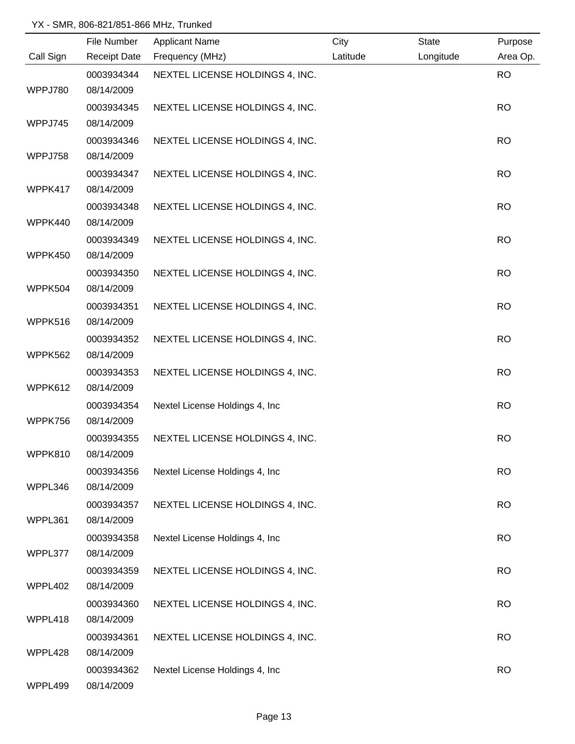|           | File Number         | <b>Applicant Name</b>           | City     | State     | Purpose   |
|-----------|---------------------|---------------------------------|----------|-----------|-----------|
| Call Sign | <b>Receipt Date</b> | Frequency (MHz)                 | Latitude | Longitude | Area Op.  |
|           | 0003934344          | NEXTEL LICENSE HOLDINGS 4, INC. |          |           | <b>RO</b> |
| WPPJ780   | 08/14/2009          |                                 |          |           |           |
|           | 0003934345          | NEXTEL LICENSE HOLDINGS 4, INC. |          |           | <b>RO</b> |
| WPPJ745   | 08/14/2009          |                                 |          |           |           |
|           | 0003934346          | NEXTEL LICENSE HOLDINGS 4, INC. |          |           | <b>RO</b> |
| WPPJ758   | 08/14/2009          |                                 |          |           |           |
|           | 0003934347          | NEXTEL LICENSE HOLDINGS 4, INC. |          |           | <b>RO</b> |
| WPPK417   | 08/14/2009          |                                 |          |           |           |
|           | 0003934348          | NEXTEL LICENSE HOLDINGS 4, INC. |          |           | <b>RO</b> |
| WPPK440   | 08/14/2009          |                                 |          |           |           |
|           | 0003934349          | NEXTEL LICENSE HOLDINGS 4, INC. |          |           | <b>RO</b> |
| WPPK450   | 08/14/2009          |                                 |          |           |           |
|           | 0003934350          | NEXTEL LICENSE HOLDINGS 4, INC. |          |           | <b>RO</b> |
| WPPK504   | 08/14/2009          |                                 |          |           |           |
|           | 0003934351          | NEXTEL LICENSE HOLDINGS 4, INC. |          |           | <b>RO</b> |
| WPPK516   | 08/14/2009          |                                 |          |           |           |
|           | 0003934352          | NEXTEL LICENSE HOLDINGS 4, INC. |          |           | <b>RO</b> |
| WPPK562   | 08/14/2009          |                                 |          |           |           |
|           | 0003934353          | NEXTEL LICENSE HOLDINGS 4, INC. |          |           | <b>RO</b> |
| WPPK612   | 08/14/2009          |                                 |          |           |           |
|           | 0003934354          | Nextel License Holdings 4, Inc  |          |           | <b>RO</b> |
| WPPK756   | 08/14/2009          |                                 |          |           |           |
|           | 0003934355          | NEXTEL LICENSE HOLDINGS 4, INC. |          |           | <b>RO</b> |
| WPPK810   | 08/14/2009          |                                 |          |           |           |
|           | 0003934356          | Nextel License Holdings 4, Inc. |          |           | <b>RO</b> |
| WPPL346   | 08/14/2009          |                                 |          |           |           |
|           | 0003934357          | NEXTEL LICENSE HOLDINGS 4, INC. |          |           | <b>RO</b> |
| WPPL361   | 08/14/2009          |                                 |          |           |           |
|           | 0003934358          | Nextel License Holdings 4, Inc  |          |           | <b>RO</b> |
| WPPL377   | 08/14/2009          |                                 |          |           |           |
|           | 0003934359          | NEXTEL LICENSE HOLDINGS 4, INC. |          |           | <b>RO</b> |
| WPPL402   | 08/14/2009          |                                 |          |           |           |
|           | 0003934360          | NEXTEL LICENSE HOLDINGS 4, INC. |          |           | <b>RO</b> |
| WPPL418   | 08/14/2009          |                                 |          |           |           |
|           | 0003934361          | NEXTEL LICENSE HOLDINGS 4, INC. |          |           | <b>RO</b> |
| WPPL428   | 08/14/2009          |                                 |          |           |           |
|           | 0003934362          | Nextel License Holdings 4, Inc  |          |           | <b>RO</b> |
| WPPL499   | 08/14/2009          |                                 |          |           |           |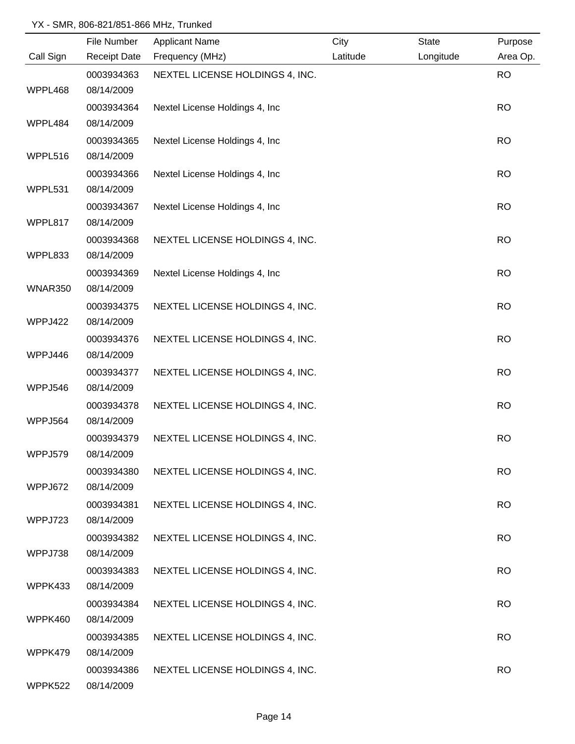|           | File Number         | <b>Applicant Name</b>           | City     | <b>State</b> | Purpose   |
|-----------|---------------------|---------------------------------|----------|--------------|-----------|
| Call Sign | <b>Receipt Date</b> | Frequency (MHz)                 | Latitude | Longitude    | Area Op.  |
|           | 0003934363          | NEXTEL LICENSE HOLDINGS 4, INC. |          |              | <b>RO</b> |
| WPPL468   | 08/14/2009          |                                 |          |              |           |
|           | 0003934364          | Nextel License Holdings 4, Inc. |          |              | <b>RO</b> |
| WPPL484   | 08/14/2009          |                                 |          |              |           |
|           | 0003934365          | Nextel License Holdings 4, Inc. |          |              | <b>RO</b> |
| WPPL516   | 08/14/2009          |                                 |          |              |           |
|           | 0003934366          | Nextel License Holdings 4, Inc  |          |              | <b>RO</b> |
| WPPL531   | 08/14/2009          |                                 |          |              |           |
|           | 0003934367          | Nextel License Holdings 4, Inc  |          |              | <b>RO</b> |
| WPPL817   | 08/14/2009          |                                 |          |              |           |
|           | 0003934368          | NEXTEL LICENSE HOLDINGS 4, INC. |          |              | <b>RO</b> |
| WPPL833   | 08/14/2009          |                                 |          |              |           |
|           | 0003934369          | Nextel License Holdings 4, Inc  |          |              | <b>RO</b> |
| WNAR350   | 08/14/2009          |                                 |          |              |           |
|           | 0003934375          | NEXTEL LICENSE HOLDINGS 4, INC. |          |              | <b>RO</b> |
| WPPJ422   | 08/14/2009          |                                 |          |              |           |
|           | 0003934376          | NEXTEL LICENSE HOLDINGS 4, INC. |          |              | <b>RO</b> |
| WPPJ446   | 08/14/2009          |                                 |          |              |           |
|           | 0003934377          | NEXTEL LICENSE HOLDINGS 4, INC. |          |              | <b>RO</b> |
| WPPJ546   | 08/14/2009          |                                 |          |              |           |
|           | 0003934378          | NEXTEL LICENSE HOLDINGS 4, INC. |          |              | <b>RO</b> |
| WPPJ564   | 08/14/2009          |                                 |          |              |           |
|           | 0003934379          | NEXTEL LICENSE HOLDINGS 4, INC. |          |              | <b>RO</b> |
| WPPJ579   | 08/14/2009          |                                 |          |              |           |
|           | 0003934380          | NEXTEL LICENSE HOLDINGS 4, INC. |          |              | <b>RO</b> |
| WPPJ672   | 08/14/2009          |                                 |          |              |           |
|           | 0003934381          | NEXTEL LICENSE HOLDINGS 4, INC. |          |              | <b>RO</b> |
| WPPJ723   | 08/14/2009          |                                 |          |              |           |
|           | 0003934382          | NEXTEL LICENSE HOLDINGS 4, INC. |          |              | <b>RO</b> |
| WPPJ738   | 08/14/2009          |                                 |          |              |           |
|           | 0003934383          | NEXTEL LICENSE HOLDINGS 4, INC. |          |              | <b>RO</b> |
| WPPK433   | 08/14/2009          |                                 |          |              |           |
|           | 0003934384          | NEXTEL LICENSE HOLDINGS 4, INC. |          |              | <b>RO</b> |
| WPPK460   | 08/14/2009          |                                 |          |              |           |
|           | 0003934385          | NEXTEL LICENSE HOLDINGS 4, INC. |          |              | <b>RO</b> |
| WPPK479   | 08/14/2009          |                                 |          |              |           |
|           | 0003934386          | NEXTEL LICENSE HOLDINGS 4, INC. |          |              | <b>RO</b> |
| WPPK522   | 08/14/2009          |                                 |          |              |           |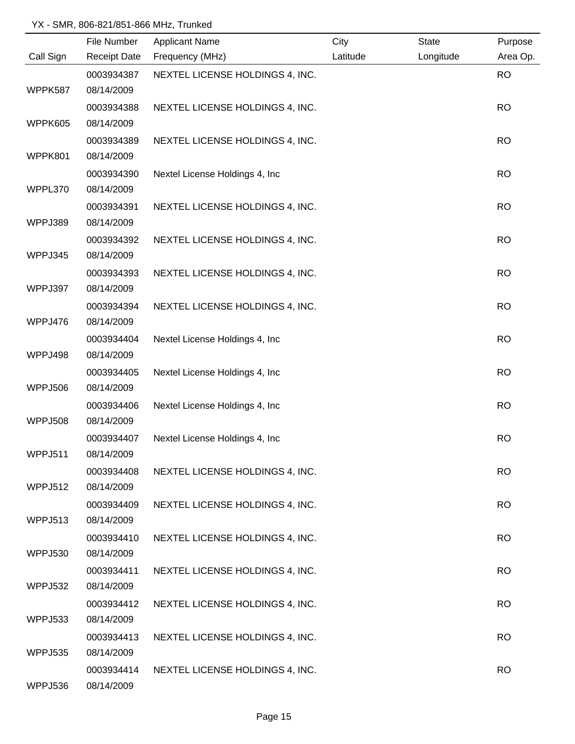|                | File Number         | <b>Applicant Name</b>           | City     | <b>State</b> | Purpose   |
|----------------|---------------------|---------------------------------|----------|--------------|-----------|
| Call Sign      | <b>Receipt Date</b> | Frequency (MHz)                 | Latitude | Longitude    | Area Op.  |
|                | 0003934387          | NEXTEL LICENSE HOLDINGS 4, INC. |          |              | <b>RO</b> |
| WPPK587        | 08/14/2009          |                                 |          |              |           |
|                | 0003934388          | NEXTEL LICENSE HOLDINGS 4, INC. |          |              | <b>RO</b> |
| WPPK605        | 08/14/2009          |                                 |          |              |           |
|                | 0003934389          | NEXTEL LICENSE HOLDINGS 4, INC. |          |              | <b>RO</b> |
| WPPK801        | 08/14/2009          |                                 |          |              |           |
|                | 0003934390          | Nextel License Holdings 4, Inc. |          |              | <b>RO</b> |
| WPPL370        | 08/14/2009          |                                 |          |              |           |
|                | 0003934391          | NEXTEL LICENSE HOLDINGS 4, INC. |          |              | <b>RO</b> |
| WPPJ389        | 08/14/2009          |                                 |          |              |           |
|                | 0003934392          | NEXTEL LICENSE HOLDINGS 4, INC. |          |              | <b>RO</b> |
| WPPJ345        | 08/14/2009          |                                 |          |              |           |
|                | 0003934393          | NEXTEL LICENSE HOLDINGS 4, INC. |          |              | <b>RO</b> |
| WPPJ397        | 08/14/2009          |                                 |          |              |           |
|                | 0003934394          | NEXTEL LICENSE HOLDINGS 4, INC. |          |              | <b>RO</b> |
| WPPJ476        | 08/14/2009          |                                 |          |              |           |
|                | 0003934404          | Nextel License Holdings 4, Inc  |          |              | <b>RO</b> |
| WPPJ498        | 08/14/2009          |                                 |          |              |           |
|                | 0003934405          | Nextel License Holdings 4, Inc  |          |              | <b>RO</b> |
| <b>WPPJ506</b> | 08/14/2009          |                                 |          |              |           |
|                | 0003934406          | Nextel License Holdings 4, Inc  |          |              | <b>RO</b> |
| <b>WPPJ508</b> | 08/14/2009          |                                 |          |              |           |
|                | 0003934407          | Nextel License Holdings 4, Inc  |          |              | <b>RO</b> |
| WPPJ511        | 08/14/2009          |                                 |          |              |           |
|                | 0003934408          | NEXTEL LICENSE HOLDINGS 4, INC. |          |              | <b>RO</b> |
| WPPJ512        | 08/14/2009          |                                 |          |              |           |
|                | 0003934409          | NEXTEL LICENSE HOLDINGS 4, INC. |          |              | <b>RO</b> |
| WPPJ513        | 08/14/2009          |                                 |          |              |           |
|                | 0003934410          | NEXTEL LICENSE HOLDINGS 4, INC. |          |              | <b>RO</b> |
| WPPJ530        | 08/14/2009          |                                 |          |              |           |
|                | 0003934411          | NEXTEL LICENSE HOLDINGS 4, INC. |          |              | <b>RO</b> |
| WPPJ532        | 08/14/2009          |                                 |          |              |           |
|                | 0003934412          | NEXTEL LICENSE HOLDINGS 4, INC. |          |              | <b>RO</b> |
| WPPJ533        | 08/14/2009          |                                 |          |              |           |
|                | 0003934413          | NEXTEL LICENSE HOLDINGS 4, INC. |          |              | <b>RO</b> |
| <b>WPPJ535</b> | 08/14/2009          |                                 |          |              |           |
|                | 0003934414          | NEXTEL LICENSE HOLDINGS 4, INC. |          |              | <b>RO</b> |
| WPPJ536        | 08/14/2009          |                                 |          |              |           |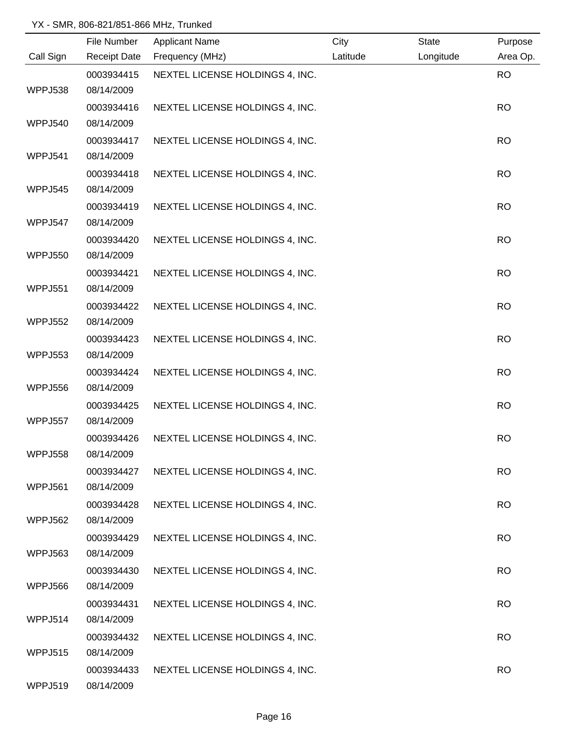|                | File Number              | <b>Applicant Name</b>           | City     | <b>State</b> | Purpose   |
|----------------|--------------------------|---------------------------------|----------|--------------|-----------|
| Call Sign      | <b>Receipt Date</b>      | Frequency (MHz)                 | Latitude | Longitude    | Area Op.  |
|                | 0003934415               | NEXTEL LICENSE HOLDINGS 4, INC. |          |              | <b>RO</b> |
| WPPJ538        | 08/14/2009               |                                 |          |              |           |
|                | 0003934416               | NEXTEL LICENSE HOLDINGS 4, INC. |          |              | <b>RO</b> |
| <b>WPPJ540</b> | 08/14/2009               |                                 |          |              |           |
|                | 0003934417               | NEXTEL LICENSE HOLDINGS 4, INC. |          |              | <b>RO</b> |
| WPPJ541        | 08/14/2009               |                                 |          |              |           |
|                | 0003934418               | NEXTEL LICENSE HOLDINGS 4, INC. |          |              | <b>RO</b> |
| WPPJ545        | 08/14/2009               |                                 |          |              |           |
|                | 0003934419               | NEXTEL LICENSE HOLDINGS 4, INC. |          |              | <b>RO</b> |
| WPPJ547        | 08/14/2009               |                                 |          |              |           |
|                | 0003934420               | NEXTEL LICENSE HOLDINGS 4, INC. |          |              | <b>RO</b> |
| WPPJ550        | 08/14/2009               |                                 |          |              |           |
|                | 0003934421               | NEXTEL LICENSE HOLDINGS 4, INC. |          |              | <b>RO</b> |
| WPPJ551        | 08/14/2009               |                                 |          |              |           |
|                | 0003934422               | NEXTEL LICENSE HOLDINGS 4, INC. |          |              | <b>RO</b> |
| <b>WPPJ552</b> | 08/14/2009               |                                 |          |              |           |
|                | 0003934423               | NEXTEL LICENSE HOLDINGS 4, INC. |          |              | <b>RO</b> |
| <b>WPPJ553</b> | 08/14/2009               |                                 |          |              |           |
|                | 0003934424               | NEXTEL LICENSE HOLDINGS 4, INC. |          |              | <b>RO</b> |
| <b>WPPJ556</b> | 08/14/2009               |                                 |          |              |           |
|                | 0003934425               | NEXTEL LICENSE HOLDINGS 4, INC. |          |              | <b>RO</b> |
| <b>WPPJ557</b> | 08/14/2009               |                                 |          |              |           |
|                | 0003934426               | NEXTEL LICENSE HOLDINGS 4, INC. |          |              | <b>RO</b> |
| WPPJ558        | 08/14/2009               |                                 |          |              |           |
|                | 0003934427               | NEXTEL LICENSE HOLDINGS 4, INC. |          |              | <b>RO</b> |
| WPPJ561        | 08/14/2009               |                                 |          |              |           |
|                | 0003934428               | NEXTEL LICENSE HOLDINGS 4, INC. |          |              | <b>RO</b> |
| <b>WPPJ562</b> | 08/14/2009               |                                 |          |              |           |
| WPPJ563        | 0003934429<br>08/14/2009 | NEXTEL LICENSE HOLDINGS 4, INC. |          |              | <b>RO</b> |
|                | 0003934430               |                                 |          |              |           |
| WPPJ566        | 08/14/2009               | NEXTEL LICENSE HOLDINGS 4, INC. |          |              | <b>RO</b> |
|                | 0003934431               | NEXTEL LICENSE HOLDINGS 4, INC. |          |              | <b>RO</b> |
| WPPJ514        | 08/14/2009               |                                 |          |              |           |
|                | 0003934432               | NEXTEL LICENSE HOLDINGS 4, INC. |          |              | <b>RO</b> |
| <b>WPPJ515</b> | 08/14/2009               |                                 |          |              |           |
|                | 0003934433               | NEXTEL LICENSE HOLDINGS 4, INC. |          |              | <b>RO</b> |
| WPPJ519        | 08/14/2009               |                                 |          |              |           |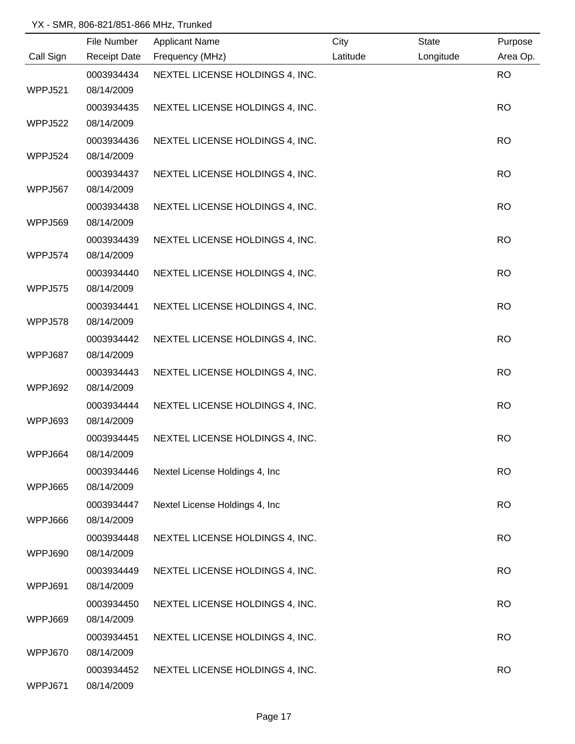|                | File Number         | <b>Applicant Name</b>           | City     | State     | Purpose   |
|----------------|---------------------|---------------------------------|----------|-----------|-----------|
| Call Sign      | <b>Receipt Date</b> | Frequency (MHz)                 | Latitude | Longitude | Area Op.  |
|                | 0003934434          | NEXTEL LICENSE HOLDINGS 4, INC. |          |           | <b>RO</b> |
| WPPJ521        | 08/14/2009          |                                 |          |           |           |
|                | 0003934435          | NEXTEL LICENSE HOLDINGS 4, INC. |          |           | <b>RO</b> |
| <b>WPPJ522</b> | 08/14/2009          |                                 |          |           |           |
|                | 0003934436          | NEXTEL LICENSE HOLDINGS 4, INC. |          |           | <b>RO</b> |
| WPPJ524        | 08/14/2009          |                                 |          |           |           |
|                | 0003934437          | NEXTEL LICENSE HOLDINGS 4, INC. |          |           | <b>RO</b> |
| WPPJ567        | 08/14/2009          |                                 |          |           |           |
|                | 0003934438          | NEXTEL LICENSE HOLDINGS 4, INC. |          |           | <b>RO</b> |
| WPPJ569        | 08/14/2009          |                                 |          |           |           |
|                | 0003934439          | NEXTEL LICENSE HOLDINGS 4, INC. |          |           | <b>RO</b> |
| WPPJ574        | 08/14/2009          |                                 |          |           |           |
|                | 0003934440          | NEXTEL LICENSE HOLDINGS 4, INC. |          |           | <b>RO</b> |
| WPPJ575        | 08/14/2009          |                                 |          |           |           |
|                | 0003934441          | NEXTEL LICENSE HOLDINGS 4, INC. |          |           | <b>RO</b> |
| WPPJ578        | 08/14/2009          |                                 |          |           |           |
|                | 0003934442          | NEXTEL LICENSE HOLDINGS 4, INC. |          |           | <b>RO</b> |
| WPPJ687        | 08/14/2009          |                                 |          |           |           |
|                | 0003934443          | NEXTEL LICENSE HOLDINGS 4, INC. |          |           | <b>RO</b> |
| WPPJ692        | 08/14/2009          |                                 |          |           |           |
|                | 0003934444          | NEXTEL LICENSE HOLDINGS 4, INC. |          |           | <b>RO</b> |
| WPPJ693        | 08/14/2009          |                                 |          |           |           |
|                | 0003934445          | NEXTEL LICENSE HOLDINGS 4, INC. |          |           | <b>RO</b> |
| WPPJ664        | 08/14/2009          |                                 |          |           |           |
|                | 0003934446          | Nextel License Holdings 4, Inc. |          |           | <b>RO</b> |
| WPPJ665        | 08/14/2009          |                                 |          |           |           |
|                | 0003934447          | Nextel License Holdings 4, Inc  |          |           | <b>RO</b> |
| WPPJ666        | 08/14/2009          |                                 |          |           |           |
|                | 0003934448          | NEXTEL LICENSE HOLDINGS 4, INC. |          |           | <b>RO</b> |
| WPPJ690        | 08/14/2009          |                                 |          |           |           |
|                | 0003934449          | NEXTEL LICENSE HOLDINGS 4, INC. |          |           | <b>RO</b> |
| WPPJ691        | 08/14/2009          |                                 |          |           |           |
|                | 0003934450          | NEXTEL LICENSE HOLDINGS 4, INC. |          |           | <b>RO</b> |
| WPPJ669        | 08/14/2009          |                                 |          |           |           |
|                | 0003934451          | NEXTEL LICENSE HOLDINGS 4, INC. |          |           | <b>RO</b> |
| WPPJ670        | 08/14/2009          |                                 |          |           |           |
|                | 0003934452          | NEXTEL LICENSE HOLDINGS 4, INC. |          |           | <b>RO</b> |
| WPPJ671        | 08/14/2009          |                                 |          |           |           |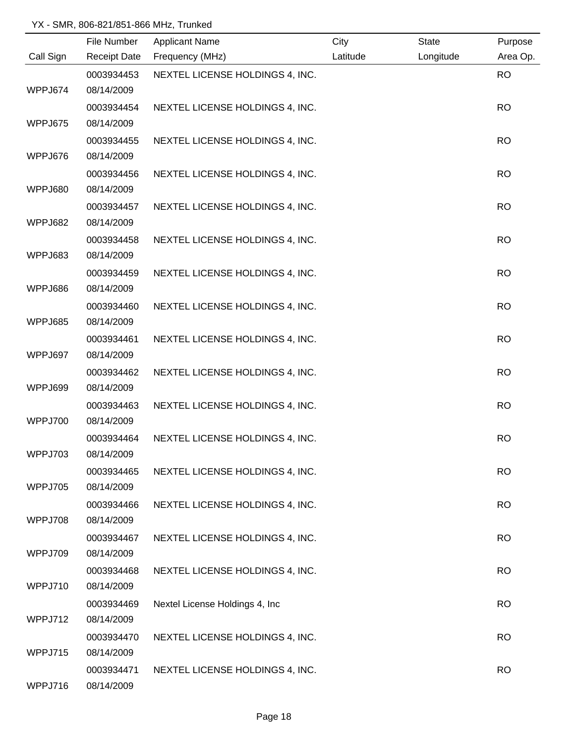|                | File Number         | <b>Applicant Name</b>           | City     | State     | Purpose   |
|----------------|---------------------|---------------------------------|----------|-----------|-----------|
| Call Sign      | <b>Receipt Date</b> | Frequency (MHz)                 | Latitude | Longitude | Area Op.  |
|                | 0003934453          | NEXTEL LICENSE HOLDINGS 4, INC. |          |           | <b>RO</b> |
| WPPJ674        | 08/14/2009          |                                 |          |           |           |
|                | 0003934454          | NEXTEL LICENSE HOLDINGS 4, INC. |          |           | <b>RO</b> |
| WPPJ675        | 08/14/2009          |                                 |          |           |           |
|                | 0003934455          | NEXTEL LICENSE HOLDINGS 4, INC. |          |           | <b>RO</b> |
| WPPJ676        | 08/14/2009          |                                 |          |           |           |
|                | 0003934456          | NEXTEL LICENSE HOLDINGS 4, INC. |          |           | <b>RO</b> |
| WPPJ680        | 08/14/2009          |                                 |          |           |           |
|                | 0003934457          | NEXTEL LICENSE HOLDINGS 4, INC. |          |           | <b>RO</b> |
| WPPJ682        | 08/14/2009          |                                 |          |           |           |
|                | 0003934458          | NEXTEL LICENSE HOLDINGS 4, INC. |          |           | <b>RO</b> |
| WPPJ683        | 08/14/2009          |                                 |          |           |           |
|                | 0003934459          | NEXTEL LICENSE HOLDINGS 4, INC. |          |           | <b>RO</b> |
| WPPJ686        | 08/14/2009          |                                 |          |           |           |
|                | 0003934460          | NEXTEL LICENSE HOLDINGS 4, INC. |          |           | <b>RO</b> |
| WPPJ685        | 08/14/2009          |                                 |          |           |           |
|                | 0003934461          | NEXTEL LICENSE HOLDINGS 4, INC. |          |           | <b>RO</b> |
| WPPJ697        | 08/14/2009          |                                 |          |           |           |
|                | 0003934462          | NEXTEL LICENSE HOLDINGS 4, INC. |          |           | <b>RO</b> |
| WPPJ699        | 08/14/2009          |                                 |          |           |           |
|                | 0003934463          | NEXTEL LICENSE HOLDINGS 4, INC. |          |           | <b>RO</b> |
| <b>WPPJ700</b> | 08/14/2009          |                                 |          |           |           |
|                | 0003934464          | NEXTEL LICENSE HOLDINGS 4, INC. |          |           | <b>RO</b> |
| WPPJ703        | 08/14/2009          |                                 |          |           |           |
|                | 0003934465          | NEXTEL LICENSE HOLDINGS 4, INC. |          |           | <b>RO</b> |
| WPPJ705        | 08/14/2009          |                                 |          |           |           |
|                | 0003934466          | NEXTEL LICENSE HOLDINGS 4, INC. |          |           | <b>RO</b> |
| WPPJ708        | 08/14/2009          |                                 |          |           |           |
|                | 0003934467          | NEXTEL LICENSE HOLDINGS 4, INC. |          |           | <b>RO</b> |
| WPPJ709        | 08/14/2009          |                                 |          |           |           |
|                | 0003934468          | NEXTEL LICENSE HOLDINGS 4, INC. |          |           | <b>RO</b> |
| WPPJ710        | 08/14/2009          |                                 |          |           |           |
|                | 0003934469          | Nextel License Holdings 4, Inc  |          |           | <b>RO</b> |
| WPPJ712        | 08/14/2009          |                                 |          |           |           |
|                | 0003934470          | NEXTEL LICENSE HOLDINGS 4, INC. |          |           | <b>RO</b> |
| WPPJ715        | 08/14/2009          |                                 |          |           |           |
|                | 0003934471          | NEXTEL LICENSE HOLDINGS 4, INC. |          |           | <b>RO</b> |
| WPPJ716        | 08/14/2009          |                                 |          |           |           |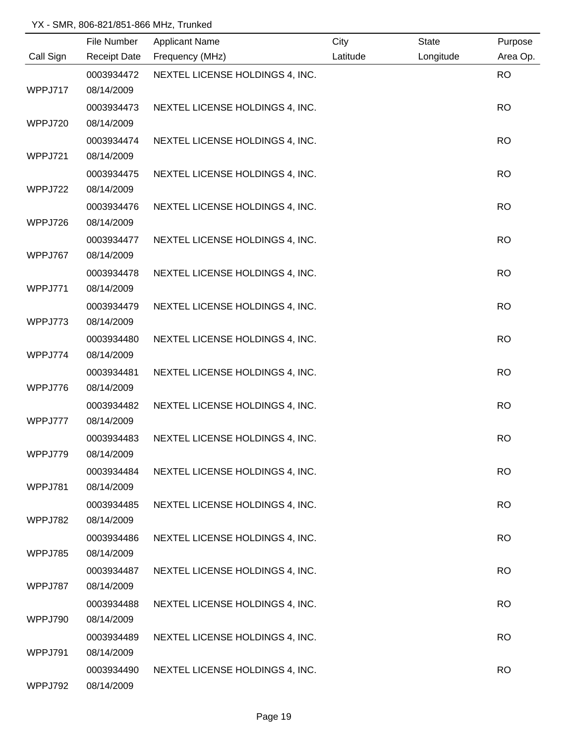|           | File Number              | <b>Applicant Name</b>           | City     | <b>State</b> | Purpose   |
|-----------|--------------------------|---------------------------------|----------|--------------|-----------|
| Call Sign | <b>Receipt Date</b>      | Frequency (MHz)                 | Latitude | Longitude    | Area Op.  |
|           | 0003934472               | NEXTEL LICENSE HOLDINGS 4, INC. |          |              | <b>RO</b> |
| WPPJ717   | 08/14/2009               |                                 |          |              |           |
|           | 0003934473               | NEXTEL LICENSE HOLDINGS 4, INC. |          |              | <b>RO</b> |
| WPPJ720   | 08/14/2009               |                                 |          |              |           |
|           | 0003934474               | NEXTEL LICENSE HOLDINGS 4, INC. |          |              | <b>RO</b> |
| WPPJ721   | 08/14/2009               |                                 |          |              |           |
|           | 0003934475               | NEXTEL LICENSE HOLDINGS 4, INC. |          |              | <b>RO</b> |
| WPPJ722   | 08/14/2009               |                                 |          |              |           |
|           | 0003934476               | NEXTEL LICENSE HOLDINGS 4, INC. |          |              | <b>RO</b> |
| WPPJ726   | 08/14/2009               |                                 |          |              |           |
|           | 0003934477               | NEXTEL LICENSE HOLDINGS 4, INC. |          |              | <b>RO</b> |
| WPPJ767   | 08/14/2009               |                                 |          |              |           |
|           | 0003934478               | NEXTEL LICENSE HOLDINGS 4, INC. |          |              | <b>RO</b> |
| WPPJ771   | 08/14/2009               |                                 |          |              |           |
|           | 0003934479               | NEXTEL LICENSE HOLDINGS 4, INC. |          |              | <b>RO</b> |
| WPPJ773   | 08/14/2009               |                                 |          |              |           |
|           | 0003934480               | NEXTEL LICENSE HOLDINGS 4, INC. |          |              | <b>RO</b> |
| WPPJ774   | 08/14/2009               |                                 |          |              |           |
|           | 0003934481               | NEXTEL LICENSE HOLDINGS 4, INC. |          |              | <b>RO</b> |
| WPPJ776   | 08/14/2009               |                                 |          |              |           |
|           | 0003934482               | NEXTEL LICENSE HOLDINGS 4, INC. |          |              | <b>RO</b> |
| WPPJ777   | 08/14/2009               |                                 |          |              |           |
| WPPJ779   | 0003934483<br>08/14/2009 | NEXTEL LICENSE HOLDINGS 4, INC. |          |              | <b>RO</b> |
|           | 0003934484               |                                 |          |              | <b>RO</b> |
| WPPJ781   | 08/14/2009               | NEXTEL LICENSE HOLDINGS 4, INC. |          |              |           |
|           | 0003934485               | NEXTEL LICENSE HOLDINGS 4, INC. |          |              | <b>RO</b> |
| WPPJ782   | 08/14/2009               |                                 |          |              |           |
|           | 0003934486               | NEXTEL LICENSE HOLDINGS 4, INC. |          |              | <b>RO</b> |
| WPPJ785   | 08/14/2009               |                                 |          |              |           |
|           | 0003934487               | NEXTEL LICENSE HOLDINGS 4, INC. |          |              | <b>RO</b> |
| WPPJ787   | 08/14/2009               |                                 |          |              |           |
|           | 0003934488               | NEXTEL LICENSE HOLDINGS 4, INC. |          |              | <b>RO</b> |
| WPPJ790   | 08/14/2009               |                                 |          |              |           |
|           | 0003934489               | NEXTEL LICENSE HOLDINGS 4, INC. |          |              | <b>RO</b> |
| WPPJ791   | 08/14/2009               |                                 |          |              |           |
|           | 0003934490               | NEXTEL LICENSE HOLDINGS 4, INC. |          |              | <b>RO</b> |
| WPPJ792   | 08/14/2009               |                                 |          |              |           |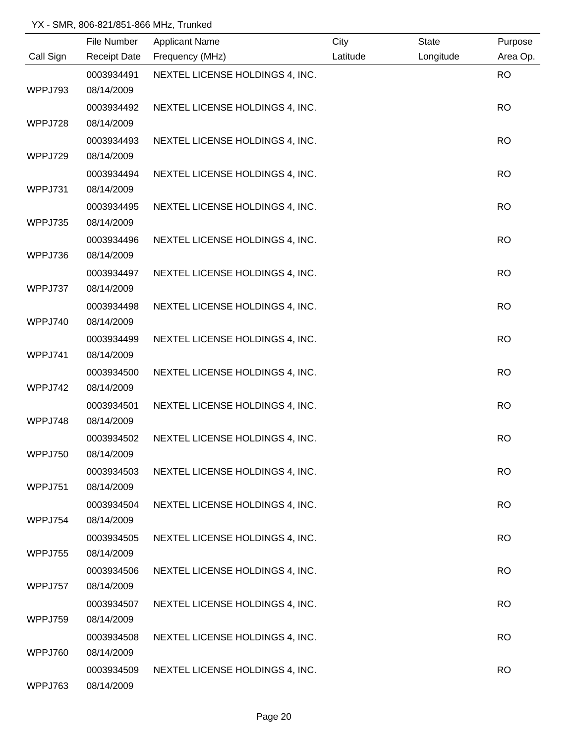|           | File Number         | <b>Applicant Name</b>           | City     | <b>State</b> | Purpose   |
|-----------|---------------------|---------------------------------|----------|--------------|-----------|
| Call Sign | <b>Receipt Date</b> | Frequency (MHz)                 | Latitude | Longitude    | Area Op.  |
|           | 0003934491          | NEXTEL LICENSE HOLDINGS 4, INC. |          |              | <b>RO</b> |
| WPPJ793   | 08/14/2009          |                                 |          |              |           |
|           | 0003934492          | NEXTEL LICENSE HOLDINGS 4, INC. |          |              | <b>RO</b> |
| WPPJ728   | 08/14/2009          |                                 |          |              |           |
|           | 0003934493          | NEXTEL LICENSE HOLDINGS 4, INC. |          |              | <b>RO</b> |
| WPPJ729   | 08/14/2009          |                                 |          |              |           |
|           | 0003934494          | NEXTEL LICENSE HOLDINGS 4, INC. |          |              | <b>RO</b> |
| WPPJ731   | 08/14/2009          |                                 |          |              |           |
|           | 0003934495          | NEXTEL LICENSE HOLDINGS 4, INC. |          |              | <b>RO</b> |
| WPPJ735   | 08/14/2009          |                                 |          |              |           |
|           | 0003934496          | NEXTEL LICENSE HOLDINGS 4, INC. |          |              | <b>RO</b> |
| WPPJ736   | 08/14/2009          |                                 |          |              |           |
|           | 0003934497          | NEXTEL LICENSE HOLDINGS 4, INC. |          |              | <b>RO</b> |
| WPPJ737   | 08/14/2009          |                                 |          |              |           |
|           | 0003934498          | NEXTEL LICENSE HOLDINGS 4, INC. |          |              | <b>RO</b> |
| WPPJ740   | 08/14/2009          |                                 |          |              |           |
|           | 0003934499          | NEXTEL LICENSE HOLDINGS 4, INC. |          |              | <b>RO</b> |
| WPPJ741   | 08/14/2009          |                                 |          |              |           |
|           | 0003934500          | NEXTEL LICENSE HOLDINGS 4, INC. |          |              | <b>RO</b> |
| WPPJ742   | 08/14/2009          |                                 |          |              |           |
|           | 0003934501          | NEXTEL LICENSE HOLDINGS 4, INC. |          |              | <b>RO</b> |
| WPPJ748   | 08/14/2009          |                                 |          |              |           |
|           | 0003934502          | NEXTEL LICENSE HOLDINGS 4, INC. |          |              | <b>RO</b> |
| WPPJ750   | 08/14/2009          |                                 |          |              |           |
|           | 0003934503          | NEXTEL LICENSE HOLDINGS 4, INC. |          |              | <b>RO</b> |
| WPPJ751   | 08/14/2009          |                                 |          |              |           |
|           | 0003934504          | NEXTEL LICENSE HOLDINGS 4, INC. |          |              | <b>RO</b> |
| WPPJ754   | 08/14/2009          |                                 |          |              |           |
|           | 0003934505          | NEXTEL LICENSE HOLDINGS 4, INC. |          |              | <b>RO</b> |
| WPPJ755   | 08/14/2009          |                                 |          |              |           |
|           | 0003934506          | NEXTEL LICENSE HOLDINGS 4, INC. |          |              | <b>RO</b> |
| WPPJ757   | 08/14/2009          |                                 |          |              |           |
|           | 0003934507          | NEXTEL LICENSE HOLDINGS 4, INC. |          |              | <b>RO</b> |
| WPPJ759   | 08/14/2009          |                                 |          |              |           |
|           | 0003934508          | NEXTEL LICENSE HOLDINGS 4, INC. |          |              | <b>RO</b> |
| WPPJ760   | 08/14/2009          |                                 |          |              |           |
|           | 0003934509          | NEXTEL LICENSE HOLDINGS 4, INC. |          |              | <b>RO</b> |
| WPPJ763   | 08/14/2009          |                                 |          |              |           |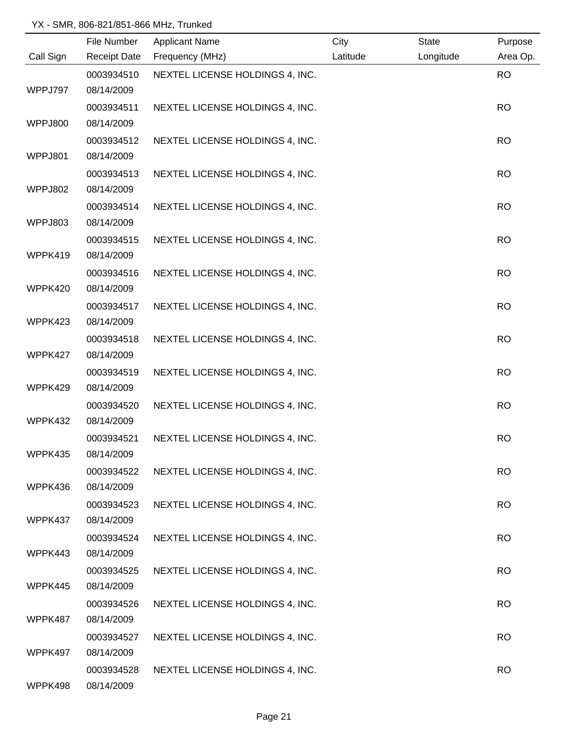|           | File Number              | <b>Applicant Name</b>           | City     | <b>State</b> | Purpose   |
|-----------|--------------------------|---------------------------------|----------|--------------|-----------|
| Call Sign | <b>Receipt Date</b>      | Frequency (MHz)                 | Latitude | Longitude    | Area Op.  |
|           | 0003934510               | NEXTEL LICENSE HOLDINGS 4, INC. |          |              | <b>RO</b> |
| WPPJ797   | 08/14/2009               |                                 |          |              |           |
|           | 0003934511               | NEXTEL LICENSE HOLDINGS 4, INC. |          |              | <b>RO</b> |
| WPPJ800   | 08/14/2009               |                                 |          |              |           |
|           | 0003934512               | NEXTEL LICENSE HOLDINGS 4, INC. |          |              | <b>RO</b> |
| WPPJ801   | 08/14/2009               |                                 |          |              |           |
|           | 0003934513               | NEXTEL LICENSE HOLDINGS 4, INC. |          |              | <b>RO</b> |
| WPPJ802   | 08/14/2009               |                                 |          |              |           |
|           | 0003934514               | NEXTEL LICENSE HOLDINGS 4, INC. |          |              | <b>RO</b> |
| WPPJ803   | 08/14/2009               |                                 |          |              |           |
|           | 0003934515               | NEXTEL LICENSE HOLDINGS 4, INC. |          |              | <b>RO</b> |
| WPPK419   | 08/14/2009               |                                 |          |              |           |
|           | 0003934516               | NEXTEL LICENSE HOLDINGS 4, INC. |          |              | <b>RO</b> |
| WPPK420   | 08/14/2009               |                                 |          |              |           |
|           | 0003934517               | NEXTEL LICENSE HOLDINGS 4, INC. |          |              | <b>RO</b> |
| WPPK423   | 08/14/2009               |                                 |          |              |           |
|           | 0003934518               | NEXTEL LICENSE HOLDINGS 4, INC. |          |              | <b>RO</b> |
| WPPK427   | 08/14/2009               |                                 |          |              |           |
|           | 0003934519               | NEXTEL LICENSE HOLDINGS 4, INC. |          |              | <b>RO</b> |
| WPPK429   | 08/14/2009               |                                 |          |              |           |
|           | 0003934520               | NEXTEL LICENSE HOLDINGS 4, INC. |          |              | <b>RO</b> |
| WPPK432   | 08/14/2009               |                                 |          |              |           |
|           | 0003934521               | NEXTEL LICENSE HOLDINGS 4, INC. |          |              | <b>RO</b> |
| WPPK435   | 08/14/2009               |                                 |          |              |           |
|           | 0003934522               | NEXTEL LICENSE HOLDINGS 4, INC. |          |              | <b>RO</b> |
| WPPK436   | 08/14/2009               |                                 |          |              |           |
|           | 0003934523               | NEXTEL LICENSE HOLDINGS 4, INC. |          |              | <b>RO</b> |
| WPPK437   | 08/14/2009               |                                 |          |              |           |
|           | 0003934524               | NEXTEL LICENSE HOLDINGS 4, INC. |          |              | <b>RO</b> |
| WPPK443   | 08/14/2009               |                                 |          |              |           |
|           | 0003934525               | NEXTEL LICENSE HOLDINGS 4, INC. |          |              | <b>RO</b> |
| WPPK445   | 08/14/2009               |                                 |          |              |           |
|           | 0003934526<br>08/14/2009 | NEXTEL LICENSE HOLDINGS 4, INC. |          |              | <b>RO</b> |
| WPPK487   |                          |                                 |          |              |           |
| WPPK497   | 0003934527<br>08/14/2009 | NEXTEL LICENSE HOLDINGS 4, INC. |          |              | <b>RO</b> |
|           | 0003934528               | NEXTEL LICENSE HOLDINGS 4, INC. |          |              | <b>RO</b> |
| WPPK498   | 08/14/2009               |                                 |          |              |           |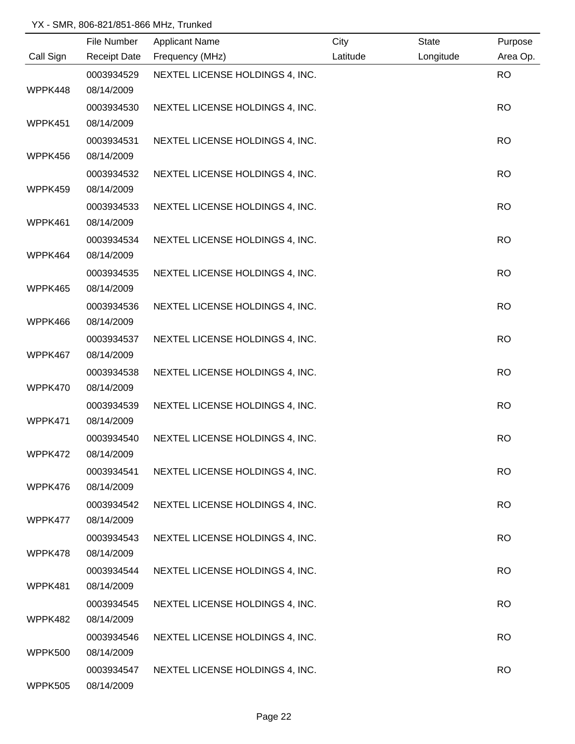|           | File Number         | <b>Applicant Name</b>           | City     | <b>State</b> | Purpose   |
|-----------|---------------------|---------------------------------|----------|--------------|-----------|
| Call Sign | <b>Receipt Date</b> | Frequency (MHz)                 | Latitude | Longitude    | Area Op.  |
|           | 0003934529          | NEXTEL LICENSE HOLDINGS 4, INC. |          |              | <b>RO</b> |
| WPPK448   | 08/14/2009          |                                 |          |              |           |
|           | 0003934530          | NEXTEL LICENSE HOLDINGS 4, INC. |          |              | <b>RO</b> |
| WPPK451   | 08/14/2009          |                                 |          |              |           |
|           | 0003934531          | NEXTEL LICENSE HOLDINGS 4, INC. |          |              | <b>RO</b> |
| WPPK456   | 08/14/2009          |                                 |          |              |           |
|           | 0003934532          | NEXTEL LICENSE HOLDINGS 4, INC. |          |              | <b>RO</b> |
| WPPK459   | 08/14/2009          |                                 |          |              |           |
|           | 0003934533          | NEXTEL LICENSE HOLDINGS 4, INC. |          |              | <b>RO</b> |
| WPPK461   | 08/14/2009          |                                 |          |              |           |
|           | 0003934534          | NEXTEL LICENSE HOLDINGS 4, INC. |          |              | <b>RO</b> |
| WPPK464   | 08/14/2009          |                                 |          |              |           |
|           | 0003934535          | NEXTEL LICENSE HOLDINGS 4, INC. |          |              | <b>RO</b> |
| WPPK465   | 08/14/2009          |                                 |          |              |           |
|           | 0003934536          | NEXTEL LICENSE HOLDINGS 4, INC. |          |              | <b>RO</b> |
| WPPK466   | 08/14/2009          |                                 |          |              |           |
|           | 0003934537          | NEXTEL LICENSE HOLDINGS 4, INC. |          |              | <b>RO</b> |
| WPPK467   | 08/14/2009          |                                 |          |              |           |
|           | 0003934538          | NEXTEL LICENSE HOLDINGS 4, INC. |          |              | <b>RO</b> |
| WPPK470   | 08/14/2009          |                                 |          |              |           |
|           | 0003934539          | NEXTEL LICENSE HOLDINGS 4, INC. |          |              | <b>RO</b> |
| WPPK471   | 08/14/2009          |                                 |          |              |           |
|           | 0003934540          | NEXTEL LICENSE HOLDINGS 4, INC. |          |              | <b>RO</b> |
| WPPK472   | 08/14/2009          |                                 |          |              |           |
|           | 0003934541          | NEXTEL LICENSE HOLDINGS 4, INC. |          |              | <b>RO</b> |
| WPPK476   | 08/14/2009          |                                 |          |              |           |
|           | 0003934542          | NEXTEL LICENSE HOLDINGS 4, INC. |          |              | <b>RO</b> |
| WPPK477   | 08/14/2009          |                                 |          |              |           |
|           | 0003934543          | NEXTEL LICENSE HOLDINGS 4, INC. |          |              | <b>RO</b> |
| WPPK478   | 08/14/2009          |                                 |          |              |           |
|           | 0003934544          | NEXTEL LICENSE HOLDINGS 4, INC. |          |              | <b>RO</b> |
| WPPK481   | 08/14/2009          |                                 |          |              |           |
|           | 0003934545          | NEXTEL LICENSE HOLDINGS 4, INC. |          |              | <b>RO</b> |
| WPPK482   | 08/14/2009          |                                 |          |              |           |
|           | 0003934546          | NEXTEL LICENSE HOLDINGS 4, INC. |          |              | <b>RO</b> |
| WPPK500   | 08/14/2009          |                                 |          |              |           |
|           | 0003934547          | NEXTEL LICENSE HOLDINGS 4, INC. |          |              | <b>RO</b> |
| WPPK505   | 08/14/2009          |                                 |          |              |           |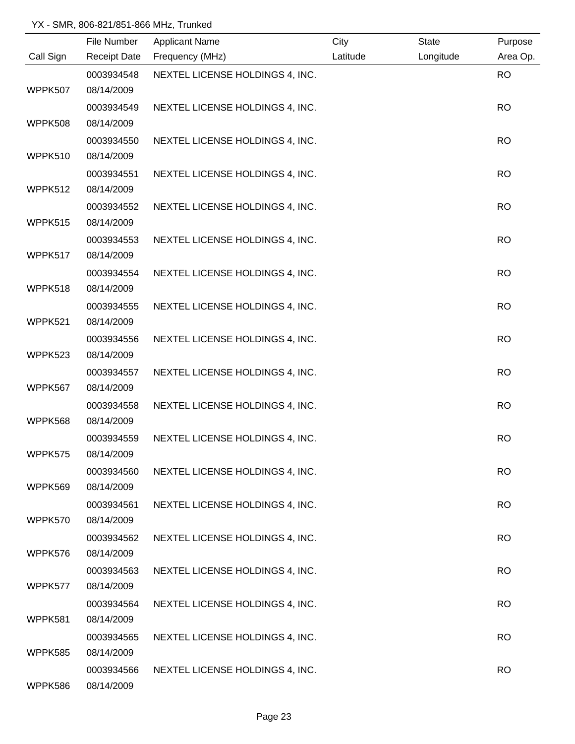|           | File Number         | <b>Applicant Name</b>           | City     | <b>State</b> | Purpose   |
|-----------|---------------------|---------------------------------|----------|--------------|-----------|
| Call Sign | <b>Receipt Date</b> | Frequency (MHz)                 | Latitude | Longitude    | Area Op.  |
|           | 0003934548          | NEXTEL LICENSE HOLDINGS 4, INC. |          |              | <b>RO</b> |
| WPPK507   | 08/14/2009          |                                 |          |              |           |
|           | 0003934549          | NEXTEL LICENSE HOLDINGS 4, INC. |          |              | <b>RO</b> |
| WPPK508   | 08/14/2009          |                                 |          |              |           |
|           | 0003934550          | NEXTEL LICENSE HOLDINGS 4, INC. |          |              | <b>RO</b> |
| WPPK510   | 08/14/2009          |                                 |          |              |           |
|           | 0003934551          | NEXTEL LICENSE HOLDINGS 4, INC. |          |              | <b>RO</b> |
| WPPK512   | 08/14/2009          |                                 |          |              |           |
|           | 0003934552          | NEXTEL LICENSE HOLDINGS 4, INC. |          |              | <b>RO</b> |
| WPPK515   | 08/14/2009          |                                 |          |              |           |
|           | 0003934553          | NEXTEL LICENSE HOLDINGS 4, INC. |          |              | <b>RO</b> |
| WPPK517   | 08/14/2009          |                                 |          |              |           |
|           | 0003934554          | NEXTEL LICENSE HOLDINGS 4, INC. |          |              | <b>RO</b> |
| WPPK518   | 08/14/2009          |                                 |          |              |           |
|           | 0003934555          | NEXTEL LICENSE HOLDINGS 4, INC. |          |              | <b>RO</b> |
| WPPK521   | 08/14/2009          |                                 |          |              |           |
|           | 0003934556          | NEXTEL LICENSE HOLDINGS 4, INC. |          |              | <b>RO</b> |
| WPPK523   | 08/14/2009          |                                 |          |              |           |
|           | 0003934557          | NEXTEL LICENSE HOLDINGS 4, INC. |          |              | <b>RO</b> |
| WPPK567   | 08/14/2009          |                                 |          |              |           |
|           | 0003934558          | NEXTEL LICENSE HOLDINGS 4, INC. |          |              | <b>RO</b> |
| WPPK568   | 08/14/2009          |                                 |          |              |           |
|           | 0003934559          | NEXTEL LICENSE HOLDINGS 4, INC. |          |              | <b>RO</b> |
| WPPK575   | 08/14/2009          |                                 |          |              |           |
|           | 0003934560          | NEXTEL LICENSE HOLDINGS 4, INC. |          |              | <b>RO</b> |
| WPPK569   | 08/14/2009          |                                 |          |              |           |
|           | 0003934561          | NEXTEL LICENSE HOLDINGS 4, INC. |          |              | <b>RO</b> |
| WPPK570   | 08/14/2009          |                                 |          |              |           |
|           | 0003934562          | NEXTEL LICENSE HOLDINGS 4, INC. |          |              | <b>RO</b> |
| WPPK576   | 08/14/2009          |                                 |          |              |           |
|           | 0003934563          | NEXTEL LICENSE HOLDINGS 4, INC. |          |              | <b>RO</b> |
| WPPK577   | 08/14/2009          |                                 |          |              |           |
|           | 0003934564          | NEXTEL LICENSE HOLDINGS 4, INC. |          |              | <b>RO</b> |
| WPPK581   | 08/14/2009          |                                 |          |              |           |
|           | 0003934565          | NEXTEL LICENSE HOLDINGS 4, INC. |          |              | <b>RO</b> |
| WPPK585   | 08/14/2009          |                                 |          |              |           |
|           | 0003934566          | NEXTEL LICENSE HOLDINGS 4, INC. |          |              | <b>RO</b> |
| WPPK586   | 08/14/2009          |                                 |          |              |           |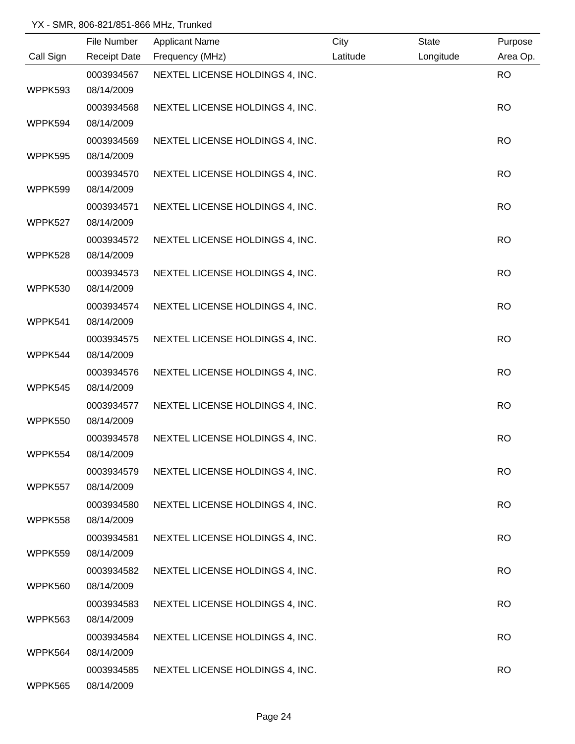|           | File Number         | <b>Applicant Name</b>           | City     | <b>State</b> | Purpose   |
|-----------|---------------------|---------------------------------|----------|--------------|-----------|
| Call Sign | <b>Receipt Date</b> | Frequency (MHz)                 | Latitude | Longitude    | Area Op.  |
|           | 0003934567          | NEXTEL LICENSE HOLDINGS 4, INC. |          |              | <b>RO</b> |
| WPPK593   | 08/14/2009          |                                 |          |              |           |
|           | 0003934568          | NEXTEL LICENSE HOLDINGS 4, INC. |          |              | <b>RO</b> |
| WPPK594   | 08/14/2009          |                                 |          |              |           |
|           | 0003934569          | NEXTEL LICENSE HOLDINGS 4, INC. |          |              | <b>RO</b> |
| WPPK595   | 08/14/2009          |                                 |          |              |           |
|           | 0003934570          | NEXTEL LICENSE HOLDINGS 4, INC. |          |              | <b>RO</b> |
| WPPK599   | 08/14/2009          |                                 |          |              |           |
|           | 0003934571          | NEXTEL LICENSE HOLDINGS 4, INC. |          |              | <b>RO</b> |
| WPPK527   | 08/14/2009          |                                 |          |              |           |
|           | 0003934572          | NEXTEL LICENSE HOLDINGS 4, INC. |          |              | <b>RO</b> |
| WPPK528   | 08/14/2009          |                                 |          |              |           |
|           | 0003934573          | NEXTEL LICENSE HOLDINGS 4, INC. |          |              | <b>RO</b> |
| WPPK530   | 08/14/2009          |                                 |          |              |           |
|           | 0003934574          | NEXTEL LICENSE HOLDINGS 4, INC. |          |              | <b>RO</b> |
| WPPK541   | 08/14/2009          |                                 |          |              |           |
|           | 0003934575          | NEXTEL LICENSE HOLDINGS 4, INC. |          |              | <b>RO</b> |
| WPPK544   | 08/14/2009          |                                 |          |              |           |
|           | 0003934576          | NEXTEL LICENSE HOLDINGS 4, INC. |          |              | <b>RO</b> |
| WPPK545   | 08/14/2009          |                                 |          |              |           |
|           | 0003934577          | NEXTEL LICENSE HOLDINGS 4, INC. |          |              | <b>RO</b> |
| WPPK550   | 08/14/2009          |                                 |          |              |           |
|           | 0003934578          | NEXTEL LICENSE HOLDINGS 4, INC. |          |              | <b>RO</b> |
| WPPK554   | 08/14/2009          |                                 |          |              |           |
|           | 0003934579          | NEXTEL LICENSE HOLDINGS 4, INC. |          |              | <b>RO</b> |
| WPPK557   | 08/14/2009          |                                 |          |              |           |
|           | 0003934580          | NEXTEL LICENSE HOLDINGS 4, INC. |          |              | <b>RO</b> |
| WPPK558   | 08/14/2009          |                                 |          |              |           |
|           | 0003934581          | NEXTEL LICENSE HOLDINGS 4, INC. |          |              | <b>RO</b> |
| WPPK559   | 08/14/2009          |                                 |          |              |           |
|           | 0003934582          | NEXTEL LICENSE HOLDINGS 4, INC. |          |              | <b>RO</b> |
| WPPK560   | 08/14/2009          |                                 |          |              |           |
|           | 0003934583          | NEXTEL LICENSE HOLDINGS 4, INC. |          |              | <b>RO</b> |
| WPPK563   | 08/14/2009          |                                 |          |              |           |
|           | 0003934584          | NEXTEL LICENSE HOLDINGS 4, INC. |          |              | <b>RO</b> |
| WPPK564   | 08/14/2009          |                                 |          |              |           |
|           | 0003934585          | NEXTEL LICENSE HOLDINGS 4, INC. |          |              | <b>RO</b> |
| WPPK565   | 08/14/2009          |                                 |          |              |           |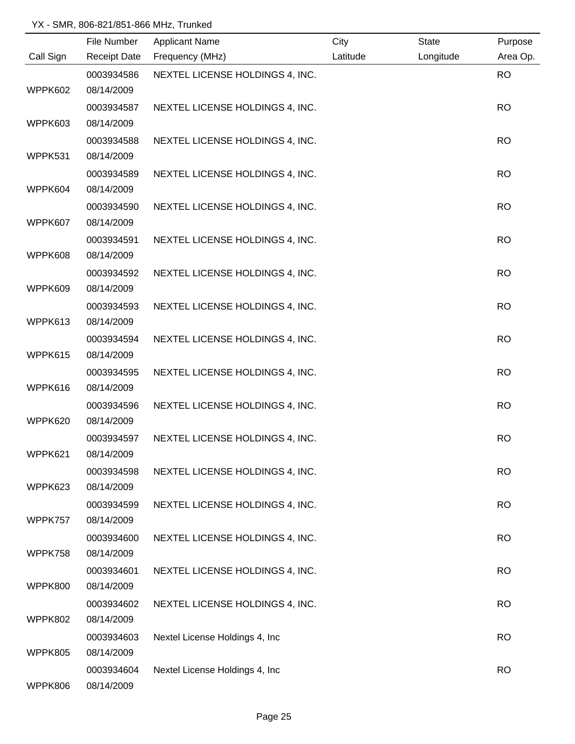|                | File Number         | <b>Applicant Name</b>           | City     | State     | Purpose   |
|----------------|---------------------|---------------------------------|----------|-----------|-----------|
| Call Sign      | <b>Receipt Date</b> | Frequency (MHz)                 | Latitude | Longitude | Area Op.  |
|                | 0003934586          | NEXTEL LICENSE HOLDINGS 4, INC. |          |           | <b>RO</b> |
| WPPK602        | 08/14/2009          |                                 |          |           |           |
|                | 0003934587          | NEXTEL LICENSE HOLDINGS 4, INC. |          |           | <b>RO</b> |
| WPPK603        | 08/14/2009          |                                 |          |           |           |
|                | 0003934588          | NEXTEL LICENSE HOLDINGS 4, INC. |          |           | <b>RO</b> |
| WPPK531        | 08/14/2009          |                                 |          |           |           |
|                | 0003934589          | NEXTEL LICENSE HOLDINGS 4, INC. |          |           | <b>RO</b> |
| WPPK604        | 08/14/2009          |                                 |          |           |           |
|                | 0003934590          | NEXTEL LICENSE HOLDINGS 4, INC. |          |           | <b>RO</b> |
| WPPK607        | 08/14/2009          |                                 |          |           |           |
|                | 0003934591          | NEXTEL LICENSE HOLDINGS 4, INC. |          |           | <b>RO</b> |
| WPPK608        | 08/14/2009          |                                 |          |           |           |
|                | 0003934592          | NEXTEL LICENSE HOLDINGS 4, INC. |          |           | <b>RO</b> |
| WPPK609        | 08/14/2009          |                                 |          |           |           |
|                | 0003934593          | NEXTEL LICENSE HOLDINGS 4, INC. |          |           | <b>RO</b> |
| WPPK613        | 08/14/2009          |                                 |          |           |           |
|                | 0003934594          | NEXTEL LICENSE HOLDINGS 4, INC. |          |           | <b>RO</b> |
| WPPK615        | 08/14/2009          |                                 |          |           |           |
|                | 0003934595          | NEXTEL LICENSE HOLDINGS 4, INC. |          |           | <b>RO</b> |
| WPPK616        | 08/14/2009          |                                 |          |           |           |
|                | 0003934596          | NEXTEL LICENSE HOLDINGS 4, INC. |          |           | <b>RO</b> |
| WPPK620        | 08/14/2009          |                                 |          |           |           |
|                | 0003934597          | NEXTEL LICENSE HOLDINGS 4, INC. |          |           | <b>RO</b> |
| WPPK621        | 08/14/2009          |                                 |          |           |           |
|                | 0003934598          | NEXTEL LICENSE HOLDINGS 4, INC. |          |           | <b>RO</b> |
| WPPK623        | 08/14/2009          |                                 |          |           |           |
|                | 0003934599          | NEXTEL LICENSE HOLDINGS 4, INC. |          |           | <b>RO</b> |
| WPPK757        | 08/14/2009          |                                 |          |           |           |
|                | 0003934600          | NEXTEL LICENSE HOLDINGS 4, INC. |          |           | <b>RO</b> |
| WPPK758        | 08/14/2009          |                                 |          |           |           |
|                | 0003934601          | NEXTEL LICENSE HOLDINGS 4, INC. |          |           | <b>RO</b> |
| WPPK800        | 08/14/2009          |                                 |          |           |           |
|                | 0003934602          | NEXTEL LICENSE HOLDINGS 4, INC. |          |           | <b>RO</b> |
| <b>WPPK802</b> | 08/14/2009          |                                 |          |           |           |
|                | 0003934603          | Nextel License Holdings 4, Inc  |          |           | <b>RO</b> |
| WPPK805        | 08/14/2009          |                                 |          |           |           |
|                | 0003934604          | Nextel License Holdings 4, Inc  |          |           | <b>RO</b> |
| WPPK806        | 08/14/2009          |                                 |          |           |           |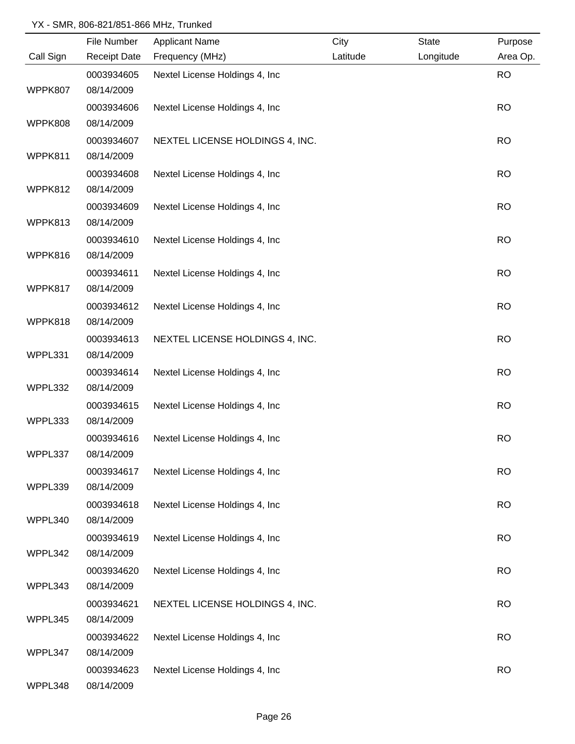|           | File Number         | <b>Applicant Name</b>           | City     | State     | Purpose   |
|-----------|---------------------|---------------------------------|----------|-----------|-----------|
| Call Sign | <b>Receipt Date</b> | Frequency (MHz)                 | Latitude | Longitude | Area Op.  |
|           | 0003934605          | Nextel License Holdings 4, Inc  |          |           | <b>RO</b> |
| WPPK807   | 08/14/2009          |                                 |          |           |           |
|           | 0003934606          | Nextel License Holdings 4, Inc  |          |           | <b>RO</b> |
| WPPK808   | 08/14/2009          |                                 |          |           |           |
|           | 0003934607          | NEXTEL LICENSE HOLDINGS 4, INC. |          |           | <b>RO</b> |
| WPPK811   | 08/14/2009          |                                 |          |           |           |
|           | 0003934608          | Nextel License Holdings 4, Inc  |          |           | <b>RO</b> |
| WPPK812   | 08/14/2009          |                                 |          |           |           |
|           | 0003934609          | Nextel License Holdings 4, Inc  |          |           | <b>RO</b> |
| WPPK813   | 08/14/2009          |                                 |          |           |           |
|           | 0003934610          | Nextel License Holdings 4, Inc  |          |           | <b>RO</b> |
| WPPK816   | 08/14/2009          |                                 |          |           |           |
|           | 0003934611          | Nextel License Holdings 4, Inc  |          |           | <b>RO</b> |
| WPPK817   | 08/14/2009          |                                 |          |           |           |
|           | 0003934612          | Nextel License Holdings 4, Inc  |          |           | <b>RO</b> |
| WPPK818   | 08/14/2009          |                                 |          |           |           |
|           | 0003934613          | NEXTEL LICENSE HOLDINGS 4, INC. |          |           | <b>RO</b> |
| WPPL331   | 08/14/2009          |                                 |          |           |           |
|           | 0003934614          | Nextel License Holdings 4, Inc  |          |           | <b>RO</b> |
| WPPL332   | 08/14/2009          |                                 |          |           |           |
|           | 0003934615          | Nextel License Holdings 4, Inc  |          |           | <b>RO</b> |
| WPPL333   | 08/14/2009          |                                 |          |           |           |
|           | 0003934616          | Nextel License Holdings 4, Inc  |          |           | <b>RO</b> |
| WPPL337   | 08/14/2009          |                                 |          |           |           |
|           | 0003934617          | Nextel License Holdings 4, Inc  |          |           | <b>RO</b> |
| WPPL339   | 08/14/2009          |                                 |          |           |           |
|           | 0003934618          | Nextel License Holdings 4, Inc  |          |           | <b>RO</b> |
| WPPL340   | 08/14/2009          |                                 |          |           |           |
|           | 0003934619          | Nextel License Holdings 4, Inc  |          |           | <b>RO</b> |
| WPPL342   | 08/14/2009          |                                 |          |           |           |
|           | 0003934620          | Nextel License Holdings 4, Inc  |          |           | <b>RO</b> |
| WPPL343   | 08/14/2009          |                                 |          |           |           |
|           | 0003934621          | NEXTEL LICENSE HOLDINGS 4, INC. |          |           | <b>RO</b> |
| WPPL345   | 08/14/2009          |                                 |          |           |           |
|           | 0003934622          | Nextel License Holdings 4, Inc  |          |           | <b>RO</b> |
| WPPL347   | 08/14/2009          |                                 |          |           |           |
|           | 0003934623          | Nextel License Holdings 4, Inc  |          |           | <b>RO</b> |
| WPPL348   | 08/14/2009          |                                 |          |           |           |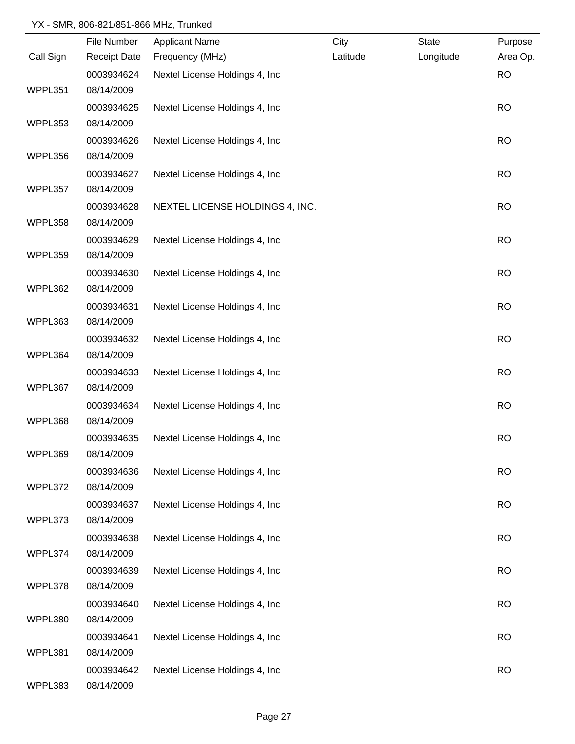| Area Op.<br><b>RO</b><br><b>RO</b><br><b>RO</b> |
|-------------------------------------------------|
|                                                 |
|                                                 |
|                                                 |
|                                                 |
|                                                 |
|                                                 |
|                                                 |
| <b>RO</b>                                       |
|                                                 |
| <b>RO</b>                                       |
|                                                 |
| <b>RO</b>                                       |
|                                                 |
| <b>RO</b>                                       |
|                                                 |
| <b>RO</b>                                       |
|                                                 |
| <b>RO</b>                                       |
|                                                 |
| <b>RO</b>                                       |
|                                                 |
| <b>RO</b>                                       |
|                                                 |
| <b>RO</b>                                       |
|                                                 |
| <b>RO</b>                                       |
|                                                 |
| <b>RO</b>                                       |
|                                                 |
| <b>RO</b>                                       |
|                                                 |
| <b>RO</b>                                       |
|                                                 |
| <b>RO</b>                                       |
|                                                 |
| <b>RO</b>                                       |
|                                                 |
| <b>RO</b>                                       |
|                                                 |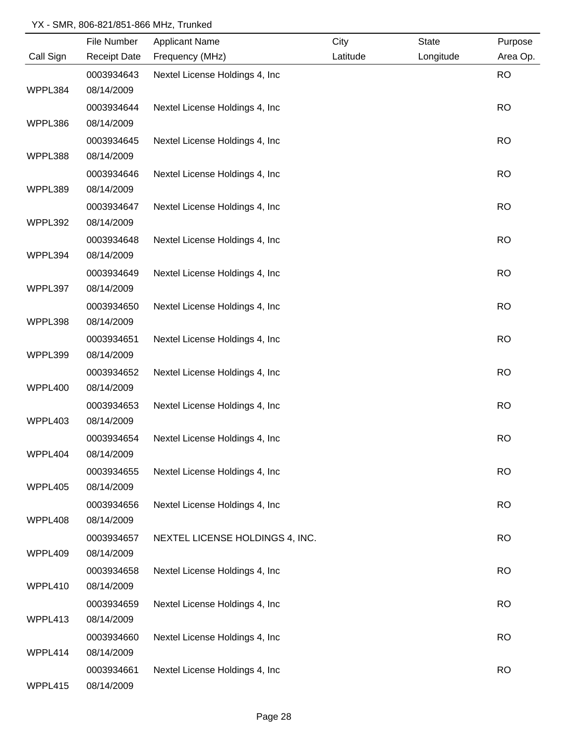|           | File Number         | <b>Applicant Name</b>           | City     | <b>State</b> | Purpose   |
|-----------|---------------------|---------------------------------|----------|--------------|-----------|
| Call Sign | <b>Receipt Date</b> | Frequency (MHz)                 | Latitude | Longitude    | Area Op.  |
|           | 0003934643          | Nextel License Holdings 4, Inc  |          |              | <b>RO</b> |
| WPPL384   | 08/14/2009          |                                 |          |              |           |
|           | 0003934644          | Nextel License Holdings 4, Inc  |          |              | <b>RO</b> |
| WPPL386   | 08/14/2009          |                                 |          |              |           |
|           | 0003934645          | Nextel License Holdings 4, Inc. |          |              | <b>RO</b> |
| WPPL388   | 08/14/2009          |                                 |          |              |           |
|           | 0003934646          | Nextel License Holdings 4, Inc  |          |              | <b>RO</b> |
| WPPL389   | 08/14/2009          |                                 |          |              |           |
|           | 0003934647          | Nextel License Holdings 4, Inc  |          |              | <b>RO</b> |
| WPPL392   | 08/14/2009          |                                 |          |              |           |
|           | 0003934648          | Nextel License Holdings 4, Inc  |          |              | <b>RO</b> |
| WPPL394   | 08/14/2009          |                                 |          |              |           |
|           | 0003934649          | Nextel License Holdings 4, Inc  |          |              | <b>RO</b> |
| WPPL397   | 08/14/2009          |                                 |          |              |           |
|           | 0003934650          | Nextel License Holdings 4, Inc  |          |              | <b>RO</b> |
| WPPL398   | 08/14/2009          |                                 |          |              |           |
|           | 0003934651          | Nextel License Holdings 4, Inc  |          |              | <b>RO</b> |
| WPPL399   | 08/14/2009          |                                 |          |              |           |
|           | 0003934652          | Nextel License Holdings 4, Inc  |          |              | <b>RO</b> |
| WPPL400   | 08/14/2009          |                                 |          |              |           |
|           | 0003934653          | Nextel License Holdings 4, Inc  |          |              | <b>RO</b> |
| WPPL403   | 08/14/2009          |                                 |          |              |           |
|           | 0003934654          | Nextel License Holdings 4, Inc  |          |              | <b>RO</b> |
| WPPL404   | 08/14/2009          |                                 |          |              |           |
|           | 0003934655          | Nextel License Holdings 4, Inc. |          |              | <b>RO</b> |
| WPPL405   | 08/14/2009          |                                 |          |              |           |
|           | 0003934656          | Nextel License Holdings 4, Inc. |          |              | <b>RO</b> |
| WPPL408   | 08/14/2009          |                                 |          |              |           |
|           | 0003934657          | NEXTEL LICENSE HOLDINGS 4, INC. |          |              | <b>RO</b> |
| WPPL409   | 08/14/2009          |                                 |          |              |           |
|           | 0003934658          | Nextel License Holdings 4, Inc  |          |              | <b>RO</b> |
| WPPL410   | 08/14/2009          |                                 |          |              |           |
|           | 0003934659          | Nextel License Holdings 4, Inc  |          |              | <b>RO</b> |
| WPPL413   | 08/14/2009          |                                 |          |              |           |
|           | 0003934660          | Nextel License Holdings 4, Inc  |          |              | <b>RO</b> |
| WPPL414   | 08/14/2009          |                                 |          |              |           |
|           | 0003934661          | Nextel License Holdings 4, Inc  |          |              | <b>RO</b> |
| WPPL415   | 08/14/2009          |                                 |          |              |           |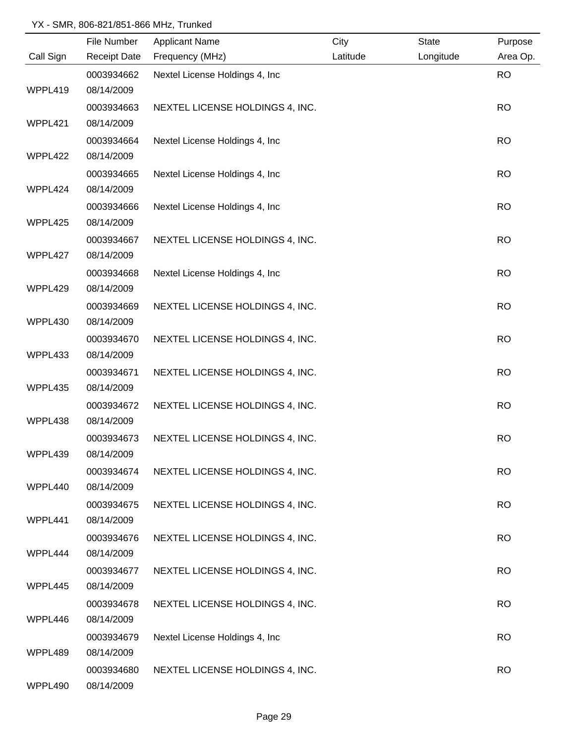|           | File Number         | <b>Applicant Name</b>           | City     | State     | Purpose   |
|-----------|---------------------|---------------------------------|----------|-----------|-----------|
| Call Sign | <b>Receipt Date</b> | Frequency (MHz)                 | Latitude | Longitude | Area Op.  |
|           | 0003934662          | Nextel License Holdings 4, Inc  |          |           | <b>RO</b> |
| WPPL419   | 08/14/2009          |                                 |          |           |           |
|           | 0003934663          | NEXTEL LICENSE HOLDINGS 4, INC. |          |           | <b>RO</b> |
| WPPL421   | 08/14/2009          |                                 |          |           |           |
|           | 0003934664          | Nextel License Holdings 4, Inc. |          |           | <b>RO</b> |
| WPPL422   | 08/14/2009          |                                 |          |           |           |
|           | 0003934665          | Nextel License Holdings 4, Inc. |          |           | <b>RO</b> |
| WPPL424   | 08/14/2009          |                                 |          |           |           |
|           | 0003934666          | Nextel License Holdings 4, Inc  |          |           | <b>RO</b> |
| WPPL425   | 08/14/2009          |                                 |          |           |           |
|           | 0003934667          | NEXTEL LICENSE HOLDINGS 4, INC. |          |           | <b>RO</b> |
| WPPL427   | 08/14/2009          |                                 |          |           |           |
|           | 0003934668          | Nextel License Holdings 4, Inc  |          |           | <b>RO</b> |
| WPPL429   | 08/14/2009          |                                 |          |           |           |
|           | 0003934669          | NEXTEL LICENSE HOLDINGS 4, INC. |          |           | <b>RO</b> |
| WPPL430   | 08/14/2009          |                                 |          |           |           |
|           | 0003934670          | NEXTEL LICENSE HOLDINGS 4, INC. |          |           | <b>RO</b> |
| WPPL433   | 08/14/2009          |                                 |          |           |           |
|           | 0003934671          | NEXTEL LICENSE HOLDINGS 4, INC. |          |           | <b>RO</b> |
| WPPL435   | 08/14/2009          |                                 |          |           |           |
|           | 0003934672          | NEXTEL LICENSE HOLDINGS 4, INC. |          |           | <b>RO</b> |
| WPPL438   | 08/14/2009          |                                 |          |           |           |
|           | 0003934673          | NEXTEL LICENSE HOLDINGS 4, INC. |          |           | <b>RO</b> |
| WPPL439   | 08/14/2009          |                                 |          |           |           |
|           | 0003934674          | NEXTEL LICENSE HOLDINGS 4, INC. |          |           | <b>RO</b> |
| WPPL440   | 08/14/2009          |                                 |          |           |           |
|           | 0003934675          | NEXTEL LICENSE HOLDINGS 4, INC. |          |           | <b>RO</b> |
| WPPL441   | 08/14/2009          |                                 |          |           |           |
|           | 0003934676          | NEXTEL LICENSE HOLDINGS 4, INC. |          |           | <b>RO</b> |
| WPPL444   | 08/14/2009          |                                 |          |           |           |
|           | 0003934677          | NEXTEL LICENSE HOLDINGS 4, INC. |          |           | <b>RO</b> |
| WPPL445   | 08/14/2009          |                                 |          |           |           |
|           | 0003934678          | NEXTEL LICENSE HOLDINGS 4, INC. |          |           | <b>RO</b> |
| WPPL446   | 08/14/2009          |                                 |          |           |           |
|           | 0003934679          | Nextel License Holdings 4, Inc  |          |           | <b>RO</b> |
| WPPL489   | 08/14/2009          |                                 |          |           |           |
|           | 0003934680          | NEXTEL LICENSE HOLDINGS 4, INC. |          |           | <b>RO</b> |
| WPPL490   | 08/14/2009          |                                 |          |           |           |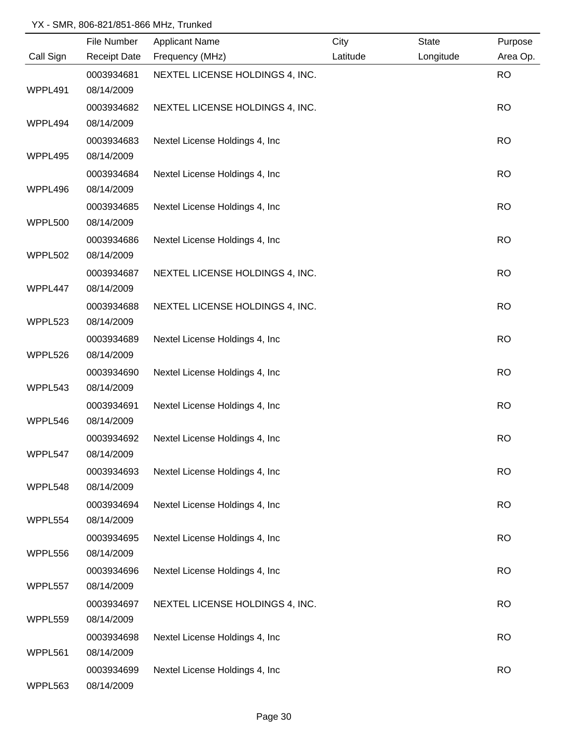|           | File Number         | <b>Applicant Name</b>           | City     | <b>State</b> | Purpose   |
|-----------|---------------------|---------------------------------|----------|--------------|-----------|
| Call Sign | <b>Receipt Date</b> | Frequency (MHz)                 | Latitude | Longitude    | Area Op.  |
|           | 0003934681          | NEXTEL LICENSE HOLDINGS 4, INC. |          |              | <b>RO</b> |
| WPPL491   | 08/14/2009          |                                 |          |              |           |
|           | 0003934682          | NEXTEL LICENSE HOLDINGS 4, INC. |          |              | <b>RO</b> |
| WPPL494   | 08/14/2009          |                                 |          |              |           |
|           | 0003934683          | Nextel License Holdings 4, Inc. |          |              | <b>RO</b> |
| WPPL495   | 08/14/2009          |                                 |          |              |           |
|           | 0003934684          | Nextel License Holdings 4, Inc. |          |              | <b>RO</b> |
| WPPL496   | 08/14/2009          |                                 |          |              |           |
|           | 0003934685          | Nextel License Holdings 4, Inc  |          |              | <b>RO</b> |
| WPPL500   | 08/14/2009          |                                 |          |              |           |
|           | 0003934686          | Nextel License Holdings 4, Inc  |          |              | <b>RO</b> |
| WPPL502   | 08/14/2009          |                                 |          |              |           |
|           | 0003934687          | NEXTEL LICENSE HOLDINGS 4, INC. |          |              | <b>RO</b> |
| WPPL447   | 08/14/2009          |                                 |          |              |           |
|           | 0003934688          | NEXTEL LICENSE HOLDINGS 4, INC. |          |              | <b>RO</b> |
| WPPL523   | 08/14/2009          |                                 |          |              |           |
|           | 0003934689          | Nextel License Holdings 4, Inc  |          |              | <b>RO</b> |
| WPPL526   | 08/14/2009          |                                 |          |              |           |
|           | 0003934690          | Nextel License Holdings 4, Inc  |          |              | <b>RO</b> |
| WPPL543   | 08/14/2009          |                                 |          |              |           |
|           | 0003934691          | Nextel License Holdings 4, Inc  |          |              | <b>RO</b> |
| WPPL546   | 08/14/2009          |                                 |          |              |           |
|           | 0003934692          | Nextel License Holdings 4, Inc  |          |              | <b>RO</b> |
| WPPL547   | 08/14/2009          |                                 |          |              |           |
|           | 0003934693          | Nextel License Holdings 4, Inc  |          |              | <b>RO</b> |
| WPPL548   | 08/14/2009          |                                 |          |              |           |
|           | 0003934694          | Nextel License Holdings 4, Inc  |          |              | <b>RO</b> |
| WPPL554   | 08/14/2009          |                                 |          |              |           |
|           | 0003934695          | Nextel License Holdings 4, Inc  |          |              | <b>RO</b> |
| WPPL556   | 08/14/2009          |                                 |          |              |           |
|           | 0003934696          | Nextel License Holdings 4, Inc  |          |              | <b>RO</b> |
| WPPL557   | 08/14/2009          |                                 |          |              |           |
|           | 0003934697          | NEXTEL LICENSE HOLDINGS 4, INC. |          |              | <b>RO</b> |
| WPPL559   | 08/14/2009          |                                 |          |              |           |
|           | 0003934698          | Nextel License Holdings 4, Inc  |          |              | <b>RO</b> |
| WPPL561   | 08/14/2009          |                                 |          |              |           |
|           | 0003934699          | Nextel License Holdings 4, Inc  |          |              | <b>RO</b> |
| WPPL563   | 08/14/2009          |                                 |          |              |           |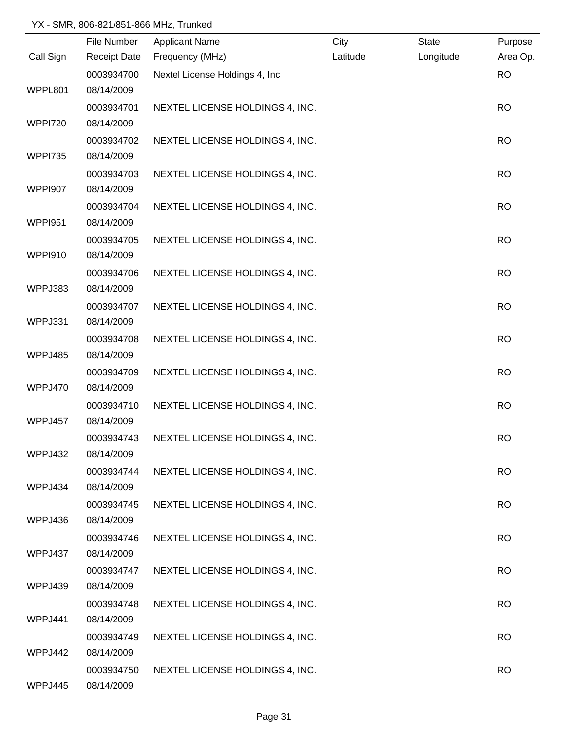|                | File Number         | <b>Applicant Name</b>           | City     | <b>State</b> | Purpose   |
|----------------|---------------------|---------------------------------|----------|--------------|-----------|
| Call Sign      | <b>Receipt Date</b> | Frequency (MHz)                 | Latitude | Longitude    | Area Op.  |
|                | 0003934700          | Nextel License Holdings 4, Inc  |          |              | <b>RO</b> |
| WPPL801        | 08/14/2009          |                                 |          |              |           |
|                | 0003934701          | NEXTEL LICENSE HOLDINGS 4, INC. |          |              | <b>RO</b> |
| <b>WPPI720</b> | 08/14/2009          |                                 |          |              |           |
|                | 0003934702          | NEXTEL LICENSE HOLDINGS 4, INC. |          |              | <b>RO</b> |
| <b>WPPI735</b> | 08/14/2009          |                                 |          |              |           |
|                | 0003934703          | NEXTEL LICENSE HOLDINGS 4, INC. |          |              | <b>RO</b> |
| <b>WPPI907</b> | 08/14/2009          |                                 |          |              |           |
|                | 0003934704          | NEXTEL LICENSE HOLDINGS 4, INC. |          |              | <b>RO</b> |
| <b>WPPI951</b> | 08/14/2009          |                                 |          |              |           |
|                | 0003934705          | NEXTEL LICENSE HOLDINGS 4, INC. |          |              | <b>RO</b> |
| <b>WPPI910</b> | 08/14/2009          |                                 |          |              |           |
|                | 0003934706          | NEXTEL LICENSE HOLDINGS 4, INC. |          |              | <b>RO</b> |
| WPPJ383        | 08/14/2009          |                                 |          |              |           |
|                | 0003934707          | NEXTEL LICENSE HOLDINGS 4, INC. |          |              | <b>RO</b> |
| WPPJ331        | 08/14/2009          |                                 |          |              |           |
|                | 0003934708          | NEXTEL LICENSE HOLDINGS 4, INC. |          |              | <b>RO</b> |
| WPPJ485        | 08/14/2009          |                                 |          |              |           |
|                | 0003934709          | NEXTEL LICENSE HOLDINGS 4, INC. |          |              | <b>RO</b> |
| WPPJ470        | 08/14/2009          |                                 |          |              |           |
|                | 0003934710          | NEXTEL LICENSE HOLDINGS 4, INC. |          |              | <b>RO</b> |
| WPPJ457        | 08/14/2009          |                                 |          |              |           |
|                | 0003934743          | NEXTEL LICENSE HOLDINGS 4, INC. |          |              | <b>RO</b> |
| WPPJ432        | 08/14/2009          |                                 |          |              |           |
|                | 0003934744          | NEXTEL LICENSE HOLDINGS 4, INC. |          |              | <b>RO</b> |
| WPPJ434        | 08/14/2009          |                                 |          |              |           |
|                | 0003934745          | NEXTEL LICENSE HOLDINGS 4, INC. |          |              | <b>RO</b> |
| WPPJ436        | 08/14/2009          |                                 |          |              |           |
|                | 0003934746          | NEXTEL LICENSE HOLDINGS 4, INC. |          |              | <b>RO</b> |
| WPPJ437        | 08/14/2009          |                                 |          |              |           |
|                | 0003934747          | NEXTEL LICENSE HOLDINGS 4, INC. |          |              | <b>RO</b> |
| WPPJ439        | 08/14/2009          |                                 |          |              |           |
|                | 0003934748          | NEXTEL LICENSE HOLDINGS 4, INC. |          |              | <b>RO</b> |
| WPPJ441        | 08/14/2009          |                                 |          |              |           |
|                | 0003934749          | NEXTEL LICENSE HOLDINGS 4, INC. |          |              | <b>RO</b> |
| WPPJ442        | 08/14/2009          |                                 |          |              |           |
|                | 0003934750          | NEXTEL LICENSE HOLDINGS 4, INC. |          |              | <b>RO</b> |
| WPPJ445        | 08/14/2009          |                                 |          |              |           |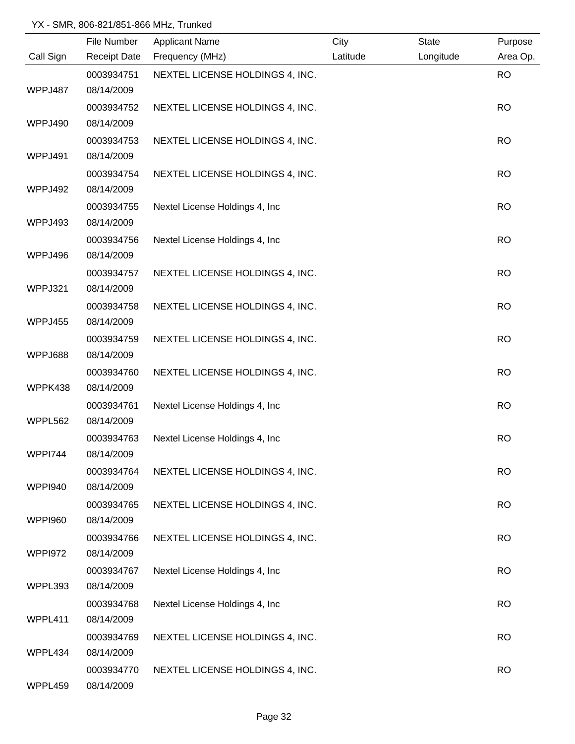|                | File Number              | <b>Applicant Name</b>           | City     | State     | Purpose   |
|----------------|--------------------------|---------------------------------|----------|-----------|-----------|
| Call Sign      | <b>Receipt Date</b>      | Frequency (MHz)                 | Latitude | Longitude | Area Op.  |
|                | 0003934751               | NEXTEL LICENSE HOLDINGS 4, INC. |          |           | <b>RO</b> |
| WPPJ487        | 08/14/2009               |                                 |          |           |           |
|                | 0003934752               | NEXTEL LICENSE HOLDINGS 4, INC. |          |           | <b>RO</b> |
| WPPJ490        | 08/14/2009               |                                 |          |           |           |
|                | 0003934753               | NEXTEL LICENSE HOLDINGS 4, INC. |          |           | <b>RO</b> |
| WPPJ491        | 08/14/2009               |                                 |          |           |           |
|                | 0003934754               | NEXTEL LICENSE HOLDINGS 4, INC. |          |           | <b>RO</b> |
| WPPJ492        | 08/14/2009               |                                 |          |           |           |
|                | 0003934755               | Nextel License Holdings 4, Inc. |          |           | <b>RO</b> |
| WPPJ493        | 08/14/2009               |                                 |          |           |           |
|                | 0003934756               | Nextel License Holdings 4, Inc  |          |           | <b>RO</b> |
| WPPJ496        | 08/14/2009               |                                 |          |           |           |
|                | 0003934757               | NEXTEL LICENSE HOLDINGS 4, INC. |          |           | <b>RO</b> |
| WPPJ321        | 08/14/2009               |                                 |          |           |           |
|                | 0003934758               | NEXTEL LICENSE HOLDINGS 4, INC. |          |           | <b>RO</b> |
| WPPJ455        | 08/14/2009               |                                 |          |           |           |
|                | 0003934759               | NEXTEL LICENSE HOLDINGS 4, INC. |          |           | <b>RO</b> |
| WPPJ688        | 08/14/2009               |                                 |          |           |           |
| WPPK438        | 0003934760<br>08/14/2009 | NEXTEL LICENSE HOLDINGS 4, INC. |          |           | <b>RO</b> |
|                | 0003934761               | Nextel License Holdings 4, Inc  |          |           | <b>RO</b> |
| WPPL562        | 08/14/2009               |                                 |          |           |           |
|                | 0003934763               | Nextel License Holdings 4, Inc  |          |           | <b>RO</b> |
| <b>WPPI744</b> | 08/14/2009               |                                 |          |           |           |
|                | 0003934764               | NEXTEL LICENSE HOLDINGS 4, INC. |          |           | <b>RO</b> |
| <b>WPPI940</b> | 08/14/2009               |                                 |          |           |           |
|                | 0003934765               | NEXTEL LICENSE HOLDINGS 4, INC. |          |           | <b>RO</b> |
| <b>WPPI960</b> | 08/14/2009               |                                 |          |           |           |
|                | 0003934766               | NEXTEL LICENSE HOLDINGS 4, INC. |          |           | <b>RO</b> |
| WPPI972        | 08/14/2009               |                                 |          |           |           |
|                | 0003934767               | Nextel License Holdings 4, Inc  |          |           | <b>RO</b> |
| WPPL393        | 08/14/2009               |                                 |          |           |           |
|                | 0003934768               | Nextel License Holdings 4, Inc  |          |           | <b>RO</b> |
| WPPL411        | 08/14/2009               |                                 |          |           |           |
|                | 0003934769               | NEXTEL LICENSE HOLDINGS 4, INC. |          |           | <b>RO</b> |
| WPPL434        | 08/14/2009               |                                 |          |           |           |
|                | 0003934770               | NEXTEL LICENSE HOLDINGS 4, INC. |          |           | <b>RO</b> |
| WPPL459        | 08/14/2009               |                                 |          |           |           |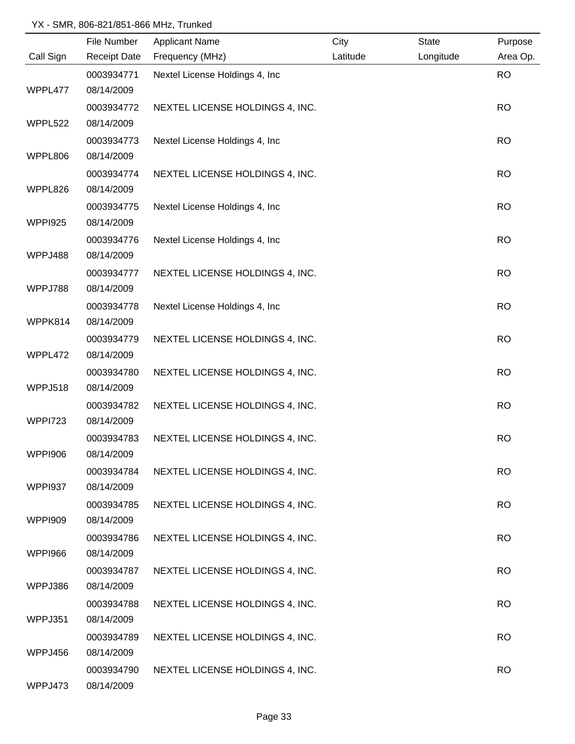|                | File Number         | <b>Applicant Name</b>           | City     | <b>State</b> | Purpose   |
|----------------|---------------------|---------------------------------|----------|--------------|-----------|
| Call Sign      | <b>Receipt Date</b> | Frequency (MHz)                 | Latitude | Longitude    | Area Op.  |
|                | 0003934771          | Nextel License Holdings 4, Inc  |          |              | <b>RO</b> |
| WPPL477        | 08/14/2009          |                                 |          |              |           |
|                | 0003934772          | NEXTEL LICENSE HOLDINGS 4, INC. |          |              | <b>RO</b> |
| WPPL522        | 08/14/2009          |                                 |          |              |           |
|                | 0003934773          | Nextel License Holdings 4, Inc. |          |              | <b>RO</b> |
| WPPL806        | 08/14/2009          |                                 |          |              |           |
|                | 0003934774          | NEXTEL LICENSE HOLDINGS 4, INC. |          |              | <b>RO</b> |
| WPPL826        | 08/14/2009          |                                 |          |              |           |
|                | 0003934775          | Nextel License Holdings 4, Inc. |          |              | <b>RO</b> |
| <b>WPPI925</b> | 08/14/2009          |                                 |          |              |           |
|                | 0003934776          | Nextel License Holdings 4, Inc. |          |              | <b>RO</b> |
| WPPJ488        | 08/14/2009          |                                 |          |              |           |
|                | 0003934777          | NEXTEL LICENSE HOLDINGS 4, INC. |          |              | <b>RO</b> |
| WPPJ788        | 08/14/2009          |                                 |          |              |           |
|                | 0003934778          | Nextel License Holdings 4, Inc  |          |              | <b>RO</b> |
| WPPK814        | 08/14/2009          |                                 |          |              |           |
|                | 0003934779          | NEXTEL LICENSE HOLDINGS 4, INC. |          |              | <b>RO</b> |
| WPPL472        | 08/14/2009          |                                 |          |              |           |
|                | 0003934780          | NEXTEL LICENSE HOLDINGS 4, INC. |          |              | <b>RO</b> |
| WPPJ518        | 08/14/2009          |                                 |          |              |           |
|                | 0003934782          | NEXTEL LICENSE HOLDINGS 4, INC. |          |              | <b>RO</b> |
| <b>WPPI723</b> | 08/14/2009          |                                 |          |              |           |
|                | 0003934783          | NEXTEL LICENSE HOLDINGS 4, INC. |          |              | <b>RO</b> |
| <b>WPPI906</b> | 08/14/2009          |                                 |          |              |           |
|                | 0003934784          | NEXTEL LICENSE HOLDINGS 4, INC. |          |              | <b>RO</b> |
| <b>WPPI937</b> | 08/14/2009          |                                 |          |              |           |
|                | 0003934785          | NEXTEL LICENSE HOLDINGS 4, INC. |          |              | <b>RO</b> |
| <b>WPPI909</b> | 08/14/2009          |                                 |          |              |           |
|                | 0003934786          | NEXTEL LICENSE HOLDINGS 4, INC. |          |              | <b>RO</b> |
| <b>WPPI966</b> | 08/14/2009          |                                 |          |              |           |
|                | 0003934787          | NEXTEL LICENSE HOLDINGS 4, INC. |          |              | <b>RO</b> |
| WPPJ386        | 08/14/2009          |                                 |          |              |           |
|                | 0003934788          | NEXTEL LICENSE HOLDINGS 4, INC. |          |              | <b>RO</b> |
| WPPJ351        | 08/14/2009          |                                 |          |              |           |
|                | 0003934789          | NEXTEL LICENSE HOLDINGS 4, INC. |          |              | <b>RO</b> |
| WPPJ456        | 08/14/2009          |                                 |          |              |           |
|                | 0003934790          | NEXTEL LICENSE HOLDINGS 4, INC. |          |              | <b>RO</b> |
| WPPJ473        | 08/14/2009          |                                 |          |              |           |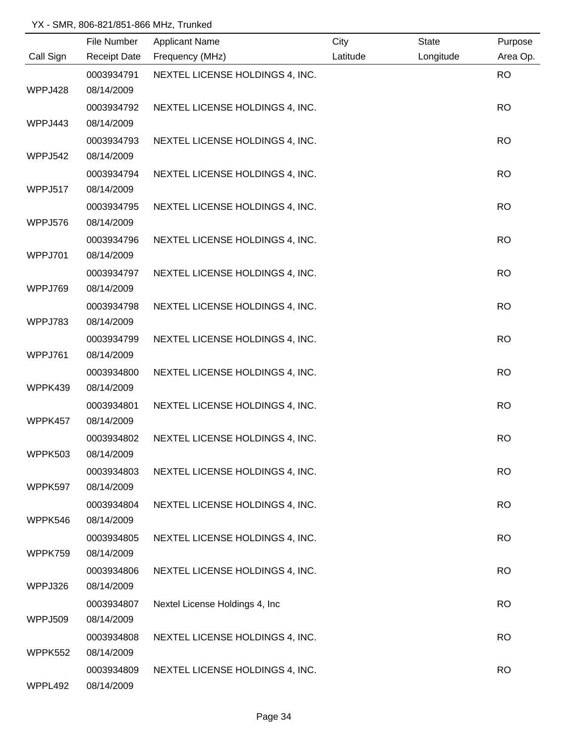|                | File Number         | <b>Applicant Name</b>           | City     | State     | Purpose   |
|----------------|---------------------|---------------------------------|----------|-----------|-----------|
| Call Sign      | <b>Receipt Date</b> | Frequency (MHz)                 | Latitude | Longitude | Area Op.  |
|                | 0003934791          | NEXTEL LICENSE HOLDINGS 4, INC. |          |           | <b>RO</b> |
| WPPJ428        | 08/14/2009          |                                 |          |           |           |
|                | 0003934792          | NEXTEL LICENSE HOLDINGS 4, INC. |          |           | <b>RO</b> |
| WPPJ443        | 08/14/2009          |                                 |          |           |           |
|                | 0003934793          | NEXTEL LICENSE HOLDINGS 4, INC. |          |           | <b>RO</b> |
| <b>WPPJ542</b> | 08/14/2009          |                                 |          |           |           |
|                | 0003934794          | NEXTEL LICENSE HOLDINGS 4, INC. |          |           | <b>RO</b> |
| WPPJ517        | 08/14/2009          |                                 |          |           |           |
|                | 0003934795          | NEXTEL LICENSE HOLDINGS 4, INC. |          |           | <b>RO</b> |
| WPPJ576        | 08/14/2009          |                                 |          |           |           |
|                | 0003934796          | NEXTEL LICENSE HOLDINGS 4, INC. |          |           | <b>RO</b> |
| WPPJ701        | 08/14/2009          |                                 |          |           |           |
|                | 0003934797          | NEXTEL LICENSE HOLDINGS 4, INC. |          |           | <b>RO</b> |
| WPPJ769        | 08/14/2009          |                                 |          |           |           |
|                | 0003934798          | NEXTEL LICENSE HOLDINGS 4, INC. |          |           | <b>RO</b> |
| WPPJ783        | 08/14/2009          |                                 |          |           |           |
|                | 0003934799          | NEXTEL LICENSE HOLDINGS 4, INC. |          |           | <b>RO</b> |
| WPPJ761        | 08/14/2009          |                                 |          |           |           |
|                | 0003934800          | NEXTEL LICENSE HOLDINGS 4, INC. |          |           | <b>RO</b> |
| WPPK439        | 08/14/2009          |                                 |          |           |           |
|                | 0003934801          | NEXTEL LICENSE HOLDINGS 4, INC. |          |           | <b>RO</b> |
| WPPK457        | 08/14/2009          |                                 |          |           |           |
|                | 0003934802          | NEXTEL LICENSE HOLDINGS 4, INC. |          |           | <b>RO</b> |
| <b>WPPK503</b> | 08/14/2009          |                                 |          |           |           |
|                | 0003934803          | NEXTEL LICENSE HOLDINGS 4, INC. |          |           | <b>RO</b> |
| WPPK597        | 08/14/2009          |                                 |          |           |           |
|                | 0003934804          | NEXTEL LICENSE HOLDINGS 4, INC. |          |           | <b>RO</b> |
| WPPK546        | 08/14/2009          |                                 |          |           |           |
|                | 0003934805          | NEXTEL LICENSE HOLDINGS 4, INC. |          |           | <b>RO</b> |
| WPPK759        | 08/14/2009          |                                 |          |           |           |
|                | 0003934806          | NEXTEL LICENSE HOLDINGS 4, INC. |          |           | <b>RO</b> |
| WPPJ326        | 08/14/2009          |                                 |          |           |           |
|                | 0003934807          | Nextel License Holdings 4, Inc  |          |           | <b>RO</b> |
| WPPJ509        | 08/14/2009          |                                 |          |           |           |
|                | 0003934808          | NEXTEL LICENSE HOLDINGS 4, INC. |          |           | <b>RO</b> |
| WPPK552        | 08/14/2009          |                                 |          |           |           |
|                | 0003934809          | NEXTEL LICENSE HOLDINGS 4, INC. |          |           | <b>RO</b> |
| WPPL492        | 08/14/2009          |                                 |          |           |           |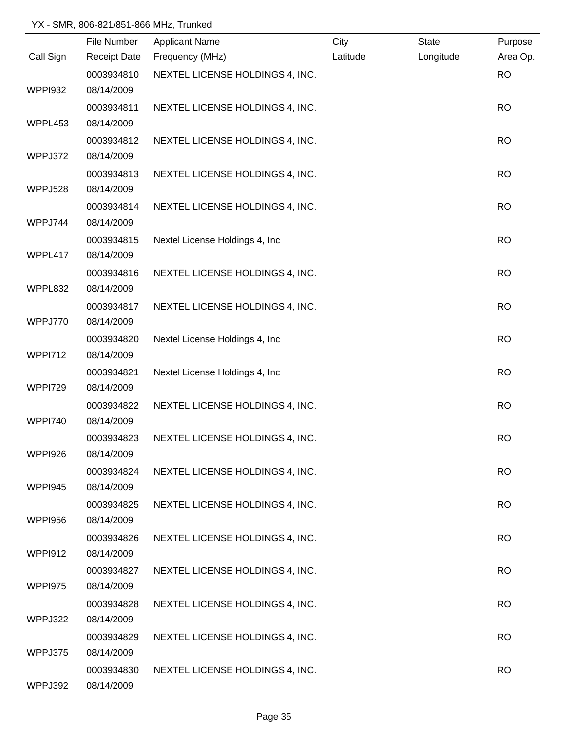|                | File Number         | <b>Applicant Name</b>           | City     | <b>State</b> | Purpose   |
|----------------|---------------------|---------------------------------|----------|--------------|-----------|
| Call Sign      | <b>Receipt Date</b> | Frequency (MHz)                 | Latitude | Longitude    | Area Op.  |
|                | 0003934810          | NEXTEL LICENSE HOLDINGS 4, INC. |          |              | <b>RO</b> |
| <b>WPPI932</b> | 08/14/2009          |                                 |          |              |           |
|                | 0003934811          | NEXTEL LICENSE HOLDINGS 4, INC. |          |              | <b>RO</b> |
| WPPL453        | 08/14/2009          |                                 |          |              |           |
|                | 0003934812          | NEXTEL LICENSE HOLDINGS 4, INC. |          |              | <b>RO</b> |
| WPPJ372        | 08/14/2009          |                                 |          |              |           |
|                | 0003934813          | NEXTEL LICENSE HOLDINGS 4, INC. |          |              | <b>RO</b> |
| WPPJ528        | 08/14/2009          |                                 |          |              |           |
|                | 0003934814          | NEXTEL LICENSE HOLDINGS 4, INC. |          |              | <b>RO</b> |
| WPPJ744        | 08/14/2009          |                                 |          |              |           |
|                | 0003934815          | Nextel License Holdings 4, Inc. |          |              | <b>RO</b> |
| WPPL417        | 08/14/2009          |                                 |          |              |           |
|                | 0003934816          | NEXTEL LICENSE HOLDINGS 4, INC. |          |              | <b>RO</b> |
| WPPL832        | 08/14/2009          |                                 |          |              |           |
|                | 0003934817          | NEXTEL LICENSE HOLDINGS 4, INC. |          |              | <b>RO</b> |
| WPPJ770        | 08/14/2009          |                                 |          |              |           |
|                | 0003934820          | Nextel License Holdings 4, Inc  |          |              | <b>RO</b> |
| <b>WPPI712</b> | 08/14/2009          |                                 |          |              |           |
|                | 0003934821          | Nextel License Holdings 4, Inc  |          |              | <b>RO</b> |
| WPPI729        | 08/14/2009          |                                 |          |              |           |
|                | 0003934822          | NEXTEL LICENSE HOLDINGS 4, INC. |          |              | <b>RO</b> |
| <b>WPPI740</b> | 08/14/2009          |                                 |          |              |           |
|                | 0003934823          | NEXTEL LICENSE HOLDINGS 4, INC. |          |              | <b>RO</b> |
| WPPI926        | 08/14/2009          |                                 |          |              |           |
|                | 0003934824          | NEXTEL LICENSE HOLDINGS 4, INC. |          |              | <b>RO</b> |
| <b>WPPI945</b> | 08/14/2009          |                                 |          |              |           |
|                | 0003934825          | NEXTEL LICENSE HOLDINGS 4, INC. |          |              | <b>RO</b> |
| <b>WPPI956</b> | 08/14/2009          |                                 |          |              |           |
|                | 0003934826          | NEXTEL LICENSE HOLDINGS 4, INC. |          |              | <b>RO</b> |
| <b>WPPI912</b> | 08/14/2009          |                                 |          |              |           |
|                | 0003934827          | NEXTEL LICENSE HOLDINGS 4, INC. |          |              | <b>RO</b> |
| WPPI975        | 08/14/2009          |                                 |          |              |           |
|                | 0003934828          | NEXTEL LICENSE HOLDINGS 4, INC. |          |              | <b>RO</b> |
| WPPJ322        | 08/14/2009          |                                 |          |              |           |
|                | 0003934829          | NEXTEL LICENSE HOLDINGS 4, INC. |          |              | <b>RO</b> |
| WPPJ375        | 08/14/2009          |                                 |          |              |           |
|                | 0003934830          | NEXTEL LICENSE HOLDINGS 4, INC. |          |              | <b>RO</b> |
| WPPJ392        | 08/14/2009          |                                 |          |              |           |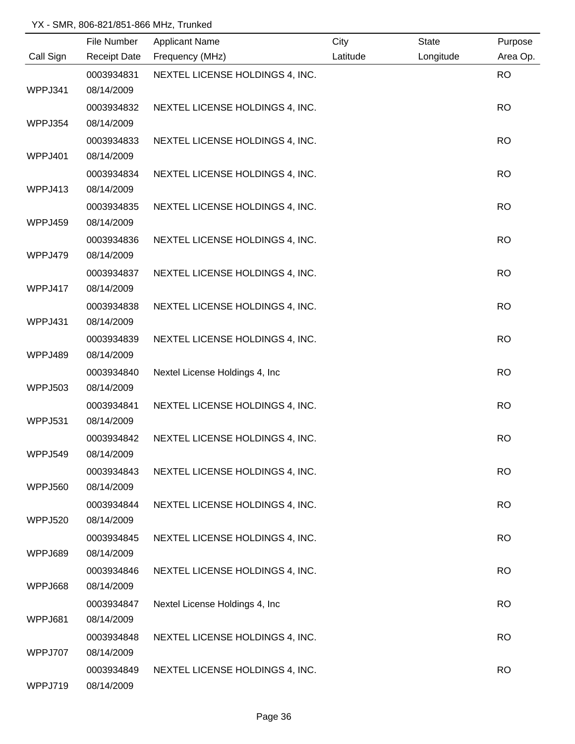|                | File Number         | <b>Applicant Name</b>           | City     | State     | Purpose   |
|----------------|---------------------|---------------------------------|----------|-----------|-----------|
| Call Sign      | <b>Receipt Date</b> | Frequency (MHz)                 | Latitude | Longitude | Area Op.  |
|                | 0003934831          | NEXTEL LICENSE HOLDINGS 4, INC. |          |           | <b>RO</b> |
| WPPJ341        | 08/14/2009          |                                 |          |           |           |
|                | 0003934832          | NEXTEL LICENSE HOLDINGS 4, INC. |          |           | <b>RO</b> |
| WPPJ354        | 08/14/2009          |                                 |          |           |           |
|                | 0003934833          | NEXTEL LICENSE HOLDINGS 4, INC. |          |           | <b>RO</b> |
| WPPJ401        | 08/14/2009          |                                 |          |           |           |
|                | 0003934834          | NEXTEL LICENSE HOLDINGS 4, INC. |          |           | <b>RO</b> |
| WPPJ413        | 08/14/2009          |                                 |          |           |           |
|                | 0003934835          | NEXTEL LICENSE HOLDINGS 4, INC. |          |           | <b>RO</b> |
| WPPJ459        | 08/14/2009          |                                 |          |           |           |
|                | 0003934836          | NEXTEL LICENSE HOLDINGS 4, INC. |          |           | <b>RO</b> |
| WPPJ479        | 08/14/2009          |                                 |          |           |           |
|                | 0003934837          | NEXTEL LICENSE HOLDINGS 4, INC. |          |           | <b>RO</b> |
| WPPJ417        | 08/14/2009          |                                 |          |           |           |
|                | 0003934838          | NEXTEL LICENSE HOLDINGS 4, INC. |          |           | <b>RO</b> |
| WPPJ431        | 08/14/2009          |                                 |          |           |           |
|                | 0003934839          | NEXTEL LICENSE HOLDINGS 4, INC. |          |           | <b>RO</b> |
| WPPJ489        | 08/14/2009          |                                 |          |           |           |
|                | 0003934840          | Nextel License Holdings 4, Inc  |          |           | <b>RO</b> |
| <b>WPPJ503</b> | 08/14/2009          |                                 |          |           |           |
|                | 0003934841          | NEXTEL LICENSE HOLDINGS 4, INC. |          |           | <b>RO</b> |
| WPPJ531        | 08/14/2009          |                                 |          |           |           |
|                | 0003934842          | NEXTEL LICENSE HOLDINGS 4, INC. |          |           | <b>RO</b> |
| WPPJ549        | 08/14/2009          |                                 |          |           |           |
|                | 0003934843          | NEXTEL LICENSE HOLDINGS 4, INC. |          |           | <b>RO</b> |
| <b>WPPJ560</b> | 08/14/2009          |                                 |          |           |           |
|                | 0003934844          | NEXTEL LICENSE HOLDINGS 4, INC. |          |           | <b>RO</b> |
| <b>WPPJ520</b> | 08/14/2009          |                                 |          |           |           |
|                | 0003934845          | NEXTEL LICENSE HOLDINGS 4, INC. |          |           | <b>RO</b> |
| WPPJ689        | 08/14/2009          |                                 |          |           |           |
|                | 0003934846          | NEXTEL LICENSE HOLDINGS 4, INC. |          |           | <b>RO</b> |
| WPPJ668        | 08/14/2009          |                                 |          |           |           |
|                | 0003934847          | Nextel License Holdings 4, Inc  |          |           | <b>RO</b> |
| WPPJ681        | 08/14/2009          |                                 |          |           |           |
|                | 0003934848          | NEXTEL LICENSE HOLDINGS 4, INC. |          |           | <b>RO</b> |
| WPPJ707        | 08/14/2009          |                                 |          |           |           |
|                | 0003934849          | NEXTEL LICENSE HOLDINGS 4, INC. |          |           | <b>RO</b> |
| WPPJ719        | 08/14/2009          |                                 |          |           |           |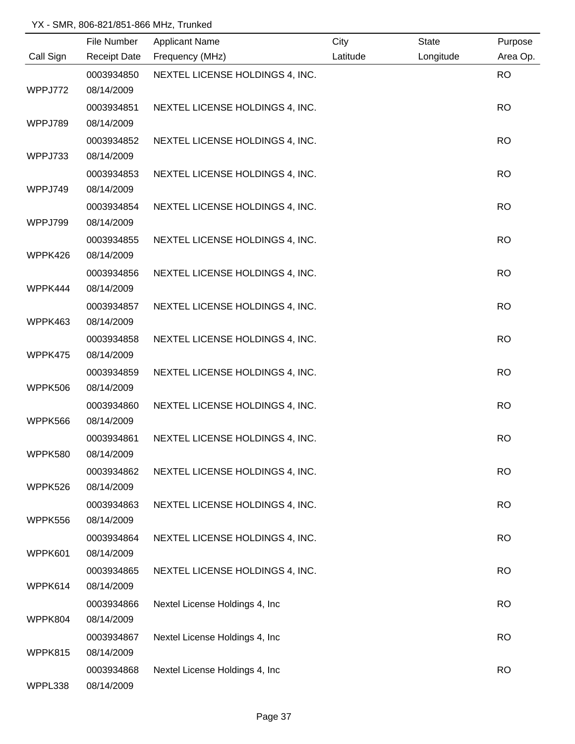|           | File Number              | <b>Applicant Name</b>           | City     | State     | Purpose   |
|-----------|--------------------------|---------------------------------|----------|-----------|-----------|
| Call Sign | <b>Receipt Date</b>      | Frequency (MHz)                 | Latitude | Longitude | Area Op.  |
|           | 0003934850               | NEXTEL LICENSE HOLDINGS 4, INC. |          |           | <b>RO</b> |
| WPPJ772   | 08/14/2009               |                                 |          |           |           |
|           | 0003934851               | NEXTEL LICENSE HOLDINGS 4, INC. |          |           | <b>RO</b> |
| WPPJ789   | 08/14/2009               |                                 |          |           |           |
|           | 0003934852               | NEXTEL LICENSE HOLDINGS 4, INC. |          |           | <b>RO</b> |
| WPPJ733   | 08/14/2009               |                                 |          |           |           |
|           | 0003934853               | NEXTEL LICENSE HOLDINGS 4, INC. |          |           | <b>RO</b> |
| WPPJ749   | 08/14/2009               |                                 |          |           |           |
|           | 0003934854               | NEXTEL LICENSE HOLDINGS 4, INC. |          |           | <b>RO</b> |
| WPPJ799   | 08/14/2009               |                                 |          |           |           |
|           | 0003934855               | NEXTEL LICENSE HOLDINGS 4, INC. |          |           | <b>RO</b> |
| WPPK426   | 08/14/2009               |                                 |          |           |           |
|           | 0003934856               | NEXTEL LICENSE HOLDINGS 4, INC. |          |           | <b>RO</b> |
| WPPK444   | 08/14/2009               |                                 |          |           |           |
|           | 0003934857               | NEXTEL LICENSE HOLDINGS 4, INC. |          |           | <b>RO</b> |
| WPPK463   | 08/14/2009               |                                 |          |           |           |
|           | 0003934858               | NEXTEL LICENSE HOLDINGS 4, INC. |          |           | <b>RO</b> |
| WPPK475   | 08/14/2009               |                                 |          |           |           |
|           | 0003934859               | NEXTEL LICENSE HOLDINGS 4, INC. |          |           | <b>RO</b> |
| WPPK506   | 08/14/2009               |                                 |          |           |           |
| WPPK566   | 0003934860               | NEXTEL LICENSE HOLDINGS 4, INC. |          |           | <b>RO</b> |
|           | 08/14/2009               |                                 |          |           |           |
| WPPK580   | 0003934861<br>08/14/2009 | NEXTEL LICENSE HOLDINGS 4, INC. |          |           | <b>RO</b> |
|           |                          |                                 |          |           |           |
| WPPK526   | 0003934862<br>08/14/2009 | NEXTEL LICENSE HOLDINGS 4, INC. |          |           | <b>RO</b> |
|           | 0003934863               | NEXTEL LICENSE HOLDINGS 4, INC. |          |           | <b>RO</b> |
| WPPK556   | 08/14/2009               |                                 |          |           |           |
|           | 0003934864               | NEXTEL LICENSE HOLDINGS 4, INC. |          |           | <b>RO</b> |
| WPPK601   | 08/14/2009               |                                 |          |           |           |
|           | 0003934865               | NEXTEL LICENSE HOLDINGS 4, INC. |          |           | <b>RO</b> |
| WPPK614   | 08/14/2009               |                                 |          |           |           |
|           | 0003934866               | Nextel License Holdings 4, Inc  |          |           | <b>RO</b> |
| WPPK804   | 08/14/2009               |                                 |          |           |           |
|           | 0003934867               | Nextel License Holdings 4, Inc  |          |           | <b>RO</b> |
| WPPK815   | 08/14/2009               |                                 |          |           |           |
|           | 0003934868               | Nextel License Holdings 4, Inc  |          |           | <b>RO</b> |
| WPPL338   | 08/14/2009               |                                 |          |           |           |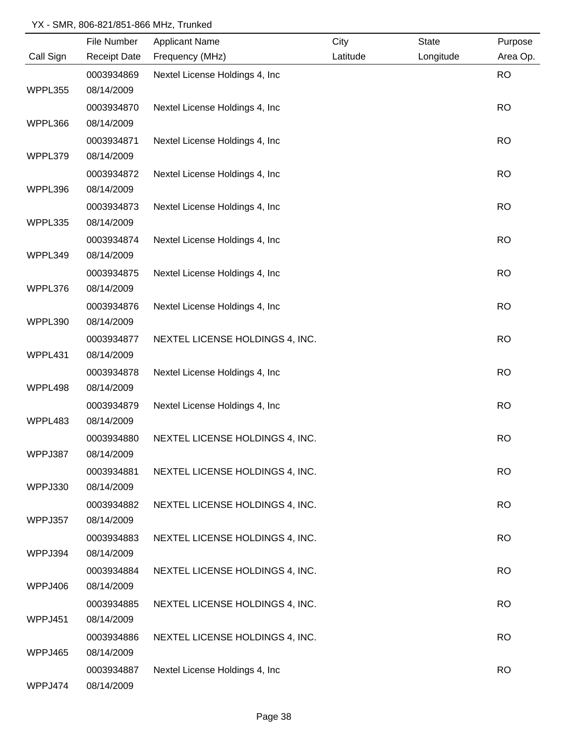|           | File Number         | <b>Applicant Name</b>           | City     | <b>State</b> | Purpose   |
|-----------|---------------------|---------------------------------|----------|--------------|-----------|
| Call Sign | <b>Receipt Date</b> | Frequency (MHz)                 | Latitude | Longitude    | Area Op.  |
|           | 0003934869          | Nextel License Holdings 4, Inc  |          |              | <b>RO</b> |
| WPPL355   | 08/14/2009          |                                 |          |              |           |
|           | 0003934870          | Nextel License Holdings 4, Inc  |          |              | <b>RO</b> |
| WPPL366   | 08/14/2009          |                                 |          |              |           |
|           | 0003934871          | Nextel License Holdings 4, Inc. |          |              | <b>RO</b> |
| WPPL379   | 08/14/2009          |                                 |          |              |           |
|           | 0003934872          | Nextel License Holdings 4, Inc  |          |              | <b>RO</b> |
| WPPL396   | 08/14/2009          |                                 |          |              |           |
|           | 0003934873          | Nextel License Holdings 4, Inc. |          |              | <b>RO</b> |
| WPPL335   | 08/14/2009          |                                 |          |              |           |
|           | 0003934874          | Nextel License Holdings 4, Inc  |          |              | <b>RO</b> |
| WPPL349   | 08/14/2009          |                                 |          |              |           |
|           | 0003934875          | Nextel License Holdings 4, Inc  |          |              | <b>RO</b> |
| WPPL376   | 08/14/2009          |                                 |          |              |           |
|           | 0003934876          | Nextel License Holdings 4, Inc  |          |              | <b>RO</b> |
| WPPL390   | 08/14/2009          |                                 |          |              |           |
|           | 0003934877          | NEXTEL LICENSE HOLDINGS 4, INC. |          |              | <b>RO</b> |
| WPPL431   | 08/14/2009          |                                 |          |              |           |
|           | 0003934878          | Nextel License Holdings 4, Inc  |          |              | <b>RO</b> |
| WPPL498   | 08/14/2009          |                                 |          |              |           |
|           | 0003934879          | Nextel License Holdings 4, Inc  |          |              | <b>RO</b> |
| WPPL483   | 08/14/2009          |                                 |          |              |           |
|           | 0003934880          | NEXTEL LICENSE HOLDINGS 4, INC. |          |              | <b>RO</b> |
| WPPJ387   | 08/14/2009          |                                 |          |              |           |
|           | 0003934881          | NEXTEL LICENSE HOLDINGS 4, INC. |          |              | <b>RO</b> |
| WPPJ330   | 08/14/2009          |                                 |          |              |           |
|           | 0003934882          | NEXTEL LICENSE HOLDINGS 4, INC. |          |              | <b>RO</b> |
| WPPJ357   | 08/14/2009          |                                 |          |              |           |
|           | 0003934883          | NEXTEL LICENSE HOLDINGS 4, INC. |          |              | <b>RO</b> |
| WPPJ394   | 08/14/2009          |                                 |          |              |           |
|           | 0003934884          | NEXTEL LICENSE HOLDINGS 4, INC. |          |              | <b>RO</b> |
| WPPJ406   | 08/14/2009          |                                 |          |              |           |
|           | 0003934885          | NEXTEL LICENSE HOLDINGS 4, INC. |          |              | <b>RO</b> |
| WPPJ451   | 08/14/2009          |                                 |          |              |           |
|           | 0003934886          | NEXTEL LICENSE HOLDINGS 4, INC. |          |              | <b>RO</b> |
| WPPJ465   | 08/14/2009          |                                 |          |              |           |
|           | 0003934887          | Nextel License Holdings 4, Inc  |          |              | <b>RO</b> |
| WPPJ474   | 08/14/2009          |                                 |          |              |           |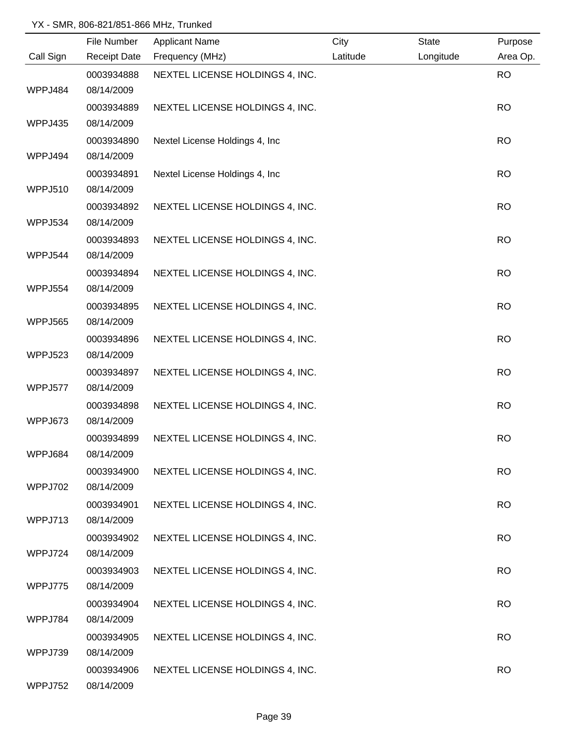|                | File Number         | <b>Applicant Name</b>           | City     | <b>State</b> | Purpose   |
|----------------|---------------------|---------------------------------|----------|--------------|-----------|
| Call Sign      | <b>Receipt Date</b> | Frequency (MHz)                 | Latitude | Longitude    | Area Op.  |
|                | 0003934888          | NEXTEL LICENSE HOLDINGS 4, INC. |          |              | <b>RO</b> |
| WPPJ484        | 08/14/2009          |                                 |          |              |           |
|                | 0003934889          | NEXTEL LICENSE HOLDINGS 4, INC. |          |              | <b>RO</b> |
| WPPJ435        | 08/14/2009          |                                 |          |              |           |
|                | 0003934890          | Nextel License Holdings 4, Inc  |          |              | <b>RO</b> |
| WPPJ494        | 08/14/2009          |                                 |          |              |           |
|                | 0003934891          | Nextel License Holdings 4, Inc  |          |              | <b>RO</b> |
| WPPJ510        | 08/14/2009          |                                 |          |              |           |
|                | 0003934892          | NEXTEL LICENSE HOLDINGS 4, INC. |          |              | <b>RO</b> |
| WPPJ534        | 08/14/2009          |                                 |          |              |           |
|                | 0003934893          | NEXTEL LICENSE HOLDINGS 4, INC. |          |              | <b>RO</b> |
| WPPJ544        | 08/14/2009          |                                 |          |              |           |
|                | 0003934894          | NEXTEL LICENSE HOLDINGS 4, INC. |          |              | <b>RO</b> |
| <b>WPPJ554</b> | 08/14/2009          |                                 |          |              |           |
|                | 0003934895          | NEXTEL LICENSE HOLDINGS 4, INC. |          |              | <b>RO</b> |
| WPPJ565        | 08/14/2009          |                                 |          |              |           |
|                | 0003934896          | NEXTEL LICENSE HOLDINGS 4, INC. |          |              | <b>RO</b> |
| WPPJ523        | 08/14/2009          |                                 |          |              |           |
|                | 0003934897          | NEXTEL LICENSE HOLDINGS 4, INC. |          |              | <b>RO</b> |
| WPPJ577        | 08/14/2009          |                                 |          |              |           |
|                | 0003934898          | NEXTEL LICENSE HOLDINGS 4, INC. |          |              | <b>RO</b> |
| WPPJ673        | 08/14/2009          |                                 |          |              |           |
|                | 0003934899          | NEXTEL LICENSE HOLDINGS 4, INC. |          |              | <b>RO</b> |
| WPPJ684        | 08/14/2009          |                                 |          |              |           |
|                | 0003934900          | NEXTEL LICENSE HOLDINGS 4, INC. |          |              | <b>RO</b> |
| WPPJ702        | 08/14/2009          |                                 |          |              |           |
|                | 0003934901          | NEXTEL LICENSE HOLDINGS 4, INC. |          |              | <b>RO</b> |
| WPPJ713        | 08/14/2009          |                                 |          |              |           |
|                | 0003934902          | NEXTEL LICENSE HOLDINGS 4, INC. |          |              | <b>RO</b> |
| WPPJ724        | 08/14/2009          |                                 |          |              |           |
|                | 0003934903          | NEXTEL LICENSE HOLDINGS 4, INC. |          |              | <b>RO</b> |
| WPPJ775        | 08/14/2009          |                                 |          |              |           |
|                | 0003934904          | NEXTEL LICENSE HOLDINGS 4, INC. |          |              | <b>RO</b> |
| WPPJ784        | 08/14/2009          |                                 |          |              |           |
|                | 0003934905          | NEXTEL LICENSE HOLDINGS 4, INC. |          |              | <b>RO</b> |
| WPPJ739        | 08/14/2009          |                                 |          |              |           |
|                | 0003934906          | NEXTEL LICENSE HOLDINGS 4, INC. |          |              | <b>RO</b> |
| WPPJ752        | 08/14/2009          |                                 |          |              |           |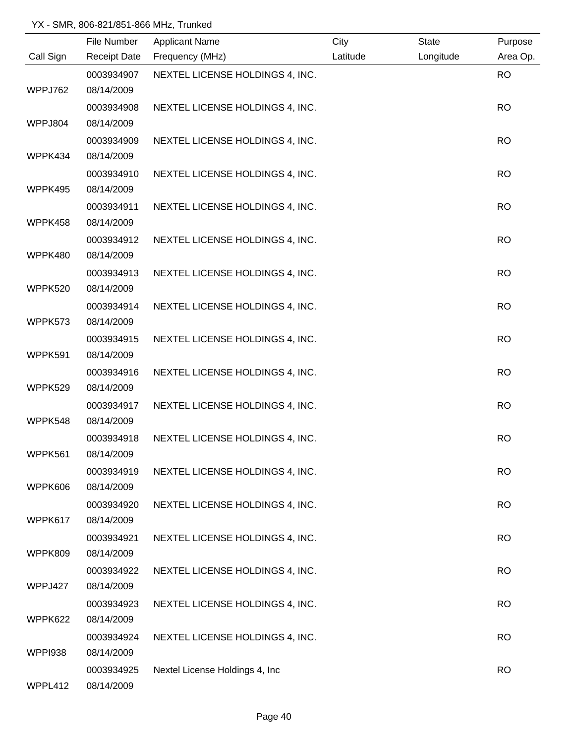|                | File Number         | <b>Applicant Name</b>           | City     | State     | Purpose   |
|----------------|---------------------|---------------------------------|----------|-----------|-----------|
| Call Sign      | <b>Receipt Date</b> | Frequency (MHz)                 | Latitude | Longitude | Area Op.  |
|                | 0003934907          | NEXTEL LICENSE HOLDINGS 4, INC. |          |           | <b>RO</b> |
| WPPJ762        | 08/14/2009          |                                 |          |           |           |
|                | 0003934908          | NEXTEL LICENSE HOLDINGS 4, INC. |          |           | <b>RO</b> |
| WPPJ804        | 08/14/2009          |                                 |          |           |           |
|                | 0003934909          | NEXTEL LICENSE HOLDINGS 4, INC. |          |           | <b>RO</b> |
| WPPK434        | 08/14/2009          |                                 |          |           |           |
|                | 0003934910          | NEXTEL LICENSE HOLDINGS 4, INC. |          |           | <b>RO</b> |
| WPPK495        | 08/14/2009          |                                 |          |           |           |
|                | 0003934911          | NEXTEL LICENSE HOLDINGS 4, INC. |          |           | <b>RO</b> |
| WPPK458        | 08/14/2009          |                                 |          |           |           |
|                | 0003934912          | NEXTEL LICENSE HOLDINGS 4, INC. |          |           | <b>RO</b> |
| WPPK480        | 08/14/2009          |                                 |          |           |           |
|                | 0003934913          | NEXTEL LICENSE HOLDINGS 4, INC. |          |           | <b>RO</b> |
| WPPK520        | 08/14/2009          |                                 |          |           |           |
|                | 0003934914          | NEXTEL LICENSE HOLDINGS 4, INC. |          |           | <b>RO</b> |
| WPPK573        | 08/14/2009          |                                 |          |           |           |
|                | 0003934915          | NEXTEL LICENSE HOLDINGS 4, INC. |          |           | <b>RO</b> |
| WPPK591        | 08/14/2009          |                                 |          |           |           |
|                | 0003934916          | NEXTEL LICENSE HOLDINGS 4, INC. |          |           | <b>RO</b> |
| WPPK529        | 08/14/2009          |                                 |          |           |           |
|                | 0003934917          | NEXTEL LICENSE HOLDINGS 4, INC. |          |           | <b>RO</b> |
| WPPK548        | 08/14/2009          |                                 |          |           |           |
|                | 0003934918          | NEXTEL LICENSE HOLDINGS 4, INC. |          |           | <b>RO</b> |
| WPPK561        | 08/14/2009          |                                 |          |           |           |
|                | 0003934919          | NEXTEL LICENSE HOLDINGS 4, INC. |          |           | <b>RO</b> |
| WPPK606        | 08/14/2009          |                                 |          |           |           |
|                | 0003934920          | NEXTEL LICENSE HOLDINGS 4, INC. |          |           | <b>RO</b> |
| WPPK617        | 08/14/2009          |                                 |          |           |           |
|                | 0003934921          | NEXTEL LICENSE HOLDINGS 4, INC. |          |           | <b>RO</b> |
| WPPK809        | 08/14/2009          |                                 |          |           |           |
|                | 0003934922          | NEXTEL LICENSE HOLDINGS 4, INC. |          |           | <b>RO</b> |
| WPPJ427        | 08/14/2009          |                                 |          |           |           |
|                | 0003934923          | NEXTEL LICENSE HOLDINGS 4, INC. |          |           | <b>RO</b> |
| WPPK622        | 08/14/2009          |                                 |          |           |           |
|                | 0003934924          | NEXTEL LICENSE HOLDINGS 4, INC. |          |           | <b>RO</b> |
| <b>WPPI938</b> | 08/14/2009          |                                 |          |           |           |
|                | 0003934925          | Nextel License Holdings 4, Inc  |          |           | <b>RO</b> |
| WPPL412        | 08/14/2009          |                                 |          |           |           |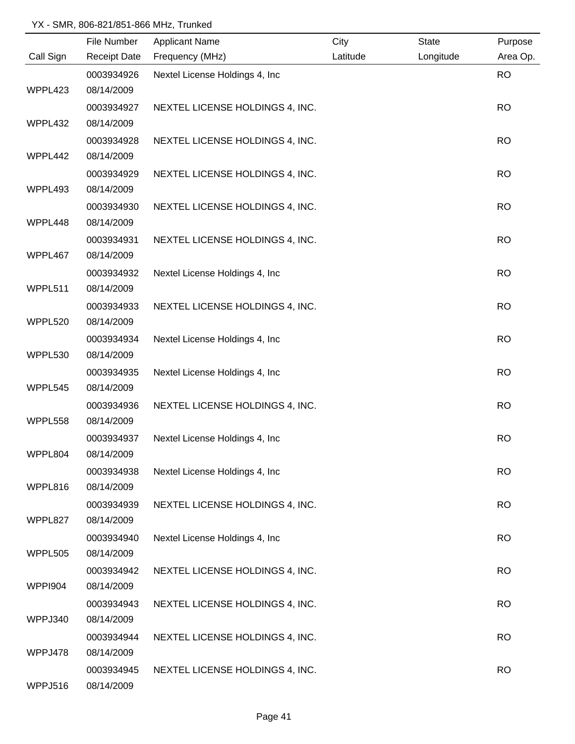|                | File Number              | <b>Applicant Name</b>           | City     | <b>State</b> | Purpose   |
|----------------|--------------------------|---------------------------------|----------|--------------|-----------|
| Call Sign      | <b>Receipt Date</b>      | Frequency (MHz)                 | Latitude | Longitude    | Area Op.  |
|                | 0003934926               | Nextel License Holdings 4, Inc  |          |              | <b>RO</b> |
| WPPL423        | 08/14/2009               |                                 |          |              |           |
|                | 0003934927               | NEXTEL LICENSE HOLDINGS 4, INC. |          |              | <b>RO</b> |
| WPPL432        | 08/14/2009               |                                 |          |              |           |
|                | 0003934928               | NEXTEL LICENSE HOLDINGS 4, INC. |          |              | <b>RO</b> |
| WPPL442        | 08/14/2009               |                                 |          |              |           |
|                | 0003934929               | NEXTEL LICENSE HOLDINGS 4, INC. |          |              | <b>RO</b> |
| WPPL493        | 08/14/2009               |                                 |          |              |           |
|                | 0003934930               | NEXTEL LICENSE HOLDINGS 4, INC. |          |              | <b>RO</b> |
| WPPL448        | 08/14/2009               |                                 |          |              |           |
|                | 0003934931               | NEXTEL LICENSE HOLDINGS 4, INC. |          |              | <b>RO</b> |
| WPPL467        | 08/14/2009               |                                 |          |              |           |
|                | 0003934932               | Nextel License Holdings 4, Inc. |          |              | <b>RO</b> |
| WPPL511        | 08/14/2009               |                                 |          |              |           |
|                | 0003934933               | NEXTEL LICENSE HOLDINGS 4, INC. |          |              | <b>RO</b> |
| WPPL520        | 08/14/2009               |                                 |          |              |           |
|                | 0003934934               | Nextel License Holdings 4, Inc  |          |              | <b>RO</b> |
| WPPL530        | 08/14/2009               |                                 |          |              |           |
|                | 0003934935               | Nextel License Holdings 4, Inc  |          |              | <b>RO</b> |
| WPPL545        | 08/14/2009               |                                 |          |              |           |
|                | 0003934936               | NEXTEL LICENSE HOLDINGS 4, INC. |          |              | <b>RO</b> |
| WPPL558        | 08/14/2009               |                                 |          |              |           |
|                | 0003934937               | Nextel License Holdings 4, Inc  |          |              | <b>RO</b> |
| WPPL804        | 08/14/2009               |                                 |          |              |           |
|                | 0003934938               | Nextel License Holdings 4, Inc. |          |              | <b>RO</b> |
| WPPL816        | 08/14/2009               |                                 |          |              |           |
|                | 0003934939               | NEXTEL LICENSE HOLDINGS 4, INC. |          |              | <b>RO</b> |
| WPPL827        | 08/14/2009               |                                 |          |              |           |
| WPPL505        | 0003934940<br>08/14/2009 | Nextel License Holdings 4, Inc  |          |              | <b>RO</b> |
|                |                          |                                 |          |              |           |
| <b>WPPI904</b> | 0003934942<br>08/14/2009 | NEXTEL LICENSE HOLDINGS 4, INC. |          |              | <b>RO</b> |
|                | 0003934943               | NEXTEL LICENSE HOLDINGS 4, INC. |          |              | <b>RO</b> |
| WPPJ340        | 08/14/2009               |                                 |          |              |           |
|                | 0003934944               | NEXTEL LICENSE HOLDINGS 4, INC. |          |              | <b>RO</b> |
| WPPJ478        | 08/14/2009               |                                 |          |              |           |
|                | 0003934945               | NEXTEL LICENSE HOLDINGS 4, INC. |          |              | <b>RO</b> |
| WPPJ516        | 08/14/2009               |                                 |          |              |           |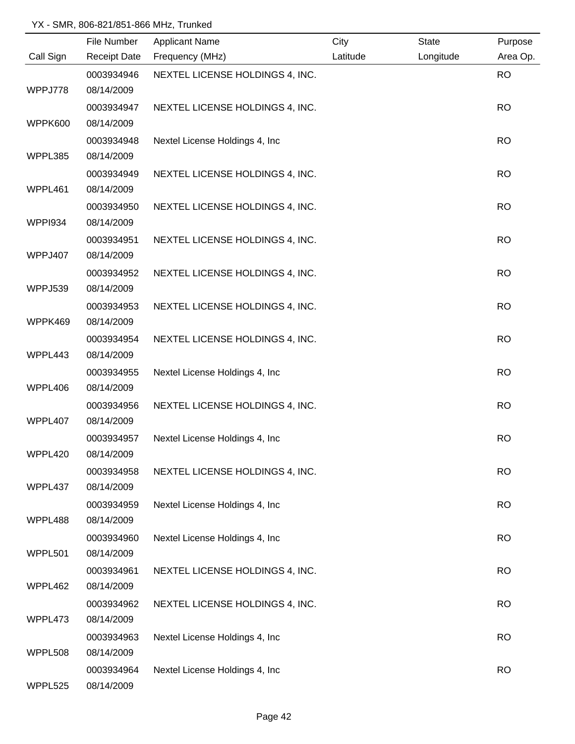|                | File Number         | <b>Applicant Name</b>           | City     | <b>State</b> | Purpose   |
|----------------|---------------------|---------------------------------|----------|--------------|-----------|
| Call Sign      | <b>Receipt Date</b> | Frequency (MHz)                 | Latitude | Longitude    | Area Op.  |
|                | 0003934946          | NEXTEL LICENSE HOLDINGS 4, INC. |          |              | <b>RO</b> |
| WPPJ778        | 08/14/2009          |                                 |          |              |           |
|                | 0003934947          | NEXTEL LICENSE HOLDINGS 4, INC. |          |              | <b>RO</b> |
| WPPK600        | 08/14/2009          |                                 |          |              |           |
|                | 0003934948          | Nextel License Holdings 4, Inc. |          |              | <b>RO</b> |
| WPPL385        | 08/14/2009          |                                 |          |              |           |
|                | 0003934949          | NEXTEL LICENSE HOLDINGS 4, INC. |          |              | <b>RO</b> |
| WPPL461        | 08/14/2009          |                                 |          |              |           |
|                | 0003934950          | NEXTEL LICENSE HOLDINGS 4, INC. |          |              | <b>RO</b> |
| <b>WPPI934</b> | 08/14/2009          |                                 |          |              |           |
|                | 0003934951          | NEXTEL LICENSE HOLDINGS 4, INC. |          |              | <b>RO</b> |
| WPPJ407        | 08/14/2009          |                                 |          |              |           |
|                | 0003934952          | NEXTEL LICENSE HOLDINGS 4, INC. |          |              | <b>RO</b> |
| WPPJ539        | 08/14/2009          |                                 |          |              |           |
|                | 0003934953          | NEXTEL LICENSE HOLDINGS 4, INC. |          |              | <b>RO</b> |
| WPPK469        | 08/14/2009          |                                 |          |              |           |
|                | 0003934954          | NEXTEL LICENSE HOLDINGS 4, INC. |          |              | <b>RO</b> |
| WPPL443        | 08/14/2009          |                                 |          |              |           |
|                | 0003934955          | Nextel License Holdings 4, Inc  |          |              | <b>RO</b> |
| WPPL406        | 08/14/2009          |                                 |          |              |           |
|                | 0003934956          | NEXTEL LICENSE HOLDINGS 4, INC. |          |              | <b>RO</b> |
| WPPL407        | 08/14/2009          |                                 |          |              |           |
|                | 0003934957          | Nextel License Holdings 4, Inc  |          |              | <b>RO</b> |
| WPPL420        | 08/14/2009          |                                 |          |              |           |
|                | 0003934958          | NEXTEL LICENSE HOLDINGS 4, INC. |          |              | <b>RO</b> |
| WPPL437        | 08/14/2009          |                                 |          |              |           |
|                | 0003934959          | Nextel License Holdings 4, Inc  |          |              | <b>RO</b> |
| WPPL488        | 08/14/2009          |                                 |          |              |           |
|                | 0003934960          | Nextel License Holdings 4, Inc  |          |              | <b>RO</b> |
| WPPL501        | 08/14/2009          |                                 |          |              |           |
|                | 0003934961          | NEXTEL LICENSE HOLDINGS 4, INC. |          |              | <b>RO</b> |
| WPPL462        | 08/14/2009          |                                 |          |              |           |
|                | 0003934962          | NEXTEL LICENSE HOLDINGS 4, INC. |          |              | <b>RO</b> |
| WPPL473        | 08/14/2009          |                                 |          |              |           |
|                | 0003934963          | Nextel License Holdings 4, Inc  |          |              | <b>RO</b> |
| WPPL508        | 08/14/2009          |                                 |          |              |           |
|                | 0003934964          | Nextel License Holdings 4, Inc  |          |              | <b>RO</b> |
| WPPL525        | 08/14/2009          |                                 |          |              |           |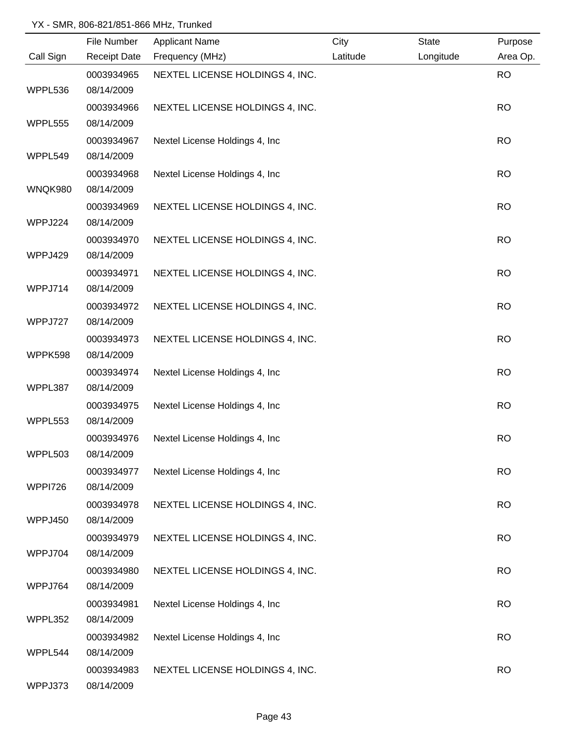|                | File Number         | <b>Applicant Name</b>           | City     | <b>State</b> | Purpose   |
|----------------|---------------------|---------------------------------|----------|--------------|-----------|
| Call Sign      | <b>Receipt Date</b> | Frequency (MHz)                 | Latitude | Longitude    | Area Op.  |
|                | 0003934965          | NEXTEL LICENSE HOLDINGS 4, INC. |          |              | <b>RO</b> |
| WPPL536        | 08/14/2009          |                                 |          |              |           |
|                | 0003934966          | NEXTEL LICENSE HOLDINGS 4, INC. |          |              | <b>RO</b> |
| WPPL555        | 08/14/2009          |                                 |          |              |           |
|                | 0003934967          | Nextel License Holdings 4, Inc. |          |              | <b>RO</b> |
| WPPL549        | 08/14/2009          |                                 |          |              |           |
|                | 0003934968          | Nextel License Holdings 4, Inc  |          |              | <b>RO</b> |
| WNQK980        | 08/14/2009          |                                 |          |              |           |
|                | 0003934969          | NEXTEL LICENSE HOLDINGS 4, INC. |          |              | <b>RO</b> |
| WPPJ224        | 08/14/2009          |                                 |          |              |           |
|                | 0003934970          | NEXTEL LICENSE HOLDINGS 4, INC. |          |              | <b>RO</b> |
| WPPJ429        | 08/14/2009          |                                 |          |              |           |
|                | 0003934971          | NEXTEL LICENSE HOLDINGS 4, INC. |          |              | <b>RO</b> |
| WPPJ714        | 08/14/2009          |                                 |          |              |           |
|                | 0003934972          | NEXTEL LICENSE HOLDINGS 4, INC. |          |              | <b>RO</b> |
| WPPJ727        | 08/14/2009          |                                 |          |              |           |
|                | 0003934973          | NEXTEL LICENSE HOLDINGS 4, INC. |          |              | <b>RO</b> |
| WPPK598        | 08/14/2009          |                                 |          |              |           |
|                | 0003934974          | Nextel License Holdings 4, Inc  |          |              | <b>RO</b> |
| WPPL387        | 08/14/2009          |                                 |          |              |           |
|                | 0003934975          | Nextel License Holdings 4, Inc  |          |              | <b>RO</b> |
| WPPL553        | 08/14/2009          |                                 |          |              |           |
|                | 0003934976          | Nextel License Holdings 4, Inc  |          |              | <b>RO</b> |
| WPPL503        | 08/14/2009          |                                 |          |              |           |
|                | 0003934977          | Nextel License Holdings 4, Inc. |          |              | <b>RO</b> |
| <b>WPPI726</b> | 08/14/2009          |                                 |          |              |           |
|                | 0003934978          | NEXTEL LICENSE HOLDINGS 4, INC. |          |              | <b>RO</b> |
| WPPJ450        | 08/14/2009          |                                 |          |              |           |
|                | 0003934979          | NEXTEL LICENSE HOLDINGS 4, INC. |          |              | <b>RO</b> |
| WPPJ704        | 08/14/2009          |                                 |          |              |           |
|                | 0003934980          | NEXTEL LICENSE HOLDINGS 4, INC. |          |              | <b>RO</b> |
| WPPJ764        | 08/14/2009          |                                 |          |              |           |
|                | 0003934981          | Nextel License Holdings 4, Inc  |          |              | <b>RO</b> |
| WPPL352        | 08/14/2009          |                                 |          |              |           |
|                | 0003934982          | Nextel License Holdings 4, Inc  |          |              | <b>RO</b> |
| WPPL544        | 08/14/2009          |                                 |          |              |           |
|                | 0003934983          | NEXTEL LICENSE HOLDINGS 4, INC. |          |              | <b>RO</b> |
| WPPJ373        | 08/14/2009          |                                 |          |              |           |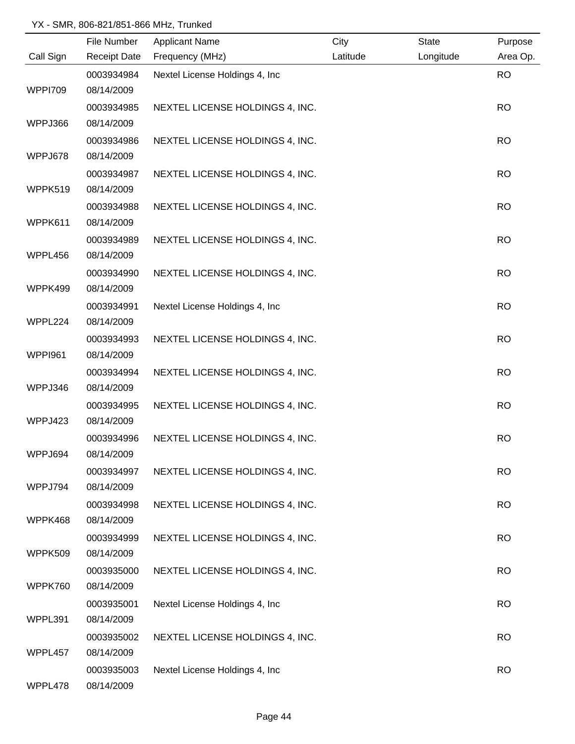|                | File Number         | <b>Applicant Name</b>           | City     | <b>State</b> | Purpose   |
|----------------|---------------------|---------------------------------|----------|--------------|-----------|
| Call Sign      | <b>Receipt Date</b> | Frequency (MHz)                 | Latitude | Longitude    | Area Op.  |
|                | 0003934984          | Nextel License Holdings 4, Inc  |          |              | <b>RO</b> |
| <b>WPPI709</b> | 08/14/2009          |                                 |          |              |           |
|                | 0003934985          | NEXTEL LICENSE HOLDINGS 4, INC. |          |              | <b>RO</b> |
| WPPJ366        | 08/14/2009          |                                 |          |              |           |
|                | 0003934986          | NEXTEL LICENSE HOLDINGS 4, INC. |          |              | <b>RO</b> |
| WPPJ678        | 08/14/2009          |                                 |          |              |           |
|                | 0003934987          | NEXTEL LICENSE HOLDINGS 4, INC. |          |              | <b>RO</b> |
| WPPK519        | 08/14/2009          |                                 |          |              |           |
|                | 0003934988          | NEXTEL LICENSE HOLDINGS 4, INC. |          |              | <b>RO</b> |
| WPPK611        | 08/14/2009          |                                 |          |              |           |
|                | 0003934989          | NEXTEL LICENSE HOLDINGS 4, INC. |          |              | <b>RO</b> |
| WPPL456        | 08/14/2009          |                                 |          |              |           |
|                | 0003934990          | NEXTEL LICENSE HOLDINGS 4, INC. |          |              | <b>RO</b> |
| WPPK499        | 08/14/2009          |                                 |          |              |           |
|                | 0003934991          | Nextel License Holdings 4, Inc  |          |              | <b>RO</b> |
| WPPL224        | 08/14/2009          |                                 |          |              |           |
|                | 0003934993          | NEXTEL LICENSE HOLDINGS 4, INC. |          |              | <b>RO</b> |
| WPPI961        | 08/14/2009          |                                 |          |              |           |
|                | 0003934994          | NEXTEL LICENSE HOLDINGS 4, INC. |          |              | <b>RO</b> |
| WPPJ346        | 08/14/2009          |                                 |          |              |           |
|                | 0003934995          | NEXTEL LICENSE HOLDINGS 4, INC. |          |              | <b>RO</b> |
| WPPJ423        | 08/14/2009          |                                 |          |              |           |
|                | 0003934996          | NEXTEL LICENSE HOLDINGS 4, INC. |          |              | <b>RO</b> |
| WPPJ694        | 08/14/2009          |                                 |          |              |           |
|                | 0003934997          | NEXTEL LICENSE HOLDINGS 4, INC. |          |              | <b>RO</b> |
| WPPJ794        | 08/14/2009          |                                 |          |              |           |
|                | 0003934998          | NEXTEL LICENSE HOLDINGS 4, INC. |          |              | <b>RO</b> |
| WPPK468        | 08/14/2009          |                                 |          |              |           |
|                | 0003934999          | NEXTEL LICENSE HOLDINGS 4, INC. |          |              | <b>RO</b> |
| <b>WPPK509</b> | 08/14/2009          |                                 |          |              |           |
|                | 0003935000          | NEXTEL LICENSE HOLDINGS 4, INC. |          |              | <b>RO</b> |
| WPPK760        | 08/14/2009          |                                 |          |              |           |
|                | 0003935001          | Nextel License Holdings 4, Inc  |          |              | <b>RO</b> |
| WPPL391        | 08/14/2009          |                                 |          |              |           |
|                | 0003935002          | NEXTEL LICENSE HOLDINGS 4, INC. |          |              | <b>RO</b> |
| WPPL457        | 08/14/2009          |                                 |          |              |           |
|                | 0003935003          | Nextel License Holdings 4, Inc  |          |              | <b>RO</b> |
| WPPL478        | 08/14/2009          |                                 |          |              |           |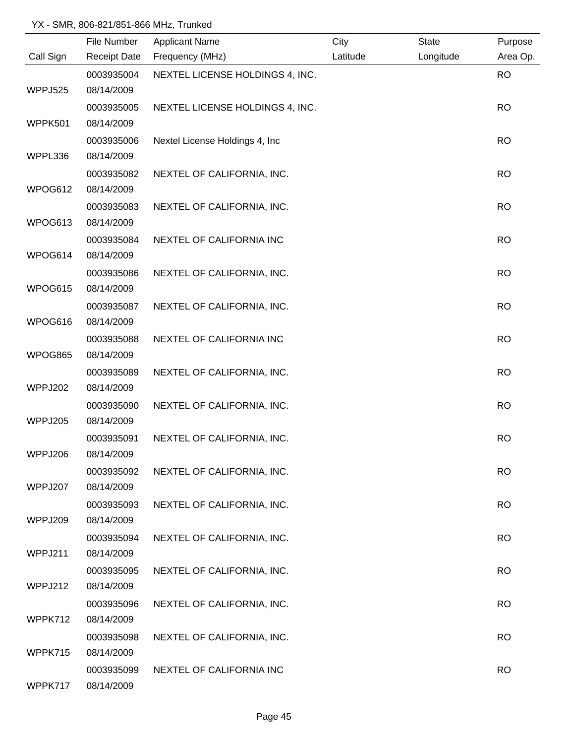|           | File Number         | <b>Applicant Name</b>           | City     | State     | Purpose   |
|-----------|---------------------|---------------------------------|----------|-----------|-----------|
| Call Sign | <b>Receipt Date</b> | Frequency (MHz)                 | Latitude | Longitude | Area Op.  |
|           | 0003935004          | NEXTEL LICENSE HOLDINGS 4, INC. |          |           | <b>RO</b> |
| WPPJ525   | 08/14/2009          |                                 |          |           |           |
|           | 0003935005          | NEXTEL LICENSE HOLDINGS 4, INC. |          |           | <b>RO</b> |
| WPPK501   | 08/14/2009          |                                 |          |           |           |
|           | 0003935006          | Nextel License Holdings 4, Inc. |          |           | <b>RO</b> |
| WPPL336   | 08/14/2009          |                                 |          |           |           |
|           | 0003935082          | NEXTEL OF CALIFORNIA, INC.      |          |           | <b>RO</b> |
| WPOG612   | 08/14/2009          |                                 |          |           |           |
|           | 0003935083          | NEXTEL OF CALIFORNIA, INC.      |          |           | <b>RO</b> |
| WPOG613   | 08/14/2009          |                                 |          |           |           |
|           | 0003935084          | NEXTEL OF CALIFORNIA INC        |          |           | <b>RO</b> |
| WPOG614   | 08/14/2009          |                                 |          |           |           |
|           | 0003935086          | NEXTEL OF CALIFORNIA, INC.      |          |           | <b>RO</b> |
| WPOG615   | 08/14/2009          |                                 |          |           |           |
|           | 0003935087          | NEXTEL OF CALIFORNIA, INC.      |          |           | <b>RO</b> |
| WPOG616   | 08/14/2009          |                                 |          |           |           |
|           | 0003935088          | NEXTEL OF CALIFORNIA INC        |          |           | <b>RO</b> |
| WPOG865   | 08/14/2009          |                                 |          |           |           |
|           | 0003935089          | NEXTEL OF CALIFORNIA, INC.      |          |           | <b>RO</b> |
| WPPJ202   | 08/14/2009          |                                 |          |           |           |
|           | 0003935090          | NEXTEL OF CALIFORNIA, INC.      |          |           | <b>RO</b> |
| WPPJ205   | 08/14/2009          |                                 |          |           |           |
|           | 0003935091          | NEXTEL OF CALIFORNIA, INC.      |          |           | <b>RO</b> |
| WPPJ206   | 08/14/2009          |                                 |          |           |           |
|           | 0003935092          | NEXTEL OF CALIFORNIA, INC.      |          |           | <b>RO</b> |
| WPPJ207   | 08/14/2009          |                                 |          |           |           |
|           | 0003935093          | NEXTEL OF CALIFORNIA, INC.      |          |           | <b>RO</b> |
| WPPJ209   | 08/14/2009          |                                 |          |           |           |
|           | 0003935094          | NEXTEL OF CALIFORNIA, INC.      |          |           | <b>RO</b> |
| WPPJ211   | 08/14/2009          |                                 |          |           |           |
|           | 0003935095          | NEXTEL OF CALIFORNIA, INC.      |          |           | <b>RO</b> |
| WPPJ212   | 08/14/2009          |                                 |          |           |           |
|           | 0003935096          | NEXTEL OF CALIFORNIA, INC.      |          |           | <b>RO</b> |
| WPPK712   | 08/14/2009          |                                 |          |           |           |
|           | 0003935098          | NEXTEL OF CALIFORNIA, INC.      |          |           | <b>RO</b> |
| WPPK715   | 08/14/2009          |                                 |          |           |           |
|           | 0003935099          | NEXTEL OF CALIFORNIA INC        |          |           | <b>RO</b> |
| WPPK717   | 08/14/2009          |                                 |          |           |           |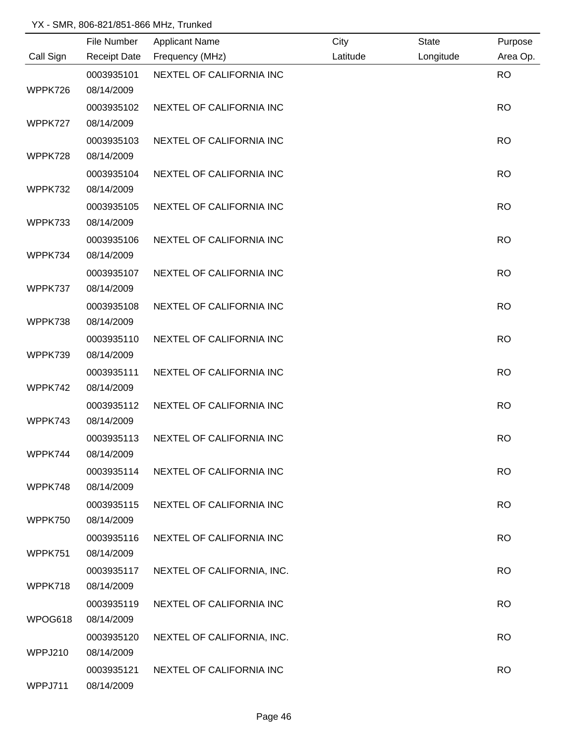|           | File Number         | <b>Applicant Name</b>      | City     | <b>State</b> | Purpose   |
|-----------|---------------------|----------------------------|----------|--------------|-----------|
| Call Sign | <b>Receipt Date</b> | Frequency (MHz)            | Latitude | Longitude    | Area Op.  |
|           | 0003935101          | NEXTEL OF CALIFORNIA INC   |          |              | <b>RO</b> |
| WPPK726   | 08/14/2009          |                            |          |              |           |
|           | 0003935102          | NEXTEL OF CALIFORNIA INC   |          |              | <b>RO</b> |
| WPPK727   | 08/14/2009          |                            |          |              |           |
|           | 0003935103          | NEXTEL OF CALIFORNIA INC   |          |              | <b>RO</b> |
| WPPK728   | 08/14/2009          |                            |          |              |           |
|           | 0003935104          | NEXTEL OF CALIFORNIA INC   |          |              | <b>RO</b> |
| WPPK732   | 08/14/2009          |                            |          |              |           |
|           | 0003935105          | NEXTEL OF CALIFORNIA INC   |          |              | <b>RO</b> |
| WPPK733   | 08/14/2009          |                            |          |              |           |
|           | 0003935106          | NEXTEL OF CALIFORNIA INC   |          |              | <b>RO</b> |
| WPPK734   | 08/14/2009          |                            |          |              |           |
|           | 0003935107          | NEXTEL OF CALIFORNIA INC   |          |              | <b>RO</b> |
| WPPK737   | 08/14/2009          |                            |          |              |           |
|           | 0003935108          | NEXTEL OF CALIFORNIA INC   |          |              | <b>RO</b> |
| WPPK738   | 08/14/2009          |                            |          |              |           |
|           | 0003935110          | NEXTEL OF CALIFORNIA INC   |          |              | <b>RO</b> |
| WPPK739   | 08/14/2009          |                            |          |              |           |
|           | 0003935111          | NEXTEL OF CALIFORNIA INC   |          |              | <b>RO</b> |
| WPPK742   | 08/14/2009          |                            |          |              |           |
|           | 0003935112          | NEXTEL OF CALIFORNIA INC   |          |              | <b>RO</b> |
| WPPK743   | 08/14/2009          |                            |          |              |           |
|           | 0003935113          | NEXTEL OF CALIFORNIA INC   |          |              | <b>RO</b> |
| WPPK744   | 08/14/2009          |                            |          |              |           |
|           | 0003935114          | NEXTEL OF CALIFORNIA INC   |          |              | <b>RO</b> |
| WPPK748   | 08/14/2009          |                            |          |              |           |
|           | 0003935115          | NEXTEL OF CALIFORNIA INC   |          |              | <b>RO</b> |
| WPPK750   | 08/14/2009          |                            |          |              |           |
|           | 0003935116          | NEXTEL OF CALIFORNIA INC   |          |              | <b>RO</b> |
| WPPK751   | 08/14/2009          |                            |          |              |           |
|           | 0003935117          | NEXTEL OF CALIFORNIA, INC. |          |              | <b>RO</b> |
| WPPK718   | 08/14/2009          |                            |          |              |           |
|           | 0003935119          | NEXTEL OF CALIFORNIA INC   |          |              | <b>RO</b> |
| WPOG618   | 08/14/2009          |                            |          |              |           |
|           | 0003935120          | NEXTEL OF CALIFORNIA, INC. |          |              | <b>RO</b> |
| WPPJ210   | 08/14/2009          |                            |          |              |           |
|           | 0003935121          | NEXTEL OF CALIFORNIA INC   |          |              | <b>RO</b> |
| WPPJ711   | 08/14/2009          |                            |          |              |           |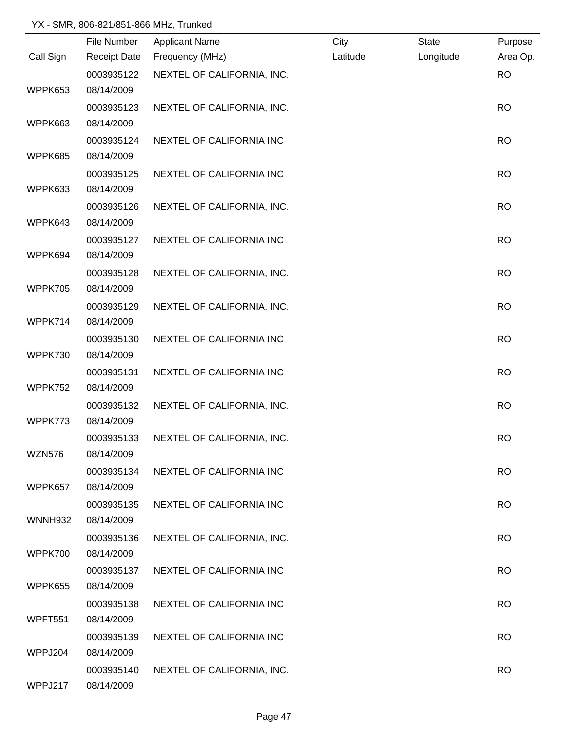|               | File Number         | <b>Applicant Name</b>      | City     | <b>State</b> | Purpose   |
|---------------|---------------------|----------------------------|----------|--------------|-----------|
| Call Sign     | <b>Receipt Date</b> | Frequency (MHz)            | Latitude | Longitude    | Area Op.  |
|               | 0003935122          | NEXTEL OF CALIFORNIA, INC. |          |              | <b>RO</b> |
| WPPK653       | 08/14/2009          |                            |          |              |           |
|               | 0003935123          | NEXTEL OF CALIFORNIA, INC. |          |              | <b>RO</b> |
| WPPK663       | 08/14/2009          |                            |          |              |           |
|               | 0003935124          | NEXTEL OF CALIFORNIA INC   |          |              | <b>RO</b> |
| WPPK685       | 08/14/2009          |                            |          |              |           |
|               | 0003935125          | NEXTEL OF CALIFORNIA INC   |          |              | <b>RO</b> |
| WPPK633       | 08/14/2009          |                            |          |              |           |
|               | 0003935126          | NEXTEL OF CALIFORNIA, INC. |          |              | <b>RO</b> |
| WPPK643       | 08/14/2009          |                            |          |              |           |
|               | 0003935127          | NEXTEL OF CALIFORNIA INC   |          |              | <b>RO</b> |
| WPPK694       | 08/14/2009          |                            |          |              |           |
|               | 0003935128          | NEXTEL OF CALIFORNIA, INC. |          |              | <b>RO</b> |
| WPPK705       | 08/14/2009          |                            |          |              |           |
|               | 0003935129          | NEXTEL OF CALIFORNIA, INC. |          |              | <b>RO</b> |
| WPPK714       | 08/14/2009          |                            |          |              |           |
|               | 0003935130          | NEXTEL OF CALIFORNIA INC   |          |              | <b>RO</b> |
| WPPK730       | 08/14/2009          |                            |          |              |           |
|               | 0003935131          | NEXTEL OF CALIFORNIA INC   |          |              | <b>RO</b> |
| WPPK752       | 08/14/2009          |                            |          |              |           |
|               | 0003935132          | NEXTEL OF CALIFORNIA, INC. |          |              | <b>RO</b> |
| WPPK773       | 08/14/2009          |                            |          |              |           |
|               | 0003935133          | NEXTEL OF CALIFORNIA, INC. |          |              | <b>RO</b> |
| <b>WZN576</b> | 08/14/2009          |                            |          |              |           |
|               | 0003935134          | NEXTEL OF CALIFORNIA INC   |          |              | <b>RO</b> |
| WPPK657       | 08/14/2009          |                            |          |              |           |
|               | 0003935135          | NEXTEL OF CALIFORNIA INC   |          |              | <b>RO</b> |
| WNNH932       | 08/14/2009          |                            |          |              |           |
|               | 0003935136          | NEXTEL OF CALIFORNIA, INC. |          |              | <b>RO</b> |
| WPPK700       | 08/14/2009          |                            |          |              |           |
|               | 0003935137          | NEXTEL OF CALIFORNIA INC   |          |              | <b>RO</b> |
| WPPK655       | 08/14/2009          |                            |          |              |           |
|               | 0003935138          | NEXTEL OF CALIFORNIA INC   |          |              | <b>RO</b> |
| WPFT551       | 08/14/2009          |                            |          |              |           |
|               | 0003935139          | NEXTEL OF CALIFORNIA INC   |          |              | <b>RO</b> |
| WPPJ204       | 08/14/2009          |                            |          |              |           |
|               | 0003935140          | NEXTEL OF CALIFORNIA, INC. |          |              | <b>RO</b> |
| WPPJ217       | 08/14/2009          |                            |          |              |           |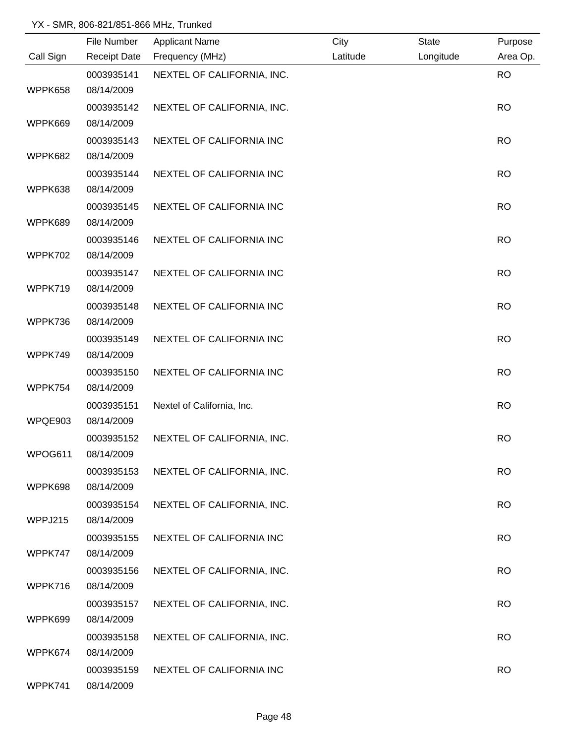|           | File Number         | <b>Applicant Name</b>      | City     | <b>State</b> | Purpose   |
|-----------|---------------------|----------------------------|----------|--------------|-----------|
| Call Sign | <b>Receipt Date</b> | Frequency (MHz)            | Latitude | Longitude    | Area Op.  |
|           | 0003935141          | NEXTEL OF CALIFORNIA, INC. |          |              | <b>RO</b> |
| WPPK658   | 08/14/2009          |                            |          |              |           |
|           | 0003935142          | NEXTEL OF CALIFORNIA, INC. |          |              | <b>RO</b> |
| WPPK669   | 08/14/2009          |                            |          |              |           |
|           | 0003935143          | NEXTEL OF CALIFORNIA INC   |          |              | <b>RO</b> |
| WPPK682   | 08/14/2009          |                            |          |              |           |
|           | 0003935144          | NEXTEL OF CALIFORNIA INC   |          |              | <b>RO</b> |
| WPPK638   | 08/14/2009          |                            |          |              |           |
|           | 0003935145          | NEXTEL OF CALIFORNIA INC   |          |              | <b>RO</b> |
| WPPK689   | 08/14/2009          |                            |          |              |           |
|           | 0003935146          | NEXTEL OF CALIFORNIA INC   |          |              | <b>RO</b> |
| WPPK702   | 08/14/2009          |                            |          |              |           |
|           | 0003935147          | NEXTEL OF CALIFORNIA INC   |          |              | <b>RO</b> |
| WPPK719   | 08/14/2009          |                            |          |              |           |
|           | 0003935148          | NEXTEL OF CALIFORNIA INC   |          |              | <b>RO</b> |
| WPPK736   | 08/14/2009          |                            |          |              |           |
|           | 0003935149          | NEXTEL OF CALIFORNIA INC   |          |              | <b>RO</b> |
| WPPK749   | 08/14/2009          |                            |          |              |           |
|           | 0003935150          | NEXTEL OF CALIFORNIA INC   |          |              | <b>RO</b> |
| WPPK754   | 08/14/2009          |                            |          |              |           |
|           | 0003935151          | Nextel of California, Inc. |          |              | <b>RO</b> |
| WPQE903   | 08/14/2009          |                            |          |              |           |
|           | 0003935152          | NEXTEL OF CALIFORNIA, INC. |          |              | <b>RO</b> |
| WPOG611   | 08/14/2009          |                            |          |              |           |
|           | 0003935153          | NEXTEL OF CALIFORNIA, INC. |          |              | <b>RO</b> |
| WPPK698   | 08/14/2009          |                            |          |              |           |
|           | 0003935154          | NEXTEL OF CALIFORNIA, INC. |          |              | <b>RO</b> |
| WPPJ215   | 08/14/2009          |                            |          |              |           |
|           | 0003935155          | NEXTEL OF CALIFORNIA INC   |          |              | <b>RO</b> |
| WPPK747   | 08/14/2009          |                            |          |              |           |
|           | 0003935156          | NEXTEL OF CALIFORNIA, INC. |          |              | <b>RO</b> |
| WPPK716   | 08/14/2009          |                            |          |              |           |
|           | 0003935157          | NEXTEL OF CALIFORNIA, INC. |          |              | <b>RO</b> |
| WPPK699   | 08/14/2009          |                            |          |              |           |
|           | 0003935158          | NEXTEL OF CALIFORNIA, INC. |          |              | <b>RO</b> |
| WPPK674   | 08/14/2009          |                            |          |              |           |
|           | 0003935159          | NEXTEL OF CALIFORNIA INC   |          |              | <b>RO</b> |
| WPPK741   | 08/14/2009          |                            |          |              |           |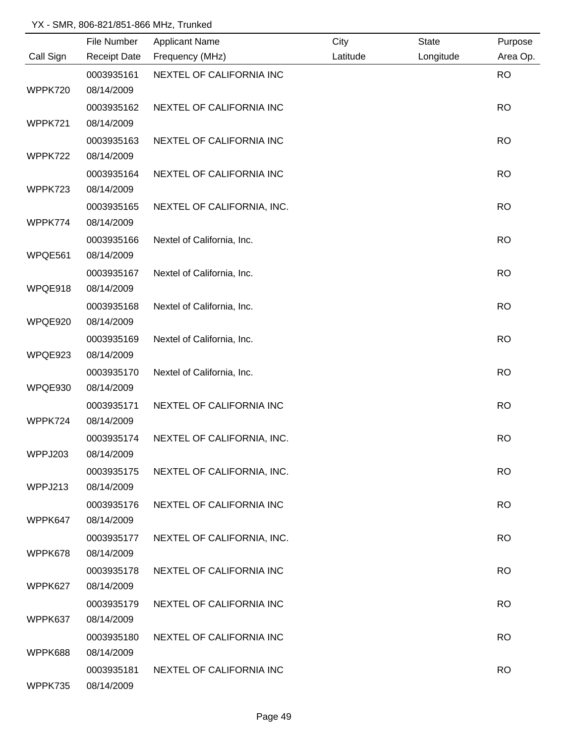|           | File Number         | <b>Applicant Name</b>      | City     | <b>State</b> | Purpose   |
|-----------|---------------------|----------------------------|----------|--------------|-----------|
| Call Sign | <b>Receipt Date</b> | Frequency (MHz)            | Latitude | Longitude    | Area Op.  |
|           | 0003935161          | NEXTEL OF CALIFORNIA INC   |          |              | <b>RO</b> |
| WPPK720   | 08/14/2009          |                            |          |              |           |
|           | 0003935162          | NEXTEL OF CALIFORNIA INC   |          |              | <b>RO</b> |
| WPPK721   | 08/14/2009          |                            |          |              |           |
|           | 0003935163          | NEXTEL OF CALIFORNIA INC   |          |              | <b>RO</b> |
| WPPK722   | 08/14/2009          |                            |          |              |           |
|           | 0003935164          | NEXTEL OF CALIFORNIA INC   |          |              | <b>RO</b> |
| WPPK723   | 08/14/2009          |                            |          |              |           |
|           | 0003935165          | NEXTEL OF CALIFORNIA, INC. |          |              | <b>RO</b> |
| WPPK774   | 08/14/2009          |                            |          |              |           |
|           | 0003935166          | Nextel of California, Inc. |          |              | <b>RO</b> |
| WPQE561   | 08/14/2009          |                            |          |              |           |
|           | 0003935167          | Nextel of California, Inc. |          |              | <b>RO</b> |
| WPQE918   | 08/14/2009          |                            |          |              |           |
|           | 0003935168          | Nextel of California, Inc. |          |              | <b>RO</b> |
| WPQE920   | 08/14/2009          |                            |          |              |           |
|           | 0003935169          | Nextel of California, Inc. |          |              | <b>RO</b> |
| WPQE923   | 08/14/2009          |                            |          |              |           |
|           | 0003935170          | Nextel of California, Inc. |          |              | <b>RO</b> |
| WPQE930   | 08/14/2009          |                            |          |              |           |
|           | 0003935171          | NEXTEL OF CALIFORNIA INC   |          |              | <b>RO</b> |
| WPPK724   | 08/14/2009          |                            |          |              |           |
|           | 0003935174          | NEXTEL OF CALIFORNIA, INC. |          |              | <b>RO</b> |
| WPPJ203   | 08/14/2009          |                            |          |              |           |
|           | 0003935175          | NEXTEL OF CALIFORNIA, INC. |          |              | <b>RO</b> |
| WPPJ213   | 08/14/2009          |                            |          |              |           |
|           | 0003935176          | NEXTEL OF CALIFORNIA INC   |          |              | <b>RO</b> |
| WPPK647   | 08/14/2009          |                            |          |              |           |
|           | 0003935177          | NEXTEL OF CALIFORNIA, INC. |          |              | <b>RO</b> |
| WPPK678   | 08/14/2009          |                            |          |              |           |
|           | 0003935178          | NEXTEL OF CALIFORNIA INC   |          |              | <b>RO</b> |
| WPPK627   | 08/14/2009          |                            |          |              |           |
|           | 0003935179          | NEXTEL OF CALIFORNIA INC   |          |              | <b>RO</b> |
| WPPK637   | 08/14/2009          |                            |          |              |           |
|           | 0003935180          | NEXTEL OF CALIFORNIA INC   |          |              | <b>RO</b> |
| WPPK688   | 08/14/2009          |                            |          |              |           |
|           | 0003935181          | NEXTEL OF CALIFORNIA INC   |          |              | <b>RO</b> |
| WPPK735   | 08/14/2009          |                            |          |              |           |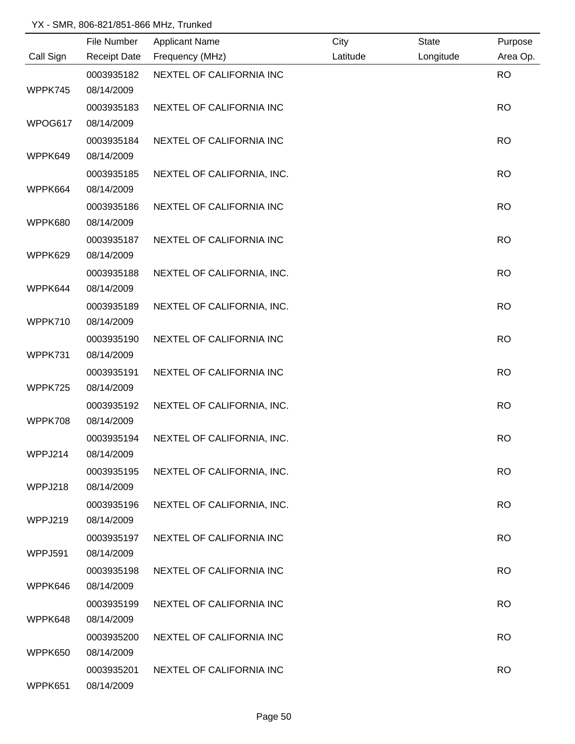|           | File Number         | <b>Applicant Name</b>      | City     | <b>State</b> | Purpose   |
|-----------|---------------------|----------------------------|----------|--------------|-----------|
| Call Sign | <b>Receipt Date</b> | Frequency (MHz)            | Latitude | Longitude    | Area Op.  |
|           | 0003935182          | NEXTEL OF CALIFORNIA INC   |          |              | <b>RO</b> |
| WPPK745   | 08/14/2009          |                            |          |              |           |
|           | 0003935183          | NEXTEL OF CALIFORNIA INC   |          |              | <b>RO</b> |
| WPOG617   | 08/14/2009          |                            |          |              |           |
|           | 0003935184          | NEXTEL OF CALIFORNIA INC   |          |              | <b>RO</b> |
| WPPK649   | 08/14/2009          |                            |          |              |           |
|           | 0003935185          | NEXTEL OF CALIFORNIA, INC. |          |              | <b>RO</b> |
| WPPK664   | 08/14/2009          |                            |          |              |           |
|           | 0003935186          | NEXTEL OF CALIFORNIA INC   |          |              | <b>RO</b> |
| WPPK680   | 08/14/2009          |                            |          |              |           |
|           | 0003935187          | NEXTEL OF CALIFORNIA INC   |          |              | <b>RO</b> |
| WPPK629   | 08/14/2009          |                            |          |              |           |
|           | 0003935188          | NEXTEL OF CALIFORNIA, INC. |          |              | <b>RO</b> |
| WPPK644   | 08/14/2009          |                            |          |              |           |
|           | 0003935189          | NEXTEL OF CALIFORNIA, INC. |          |              | <b>RO</b> |
| WPPK710   | 08/14/2009          |                            |          |              |           |
|           | 0003935190          | NEXTEL OF CALIFORNIA INC   |          |              | <b>RO</b> |
| WPPK731   | 08/14/2009          |                            |          |              |           |
|           | 0003935191          | NEXTEL OF CALIFORNIA INC   |          |              | <b>RO</b> |
| WPPK725   | 08/14/2009          |                            |          |              |           |
|           | 0003935192          | NEXTEL OF CALIFORNIA, INC. |          |              | <b>RO</b> |
| WPPK708   | 08/14/2009          |                            |          |              |           |
|           | 0003935194          | NEXTEL OF CALIFORNIA, INC. |          |              | <b>RO</b> |
| WPPJ214   | 08/14/2009          |                            |          |              |           |
|           | 0003935195          | NEXTEL OF CALIFORNIA, INC. |          |              | <b>RO</b> |
| WPPJ218   | 08/14/2009          |                            |          |              |           |
|           | 0003935196          | NEXTEL OF CALIFORNIA, INC. |          |              | <b>RO</b> |
| WPPJ219   | 08/14/2009          |                            |          |              |           |
|           | 0003935197          | NEXTEL OF CALIFORNIA INC   |          |              | <b>RO</b> |
| WPPJ591   | 08/14/2009          |                            |          |              |           |
|           | 0003935198          | NEXTEL OF CALIFORNIA INC   |          |              | <b>RO</b> |
| WPPK646   | 08/14/2009          |                            |          |              |           |
|           | 0003935199          | NEXTEL OF CALIFORNIA INC   |          |              | <b>RO</b> |
| WPPK648   | 08/14/2009          |                            |          |              |           |
|           | 0003935200          | NEXTEL OF CALIFORNIA INC   |          |              | <b>RO</b> |
| WPPK650   | 08/14/2009          |                            |          |              |           |
|           | 0003935201          | NEXTEL OF CALIFORNIA INC   |          |              | <b>RO</b> |
| WPPK651   | 08/14/2009          |                            |          |              |           |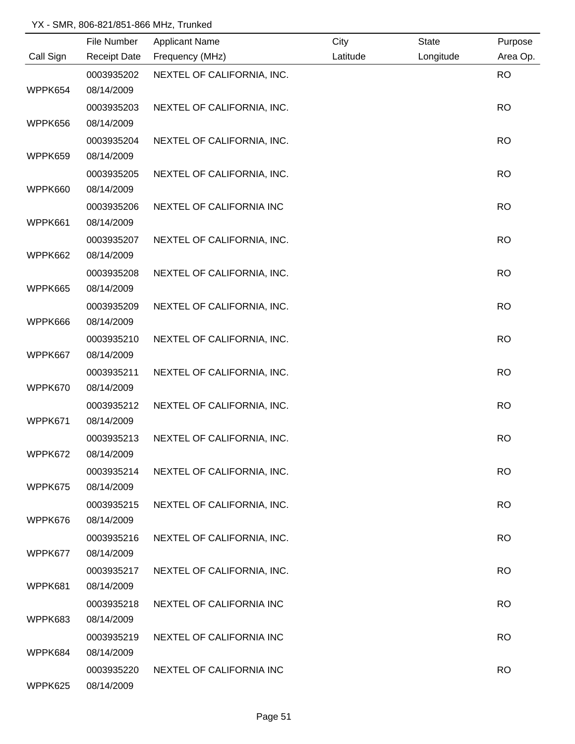|           | File Number         | <b>Applicant Name</b>      | City     | <b>State</b> | Purpose   |
|-----------|---------------------|----------------------------|----------|--------------|-----------|
| Call Sign | <b>Receipt Date</b> | Frequency (MHz)            | Latitude | Longitude    | Area Op.  |
|           | 0003935202          | NEXTEL OF CALIFORNIA, INC. |          |              | <b>RO</b> |
| WPPK654   | 08/14/2009          |                            |          |              |           |
|           | 0003935203          | NEXTEL OF CALIFORNIA, INC. |          |              | <b>RO</b> |
| WPPK656   | 08/14/2009          |                            |          |              |           |
|           | 0003935204          | NEXTEL OF CALIFORNIA, INC. |          |              | <b>RO</b> |
| WPPK659   | 08/14/2009          |                            |          |              |           |
|           | 0003935205          | NEXTEL OF CALIFORNIA, INC. |          |              | <b>RO</b> |
| WPPK660   | 08/14/2009          |                            |          |              |           |
|           | 0003935206          | NEXTEL OF CALIFORNIA INC   |          |              | <b>RO</b> |
| WPPK661   | 08/14/2009          |                            |          |              |           |
|           | 0003935207          | NEXTEL OF CALIFORNIA, INC. |          |              | <b>RO</b> |
| WPPK662   | 08/14/2009          |                            |          |              |           |
|           | 0003935208          | NEXTEL OF CALIFORNIA, INC. |          |              | <b>RO</b> |
| WPPK665   | 08/14/2009          |                            |          |              |           |
|           | 0003935209          | NEXTEL OF CALIFORNIA, INC. |          |              | <b>RO</b> |
| WPPK666   | 08/14/2009          |                            |          |              |           |
|           | 0003935210          | NEXTEL OF CALIFORNIA, INC. |          |              | <b>RO</b> |
| WPPK667   | 08/14/2009          |                            |          |              |           |
|           | 0003935211          | NEXTEL OF CALIFORNIA, INC. |          |              | <b>RO</b> |
| WPPK670   | 08/14/2009          |                            |          |              |           |
|           | 0003935212          | NEXTEL OF CALIFORNIA, INC. |          |              | <b>RO</b> |
| WPPK671   | 08/14/2009          |                            |          |              |           |
|           | 0003935213          | NEXTEL OF CALIFORNIA, INC. |          |              | <b>RO</b> |
| WPPK672   | 08/14/2009          |                            |          |              |           |
|           | 0003935214          | NEXTEL OF CALIFORNIA, INC. |          |              | <b>RO</b> |
| WPPK675   | 08/14/2009          |                            |          |              |           |
|           | 0003935215          | NEXTEL OF CALIFORNIA, INC. |          |              | <b>RO</b> |
| WPPK676   | 08/14/2009          |                            |          |              |           |
|           | 0003935216          | NEXTEL OF CALIFORNIA, INC. |          |              | <b>RO</b> |
| WPPK677   | 08/14/2009          |                            |          |              |           |
|           | 0003935217          | NEXTEL OF CALIFORNIA, INC. |          |              | <b>RO</b> |
| WPPK681   | 08/14/2009          |                            |          |              |           |
|           | 0003935218          | NEXTEL OF CALIFORNIA INC   |          |              | <b>RO</b> |
| WPPK683   | 08/14/2009          |                            |          |              |           |
|           | 0003935219          | NEXTEL OF CALIFORNIA INC   |          |              | <b>RO</b> |
| WPPK684   | 08/14/2009          |                            |          |              |           |
|           | 0003935220          | NEXTEL OF CALIFORNIA INC   |          |              | <b>RO</b> |
| WPPK625   | 08/14/2009          |                            |          |              |           |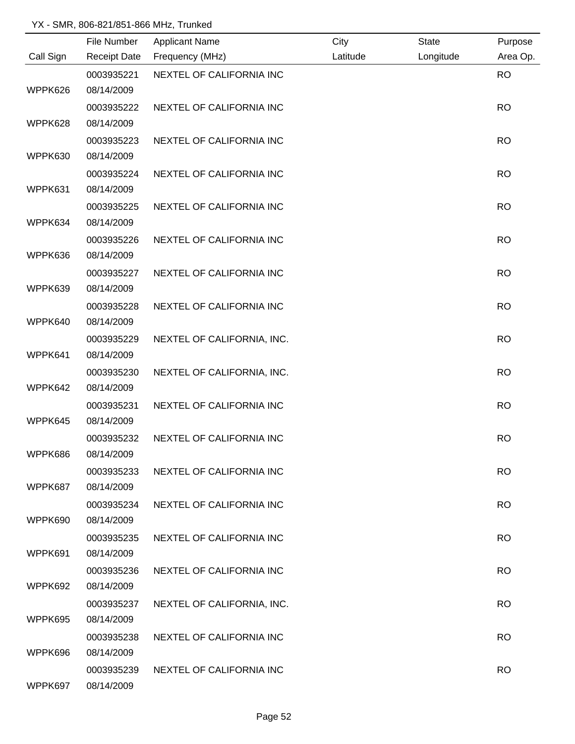|           | File Number         | <b>Applicant Name</b>      | City     | <b>State</b> | Purpose   |
|-----------|---------------------|----------------------------|----------|--------------|-----------|
| Call Sign | <b>Receipt Date</b> | Frequency (MHz)            | Latitude | Longitude    | Area Op.  |
|           | 0003935221          | NEXTEL OF CALIFORNIA INC   |          |              | <b>RO</b> |
| WPPK626   | 08/14/2009          |                            |          |              |           |
|           | 0003935222          | NEXTEL OF CALIFORNIA INC   |          |              | <b>RO</b> |
| WPPK628   | 08/14/2009          |                            |          |              |           |
|           | 0003935223          | NEXTEL OF CALIFORNIA INC   |          |              | <b>RO</b> |
| WPPK630   | 08/14/2009          |                            |          |              |           |
|           | 0003935224          | NEXTEL OF CALIFORNIA INC   |          |              | <b>RO</b> |
| WPPK631   | 08/14/2009          |                            |          |              |           |
|           | 0003935225          | NEXTEL OF CALIFORNIA INC   |          |              | <b>RO</b> |
| WPPK634   | 08/14/2009          |                            |          |              |           |
|           | 0003935226          | NEXTEL OF CALIFORNIA INC   |          |              | <b>RO</b> |
| WPPK636   | 08/14/2009          |                            |          |              |           |
|           | 0003935227          | NEXTEL OF CALIFORNIA INC   |          |              | <b>RO</b> |
| WPPK639   | 08/14/2009          |                            |          |              |           |
|           | 0003935228          | NEXTEL OF CALIFORNIA INC   |          |              | <b>RO</b> |
| WPPK640   | 08/14/2009          |                            |          |              |           |
|           | 0003935229          | NEXTEL OF CALIFORNIA, INC. |          |              | <b>RO</b> |
| WPPK641   | 08/14/2009          |                            |          |              |           |
|           | 0003935230          | NEXTEL OF CALIFORNIA, INC. |          |              | <b>RO</b> |
| WPPK642   | 08/14/2009          |                            |          |              |           |
|           | 0003935231          | NEXTEL OF CALIFORNIA INC   |          |              | <b>RO</b> |
| WPPK645   | 08/14/2009          |                            |          |              |           |
|           | 0003935232          | NEXTEL OF CALIFORNIA INC   |          |              | <b>RO</b> |
| WPPK686   | 08/14/2009          |                            |          |              |           |
|           | 0003935233          | NEXTEL OF CALIFORNIA INC   |          |              | <b>RO</b> |
| WPPK687   | 08/14/2009          |                            |          |              |           |
|           | 0003935234          | NEXTEL OF CALIFORNIA INC   |          |              | <b>RO</b> |
| WPPK690   | 08/14/2009          |                            |          |              |           |
|           | 0003935235          | NEXTEL OF CALIFORNIA INC   |          |              | <b>RO</b> |
| WPPK691   | 08/14/2009          |                            |          |              |           |
|           | 0003935236          | NEXTEL OF CALIFORNIA INC   |          |              | <b>RO</b> |
| WPPK692   | 08/14/2009          |                            |          |              |           |
|           | 0003935237          | NEXTEL OF CALIFORNIA, INC. |          |              | <b>RO</b> |
| WPPK695   | 08/14/2009          |                            |          |              |           |
|           | 0003935238          | NEXTEL OF CALIFORNIA INC   |          |              | <b>RO</b> |
| WPPK696   | 08/14/2009          |                            |          |              |           |
|           | 0003935239          | NEXTEL OF CALIFORNIA INC   |          |              | <b>RO</b> |
| WPPK697   | 08/14/2009          |                            |          |              |           |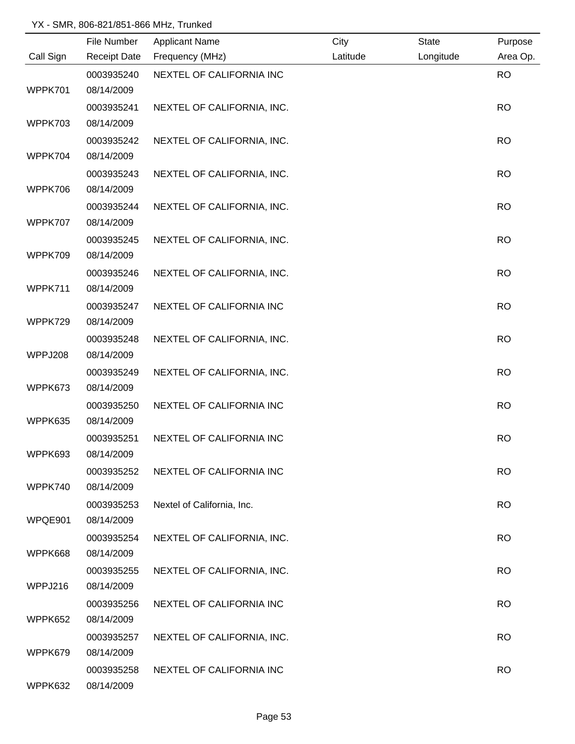|           | File Number         | <b>Applicant Name</b>      | City     | <b>State</b> | Purpose   |
|-----------|---------------------|----------------------------|----------|--------------|-----------|
| Call Sign | <b>Receipt Date</b> | Frequency (MHz)            | Latitude | Longitude    | Area Op.  |
|           | 0003935240          | NEXTEL OF CALIFORNIA INC   |          |              | <b>RO</b> |
| WPPK701   | 08/14/2009          |                            |          |              |           |
|           | 0003935241          | NEXTEL OF CALIFORNIA, INC. |          |              | <b>RO</b> |
| WPPK703   | 08/14/2009          |                            |          |              |           |
|           | 0003935242          | NEXTEL OF CALIFORNIA, INC. |          |              | <b>RO</b> |
| WPPK704   | 08/14/2009          |                            |          |              |           |
|           | 0003935243          | NEXTEL OF CALIFORNIA, INC. |          |              | <b>RO</b> |
| WPPK706   | 08/14/2009          |                            |          |              |           |
|           | 0003935244          | NEXTEL OF CALIFORNIA, INC. |          |              | <b>RO</b> |
| WPPK707   | 08/14/2009          |                            |          |              |           |
|           | 0003935245          | NEXTEL OF CALIFORNIA, INC. |          |              | <b>RO</b> |
| WPPK709   | 08/14/2009          |                            |          |              |           |
|           | 0003935246          | NEXTEL OF CALIFORNIA, INC. |          |              | <b>RO</b> |
| WPPK711   | 08/14/2009          |                            |          |              |           |
|           | 0003935247          | NEXTEL OF CALIFORNIA INC   |          |              | <b>RO</b> |
| WPPK729   | 08/14/2009          |                            |          |              |           |
|           | 0003935248          | NEXTEL OF CALIFORNIA, INC. |          |              | <b>RO</b> |
| WPPJ208   | 08/14/2009          |                            |          |              |           |
|           | 0003935249          | NEXTEL OF CALIFORNIA, INC. |          |              | <b>RO</b> |
| WPPK673   | 08/14/2009          |                            |          |              |           |
|           | 0003935250          | NEXTEL OF CALIFORNIA INC   |          |              | <b>RO</b> |
| WPPK635   | 08/14/2009          |                            |          |              |           |
|           | 0003935251          | NEXTEL OF CALIFORNIA INC   |          |              | <b>RO</b> |
| WPPK693   | 08/14/2009          |                            |          |              |           |
|           | 0003935252          | NEXTEL OF CALIFORNIA INC   |          |              | <b>RO</b> |
| WPPK740   | 08/14/2009          |                            |          |              |           |
|           | 0003935253          | Nextel of California, Inc. |          |              | <b>RO</b> |
| WPQE901   | 08/14/2009          |                            |          |              |           |
|           | 0003935254          | NEXTEL OF CALIFORNIA, INC. |          |              | <b>RO</b> |
| WPPK668   | 08/14/2009          |                            |          |              |           |
|           | 0003935255          | NEXTEL OF CALIFORNIA, INC. |          |              | <b>RO</b> |
| WPPJ216   | 08/14/2009          |                            |          |              |           |
|           | 0003935256          | NEXTEL OF CALIFORNIA INC   |          |              | <b>RO</b> |
| WPPK652   | 08/14/2009          |                            |          |              |           |
|           | 0003935257          | NEXTEL OF CALIFORNIA, INC. |          |              | <b>RO</b> |
| WPPK679   | 08/14/2009          |                            |          |              |           |
|           | 0003935258          | NEXTEL OF CALIFORNIA INC   |          |              | <b>RO</b> |
| WPPK632   | 08/14/2009          |                            |          |              |           |